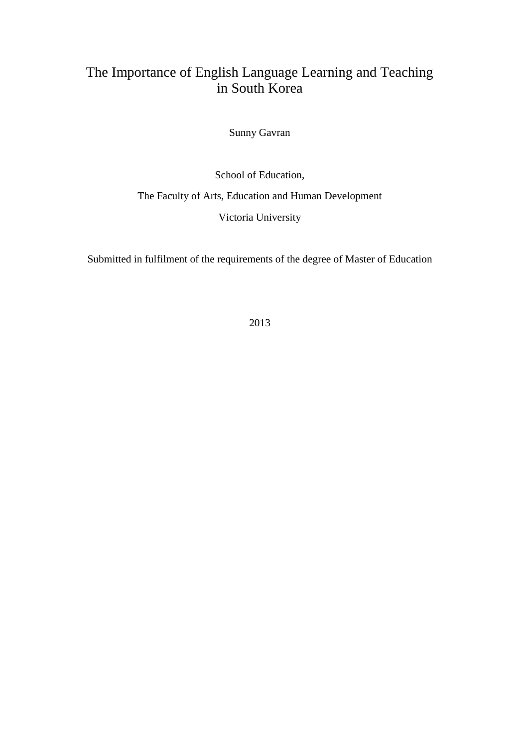## The Importance of English Language Learning and Teaching in South Korea

Sunny Gavran

School of Education, The Faculty of Arts, Education and Human Development Victoria University

Submitted in fulfilment of the requirements of the degree of Master of Education

2013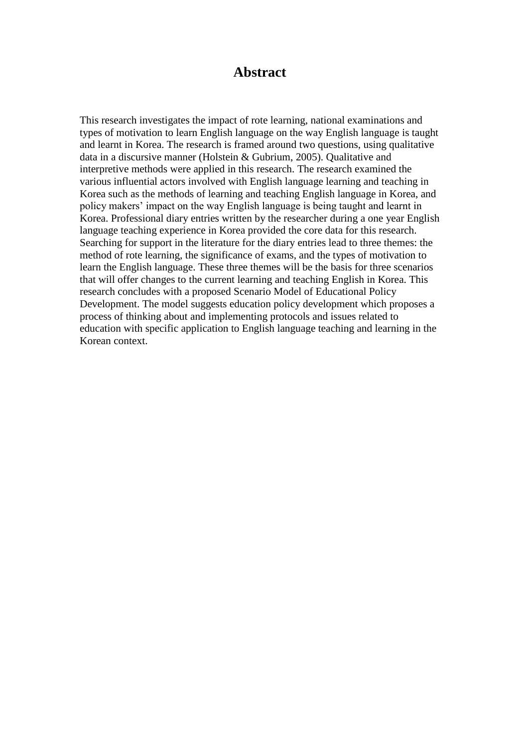### **Abstract**

This research investigates the impact of rote learning, national examinations and types of motivation to learn English language on the way English language is taught and learnt in Korea. The research is framed around two questions, using qualitative data in a discursive manner (Holstein & Gubrium, 2005). Qualitative and interpretive methods were applied in this research. The research examined the various influential actors involved with English language learning and teaching in Korea such as the methods of learning and teaching English language in Korea, and policy makers' impact on the way English language is being taught and learnt in Korea. Professional diary entries written by the researcher during a one year English language teaching experience in Korea provided the core data for this research. Searching for support in the literature for the diary entries lead to three themes: the method of rote learning, the significance of exams, and the types of motivation to learn the English language. These three themes will be the basis for three scenarios that will offer changes to the current learning and teaching English in Korea. This research concludes with a proposed Scenario Model of Educational Policy Development. The model suggests education policy development which proposes a process of thinking about and implementing protocols and issues related to education with specific application to English language teaching and learning in the Korean context.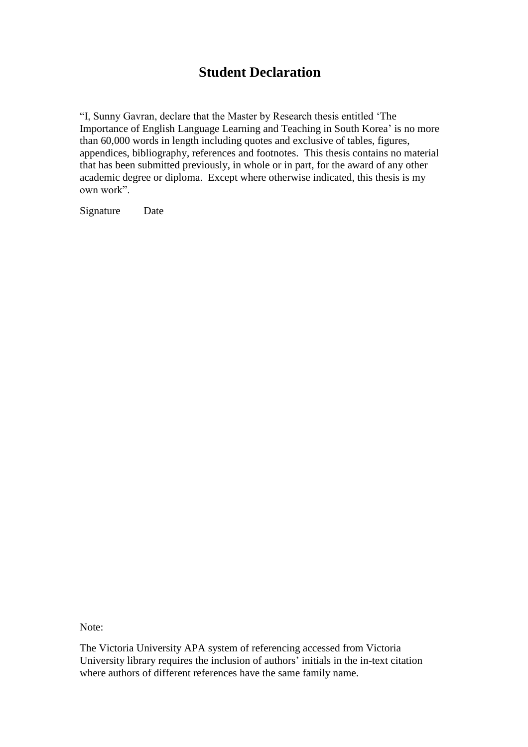## **Student Declaration**

"I, Sunny Gavran, declare that the Master by Research thesis entitled 'The Importance of English Language Learning and Teaching in South Korea' is no more than 60,000 words in length including quotes and exclusive of tables, figures, appendices, bibliography, references and footnotes. This thesis contains no material that has been submitted previously, in whole or in part, for the award of any other academic degree or diploma. Except where otherwise indicated, this thesis is my own work".

Signature Date

Note:

The Victoria University APA system of referencing accessed from Victoria University library requires the inclusion of authors' initials in the in-text citation where authors of different references have the same family name.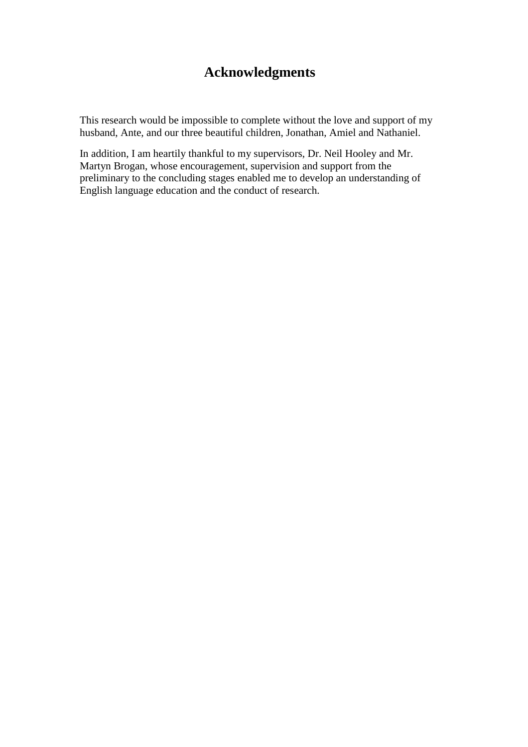# **Acknowledgments**

This research would be impossible to complete without the love and support of my husband, Ante, and our three beautiful children, Jonathan, Amiel and Nathaniel.

In addition, I am heartily thankful to my supervisors, Dr. Neil Hooley and Mr. Martyn Brogan, whose encouragement, supervision and support from the preliminary to the concluding stages enabled me to develop an understanding of English language education and the conduct of research.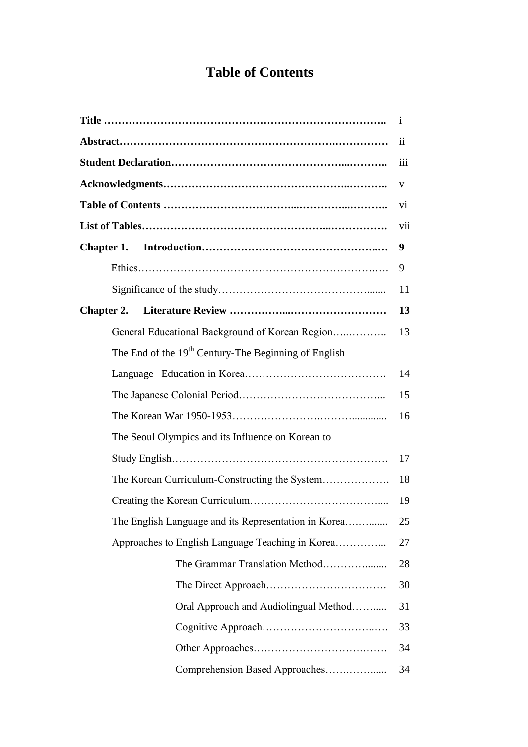# **Table of Contents**

|                                                                  | <sup>1</sup>            |  |
|------------------------------------------------------------------|-------------------------|--|
|                                                                  | $\overline{\mathbf{u}}$ |  |
|                                                                  | iii                     |  |
|                                                                  | V                       |  |
|                                                                  | vi                      |  |
|                                                                  | vii                     |  |
| Chapter 1.                                                       | 9                       |  |
|                                                                  | 9                       |  |
|                                                                  | 11                      |  |
| <b>Chapter 2.</b>                                                | 13                      |  |
| General Educational Background of Korean Region                  | 13                      |  |
| The End of the 19 <sup>th</sup> Century-The Beginning of English |                         |  |
|                                                                  | 14                      |  |
|                                                                  | 15                      |  |
|                                                                  |                         |  |
| The Seoul Olympics and its Influence on Korean to                |                         |  |
|                                                                  | 17                      |  |
| The Korean Curriculum-Constructing the System                    | 18                      |  |
|                                                                  | 19                      |  |
| The English Language and its Representation in Korea             | 25                      |  |
| Approaches to English Language Teaching in Korea                 | 27                      |  |
| The Grammar Translation Method                                   | 28                      |  |
|                                                                  | 30                      |  |
| Oral Approach and Audiolingual Method                            | 31                      |  |
|                                                                  | 33                      |  |
|                                                                  | 34                      |  |
|                                                                  | 34                      |  |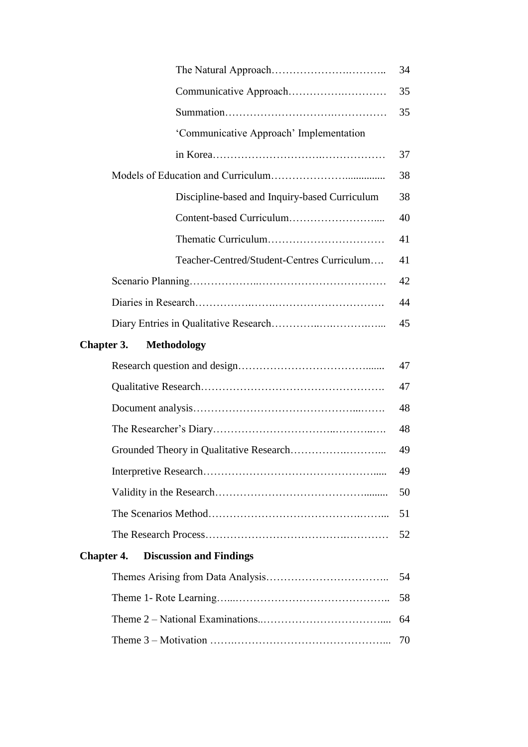|                                                     | 34 |
|-----------------------------------------------------|----|
|                                                     | 35 |
|                                                     | 35 |
| 'Communicative Approach' Implementation             |    |
|                                                     | 37 |
|                                                     | 38 |
| Discipline-based and Inquiry-based Curriculum       | 38 |
|                                                     | 40 |
|                                                     | 41 |
| Teacher-Centred/Student-Centres Curriculum          | 41 |
|                                                     | 42 |
|                                                     | 44 |
|                                                     | 45 |
| Chapter 3.<br><b>Methodology</b>                    |    |
|                                                     |    |
|                                                     | 47 |
|                                                     | 47 |
|                                                     | 48 |
|                                                     | 48 |
|                                                     | 49 |
|                                                     | 49 |
|                                                     | 50 |
|                                                     | 51 |
|                                                     | 52 |
| <b>Discussion and Findings</b><br><b>Chapter 4.</b> |    |
|                                                     | 54 |
|                                                     | 58 |
|                                                     | 64 |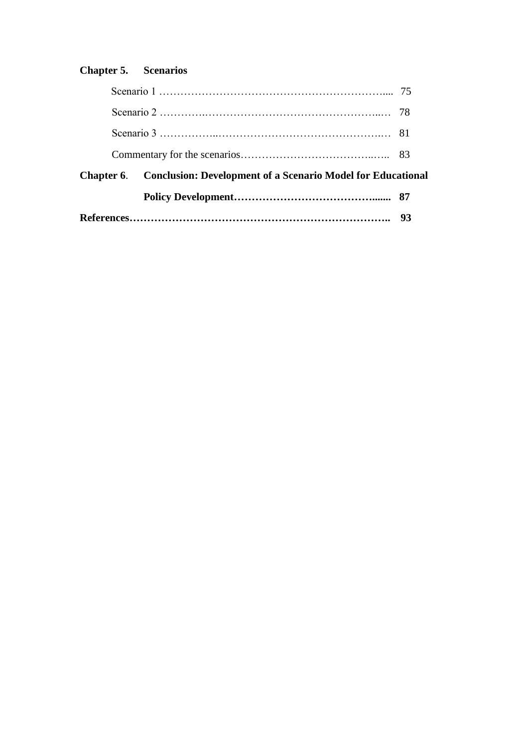## **Chapter 5. Scenarios**

| <b>Chapter 6.</b> Conclusion: Development of a Scenario Model for Educational |  |  |
|-------------------------------------------------------------------------------|--|--|
|                                                                               |  |  |
|                                                                               |  |  |
|                                                                               |  |  |
|                                                                               |  |  |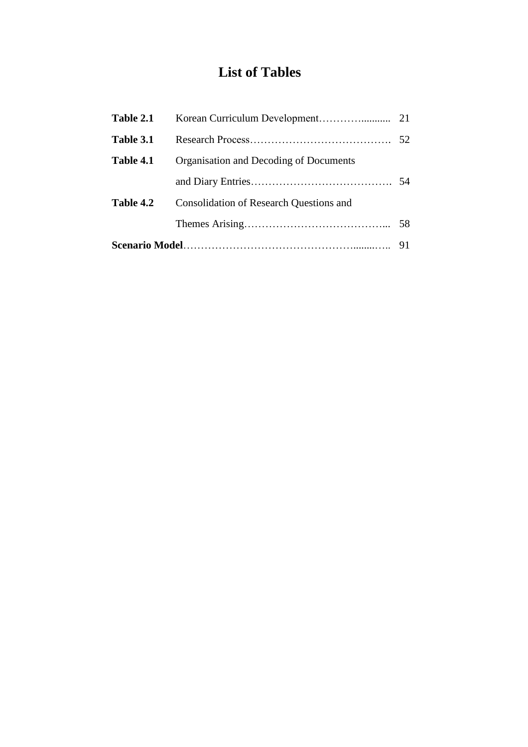# **List of Tables**

| Table 2.1 |                                                |  |
|-----------|------------------------------------------------|--|
| Table 3.1 |                                                |  |
| Table 4.1 | Organisation and Decoding of Documents         |  |
|           |                                                |  |
| Table 4.2 | <b>Consolidation of Research Questions and</b> |  |
|           |                                                |  |
|           |                                                |  |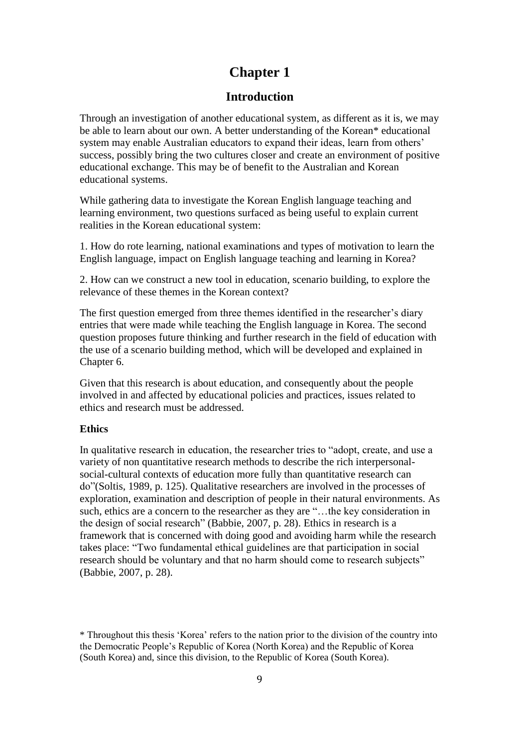## **Chapter 1**

### **Introduction**

Through an investigation of another educational system, as different as it is, we may be able to learn about our own. A better understanding of the Korean\* educational system may enable Australian educators to expand their ideas, learn from others' success, possibly bring the two cultures closer and create an environment of positive educational exchange. This may be of benefit to the Australian and Korean educational systems.

While gathering data to investigate the Korean English language teaching and learning environment, two questions surfaced as being useful to explain current realities in the Korean educational system:

1. How do rote learning, national examinations and types of motivation to learn the English language, impact on English language teaching and learning in Korea?

2. How can we construct a new tool in education, scenario building, to explore the relevance of these themes in the Korean context?

The first question emerged from three themes identified in the researcher's diary entries that were made while teaching the English language in Korea. The second question proposes future thinking and further research in the field of education with the use of a scenario building method, which will be developed and explained in Chapter 6.

Given that this research is about education, and consequently about the people involved in and affected by educational policies and practices, issues related to ethics and research must be addressed.

#### **Ethics**

In qualitative research in education, the researcher tries to "adopt, create, and use a variety of non quantitative research methods to describe the rich interpersonalsocial-cultural contexts of education more fully than quantitative research can do"(Soltis, 1989, p. 125). Qualitative researchers are involved in the processes of exploration, examination and description of people in their natural environments. As such, ethics are a concern to the researcher as they are "…the key consideration in the design of social research" (Babbie, 2007, p. 28). Ethics in research is a framework that is concerned with doing good and avoiding harm while the research takes place: "Two fundamental ethical guidelines are that participation in social research should be voluntary and that no harm should come to research subjects" (Babbie, 2007, p. 28).

\* Throughout this thesis 'Korea' refers to the nation prior to the division of the country into the Democratic People's Republic of Korea (North Korea) and the Republic of Korea (South Korea) and, since this division, to the Republic of Korea (South Korea).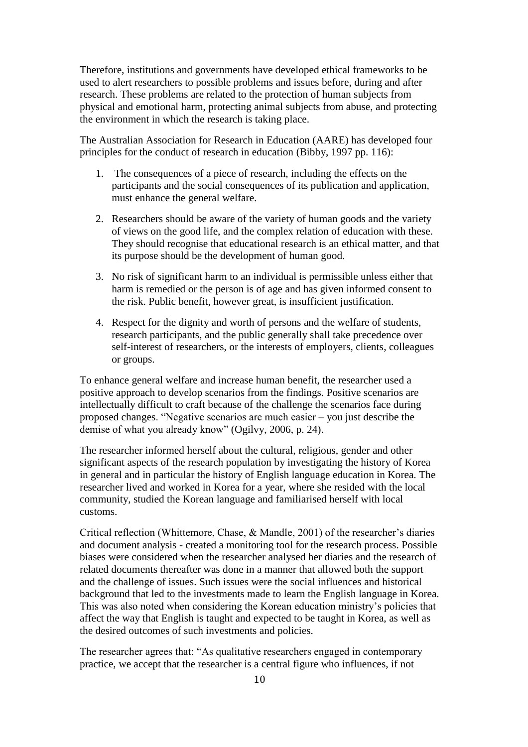Therefore, institutions and governments have developed ethical frameworks to be used to alert researchers to possible problems and issues before, during and after research. These problems are related to the protection of human subjects from physical and emotional harm, protecting animal subjects from abuse, and protecting the environment in which the research is taking place.

The Australian Association for Research in Education (AARE) has developed four principles for the conduct of research in education (Bibby, 1997 pp. 116):

- 1. The consequences of a piece of research, including the effects on the participants and the social consequences of its publication and application, must enhance the general welfare.
- 2. Researchers should be aware of the variety of human goods and the variety of views on the good life, and the complex relation of education with these. They should recognise that educational research is an ethical matter, and that its purpose should be the development of human good.
- 3. No risk of significant harm to an individual is permissible unless either that harm is remedied or the person is of age and has given informed consent to the risk. Public benefit, however great, is insufficient justification.
- 4. Respect for the dignity and worth of persons and the welfare of students, research participants, and the public generally shall take precedence over self-interest of researchers, or the interests of employers, clients, colleagues or groups.

To enhance general welfare and increase human benefit, the researcher used a positive approach to develop scenarios from the findings. Positive scenarios are intellectually difficult to craft because of the challenge the scenarios face during proposed changes. "Negative scenarios are much easier – you just describe the demise of what you already know" (Ogilvy, 2006, p. 24).

The researcher informed herself about the cultural, religious, gender and other significant aspects of the research population by investigating the history of Korea in general and in particular the history of English language education in Korea. The researcher lived and worked in Korea for a year, where she resided with the local community, studied the Korean language and familiarised herself with local customs.

Critical reflection (Whittemore, Chase, & Mandle, 2001) of the researcher's diaries and document analysis - created a monitoring tool for the research process. Possible biases were considered when the researcher analysed her diaries and the research of related documents thereafter was done in a manner that allowed both the support and the challenge of issues. Such issues were the social influences and historical background that led to the investments made to learn the English language in Korea. This was also noted when considering the Korean education ministry's policies that affect the way that English is taught and expected to be taught in Korea, as well as the desired outcomes of such investments and policies.

The researcher agrees that: "As qualitative researchers engaged in contemporary practice, we accept that the researcher is a central figure who influences, if not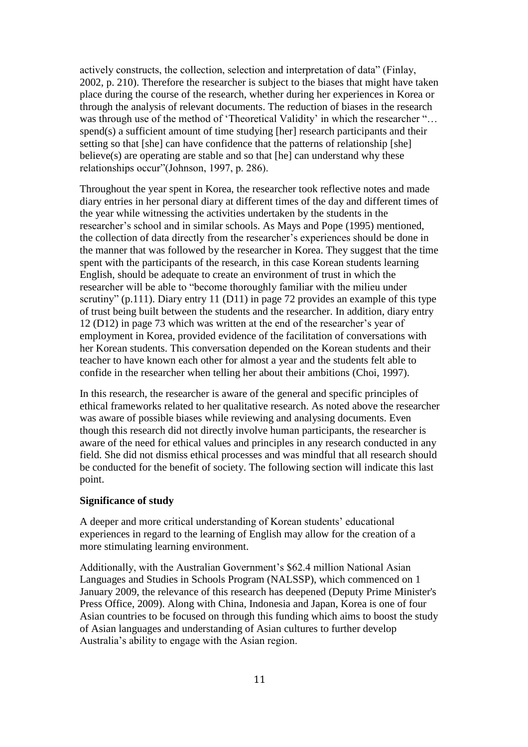actively constructs, the collection, selection and interpretation of data" (Finlay, 2002, p. 210). Therefore the researcher is subject to the biases that might have taken place during the course of the research, whether during her experiences in Korea or through the analysis of relevant documents. The reduction of biases in the research was through use of the method of 'Theoretical Validity' in which the researcher "... spend(s) a sufficient amount of time studying [her] research participants and their setting so that [she] can have confidence that the patterns of relationship [she] believe(s) are operating are stable and so that [he] can understand why these relationships occur"(Johnson, 1997, p. 286).

Throughout the year spent in Korea, the researcher took reflective notes and made diary entries in her personal diary at different times of the day and different times of the year while witnessing the activities undertaken by the students in the researcher's school and in similar schools. As Mays and Pope (1995) mentioned, the collection of data directly from the researcher's experiences should be done in the manner that was followed by the researcher in Korea. They suggest that the time spent with the participants of the research, in this case Korean students learning English, should be adequate to create an environment of trust in which the researcher will be able to "become thoroughly familiar with the milieu under scrutiny" (p.111). Diary entry 11 (D11) in page 72 provides an example of this type of trust being built between the students and the researcher. In addition, diary entry 12 (D12) in page 73 which was written at the end of the researcher's year of employment in Korea, provided evidence of the facilitation of conversations with her Korean students. This conversation depended on the Korean students and their teacher to have known each other for almost a year and the students felt able to confide in the researcher when telling her about their ambitions (Choi, 1997).

In this research, the researcher is aware of the general and specific principles of ethical frameworks related to her qualitative research. As noted above the researcher was aware of possible biases while reviewing and analysing documents. Even though this research did not directly involve human participants, the researcher is aware of the need for ethical values and principles in any research conducted in any field. She did not dismiss ethical processes and was mindful that all research should be conducted for the benefit of society. The following section will indicate this last point.

#### **Significance of study**

A deeper and more critical understanding of Korean students' educational experiences in regard to the learning of English may allow for the creation of a more stimulating learning environment.

Additionally, with the Australian Government's \$62.4 million National Asian Languages and Studies in Schools Program (NALSSP), which commenced on 1 January 2009, the relevance of this research has deepened (Deputy Prime Minister's Press Office, 2009). Along with China, Indonesia and Japan, Korea is one of four Asian countries to be focused on through this funding which aims to boost the study of Asian languages and understanding of Asian cultures to further develop Australia's ability to engage with the Asian region.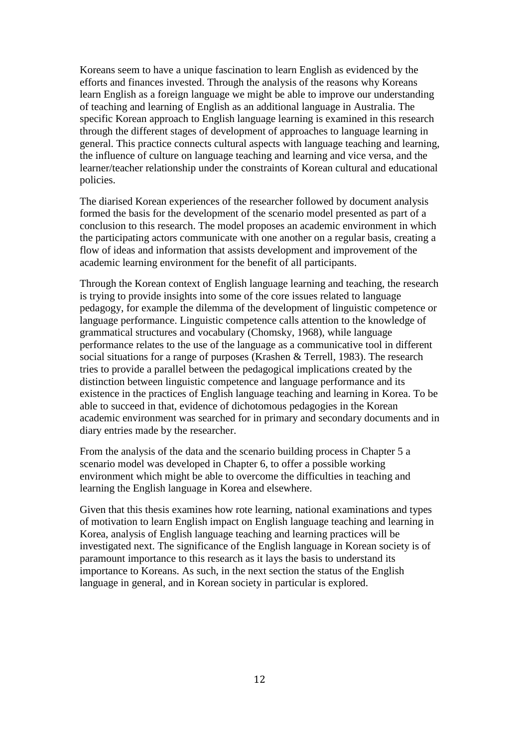Koreans seem to have a unique fascination to learn English as evidenced by the efforts and finances invested. Through the analysis of the reasons why Koreans learn English as a foreign language we might be able to improve our understanding of teaching and learning of English as an additional language in Australia. The specific Korean approach to English language learning is examined in this research through the different stages of development of approaches to language learning in general. This practice connects cultural aspects with language teaching and learning, the influence of culture on language teaching and learning and vice versa, and the learner/teacher relationship under the constraints of Korean cultural and educational policies.

The diarised Korean experiences of the researcher followed by document analysis formed the basis for the development of the scenario model presented as part of a conclusion to this research. The model proposes an academic environment in which the participating actors communicate with one another on a regular basis, creating a flow of ideas and information that assists development and improvement of the academic learning environment for the benefit of all participants.

Through the Korean context of English language learning and teaching, the research is trying to provide insights into some of the core issues related to language pedagogy, for example the dilemma of the development of linguistic competence or language performance. Linguistic competence calls attention to the knowledge of grammatical structures and vocabulary (Chomsky, 1968), while language performance relates to the use of the language as a communicative tool in different social situations for a range of purposes (Krashen & Terrell, 1983). The research tries to provide a parallel between the pedagogical implications created by the distinction between linguistic competence and language performance and its existence in the practices of English language teaching and learning in Korea. To be able to succeed in that, evidence of dichotomous pedagogies in the Korean academic environment was searched for in primary and secondary documents and in diary entries made by the researcher.

From the analysis of the data and the scenario building process in Chapter 5 a scenario model was developed in Chapter 6, to offer a possible working environment which might be able to overcome the difficulties in teaching and learning the English language in Korea and elsewhere.

Given that this thesis examines how rote learning, national examinations and types of motivation to learn English impact on English language teaching and learning in Korea, analysis of English language teaching and learning practices will be investigated next. The significance of the English language in Korean society is of paramount importance to this research as it lays the basis to understand its importance to Koreans. As such, in the next section the status of the English language in general, and in Korean society in particular is explored.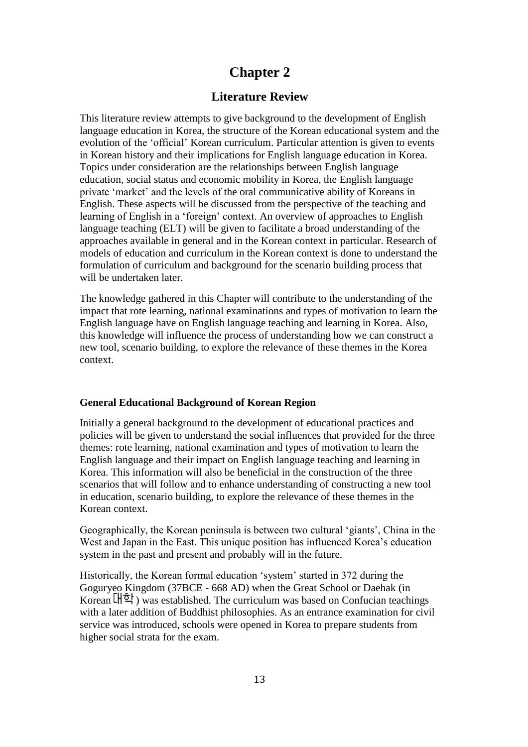### **Chapter 2**

### **Literature Review**

This literature review attempts to give background to the development of English language education in Korea, the structure of the Korean educational system and the evolution of the 'official' Korean curriculum. Particular attention is given to events in Korean history and their implications for English language education in Korea. Topics under consideration are the relationships between English language education, social status and economic mobility in Korea, the English language private 'market' and the levels of the oral communicative ability of Koreans in English. These aspects will be discussed from the perspective of the teaching and learning of English in a 'foreign' context. An overview of approaches to English language teaching (ELT) will be given to facilitate a broad understanding of the approaches available in general and in the Korean context in particular. Research of models of education and curriculum in the Korean context is done to understand the formulation of curriculum and background for the scenario building process that will be undertaken later.

The knowledge gathered in this Chapter will contribute to the understanding of the impact that rote learning, national examinations and types of motivation to learn the English language have on English language teaching and learning in Korea. Also, this knowledge will influence the process of understanding how we can construct a new tool, scenario building, to explore the relevance of these themes in the Korea context.

#### **General Educational Background of Korean Region**

Initially a general background to the development of educational practices and policies will be given to understand the social influences that provided for the three themes: rote learning, national examination and types of motivation to learn the English language and their impact on English language teaching and learning in Korea. This information will also be beneficial in the construction of the three scenarios that will follow and to enhance understanding of constructing a new tool in education, scenario building, to explore the relevance of these themes in the Korean context.

Geographically, the Korean peninsula is between two cultural 'giants', China in the West and Japan in the East. This unique position has influenced Korea's education system in the past and present and probably will in the future.

Historically, the Korean formal education 'system' started in 372 during the Goguryeo Kingdom (37BCE - 668 AD) when the Great School or Daehak (in Korean  $\mathbb{H}^{\frac{1}{2}}$ ) was established. The curriculum was based on Confucian teachings with a later addition of Buddhist philosophies. As an entrance examination for civil service was introduced, schools were opened in Korea to prepare students from higher social strata for the exam.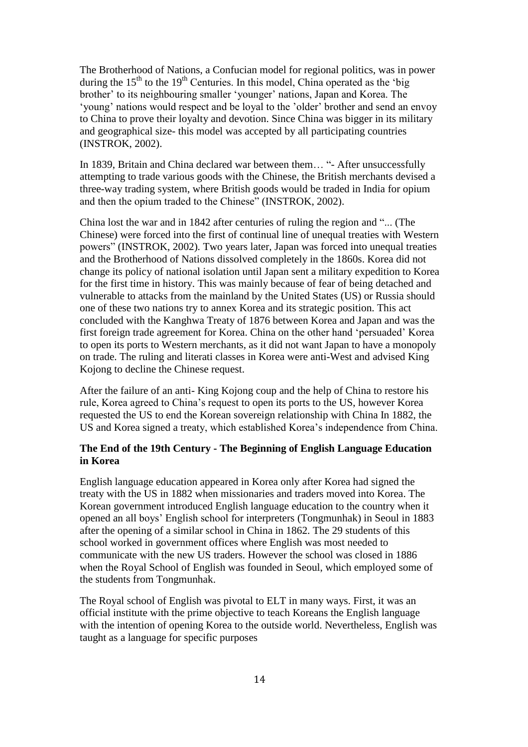The Brotherhood of Nations, a Confucian model for regional politics, was in power during the  $15<sup>th</sup>$  to the  $19<sup>th</sup>$  Centuries. In this model, China operated as the 'big brother' to its neighbouring smaller 'younger' nations, Japan and Korea. The 'young' nations would respect and be loyal to the 'older' brother and send an envoy to China to prove their loyalty and devotion. Since China was bigger in its military and geographical size- this model was accepted by all participating countries (INSTROK, 2002).

In 1839, Britain and China declared war between them… "- After unsuccessfully attempting to trade various goods with the Chinese, the British merchants devised a three-way trading system, where British goods would be traded in India for opium and then the opium traded to the Chinese" (INSTROK, 2002).

China lost the war and in 1842 after centuries of ruling the region and "... (The Chinese) were forced into the first of continual line of unequal treaties with Western powers" (INSTROK, 2002)*.* Two years later, Japan was forced into unequal treaties and the Brotherhood of Nations dissolved completely in the 1860s. Korea did not change its policy of national isolation until Japan sent a military expedition to Korea for the first time in history. This was mainly because of fear of being detached and vulnerable to attacks from the mainland by the United States (US) or Russia should one of these two nations try to annex Korea and its strategic position. This act concluded with the Kanghwa Treaty of 1876 between Korea and Japan and was the first foreign trade agreement for Korea. China on the other hand 'persuaded' Korea to open its ports to Western merchants, as it did not want Japan to have a monopoly on trade. The ruling and literati classes in Korea were anti-West and advised King Kojong to decline the Chinese request.

After the failure of an anti- King Kojong coup and the help of China to restore his rule, Korea agreed to China's request to open its ports to the US, however Korea requested the US to end the Korean sovereign relationship with China In 1882, the US and Korea signed a treaty, which established Korea's independence from China.

#### **The End of the 19th Century - The Beginning of English Language Education in Korea**

English language education appeared in Korea only after Korea had signed the treaty with the US in 1882 when missionaries and traders moved into Korea. The Korean government introduced English language education to the country when it opened an all boys' English school for interpreters (Tongmunhak) in Seoul in 1883 after the opening of a similar school in China in 1862. The 29 students of this school worked in government offices where English was most needed to communicate with the new US traders. However the school was closed in 1886 when the Royal School of English was founded in Seoul, which employed some of the students from Tongmunhak.

The Royal school of English was pivotal to ELT in many ways. First, it was an official institute with the prime objective to teach Koreans the English language with the intention of opening Korea to the outside world. Nevertheless, English was taught as a language for specific purposes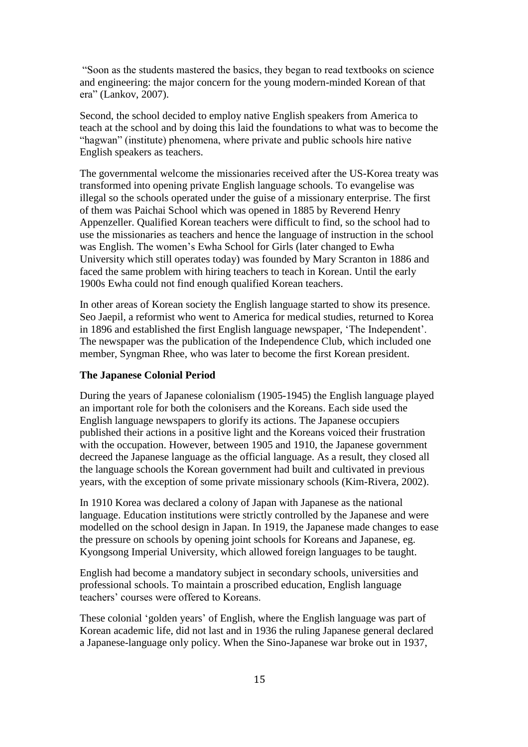"Soon as the students mastered the basics, they began to read textbooks on science and engineering: the major concern for the young modern-minded Korean of that era" (Lankov, 2007).

Second, the school decided to employ native English speakers from America to teach at the school and by doing this laid the foundations to what was to become the "hagwan" (institute) phenomena, where private and public schools hire native English speakers as teachers.

The governmental welcome the missionaries received after the US-Korea treaty was transformed into opening private English language schools. To evangelise was illegal so the schools operated under the guise of a missionary enterprise. The first of them was Paichai School which was opened in 1885 by Reverend Henry Appenzeller. Qualified Korean teachers were difficult to find, so the school had to use the missionaries as teachers and hence the language of instruction in the school was English. The women's Ewha School for Girls (later changed to Ewha University which still operates today) was founded by Mary Scranton in 1886 and faced the same problem with hiring teachers to teach in Korean. Until the early 1900s Ewha could not find enough qualified Korean teachers.

In other areas of Korean society the English language started to show its presence. Seo Jaepil, a reformist who went to America for medical studies, returned to Korea in 1896 and established the first English language newspaper, 'The Independent'. The newspaper was the publication of the Independence Club, which included one member, Syngman Rhee, who was later to become the first Korean president.

#### **The Japanese Colonial Period**

During the years of Japanese colonialism (1905-1945) the English language played an important role for both the colonisers and the Koreans. Each side used the English language newspapers to glorify its actions. The Japanese occupiers published their actions in a positive light and the Koreans voiced their frustration with the occupation. However, between 1905 and 1910, the Japanese government decreed the Japanese language as the official language. As a result, they closed all the language schools the Korean government had built and cultivated in previous years, with the exception of some private missionary schools (Kim-Rivera, 2002).

In 1910 Korea was declared a colony of Japan with Japanese as the national language. Education institutions were strictly controlled by the Japanese and were modelled on the school design in Japan. In 1919, the Japanese made changes to ease the pressure on schools by opening joint schools for Koreans and Japanese, eg. Kyongsong Imperial University, which allowed foreign languages to be taught.

English had become a mandatory subject in secondary schools, universities and professional schools. To maintain a proscribed education, English language teachers' courses were offered to Koreans.

These colonial 'golden years' of English, where the English language was part of Korean academic life, did not last and in 1936 the ruling Japanese general declared a Japanese-language only policy. When the Sino-Japanese war broke out in 1937,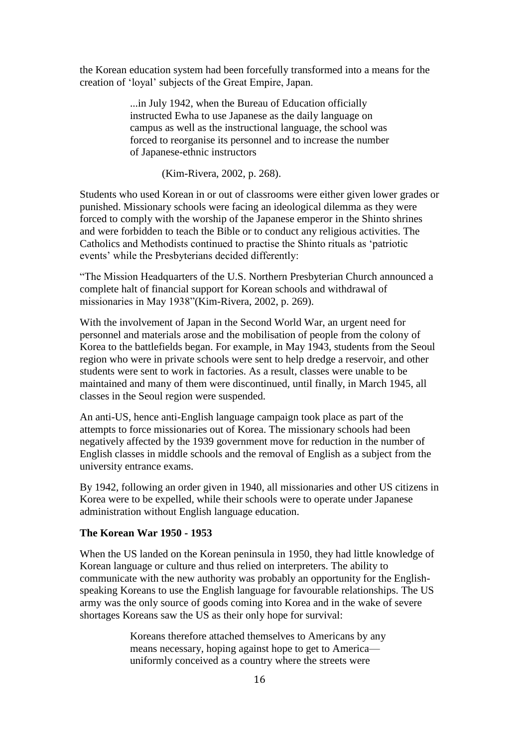the Korean education system had been forcefully transformed into a means for the creation of 'loyal' subjects of the Great Empire, Japan.

> ...in July 1942, when the Bureau of Education officially instructed Ewha to use Japanese as the daily language on campus as well as the instructional language, the school was forced to reorganise its personnel and to increase the number of Japanese-ethnic instructors

> > (Kim-Rivera, 2002, p. 268).

Students who used Korean in or out of classrooms were either given lower grades or punished. Missionary schools were facing an ideological dilemma as they were forced to comply with the worship of the Japanese emperor in the Shinto shrines and were forbidden to teach the Bible or to conduct any religious activities. The Catholics and Methodists continued to practise the Shinto rituals as 'patriotic events' while the Presbyterians decided differently:

"The Mission Headquarters of the U.S. Northern Presbyterian Church announced a complete halt of financial support for Korean schools and withdrawal of missionaries in May 1938"(Kim-Rivera, 2002, p. 269).

With the involvement of Japan in the Second World War, an urgent need for personnel and materials arose and the mobilisation of people from the colony of Korea to the battlefields began. For example, in May 1943, students from the Seoul region who were in private schools were sent to help dredge a reservoir, and other students were sent to work in factories. As a result, classes were unable to be maintained and many of them were discontinued, until finally, in March 1945, all classes in the Seoul region were suspended.

An anti-US, hence anti-English language campaign took place as part of the attempts to force missionaries out of Korea. The missionary schools had been negatively affected by the 1939 government move for reduction in the number of English classes in middle schools and the removal of English as a subject from the university entrance exams.

By 1942, following an order given in 1940, all missionaries and other US citizens in Korea were to be expelled, while their schools were to operate under Japanese administration without English language education.

#### **The Korean War 1950 - 1953**

When the US landed on the Korean peninsula in 1950, they had little knowledge of Korean language or culture and thus relied on interpreters. The ability to communicate with the new authority was probably an opportunity for the Englishspeaking Koreans to use the English language for favourable relationships. The US army was the only source of goods coming into Korea and in the wake of severe shortages Koreans saw the US as their only hope for survival:

> Koreans therefore attached themselves to Americans by any means necessary, hoping against hope to get to America uniformly conceived as a country where the streets were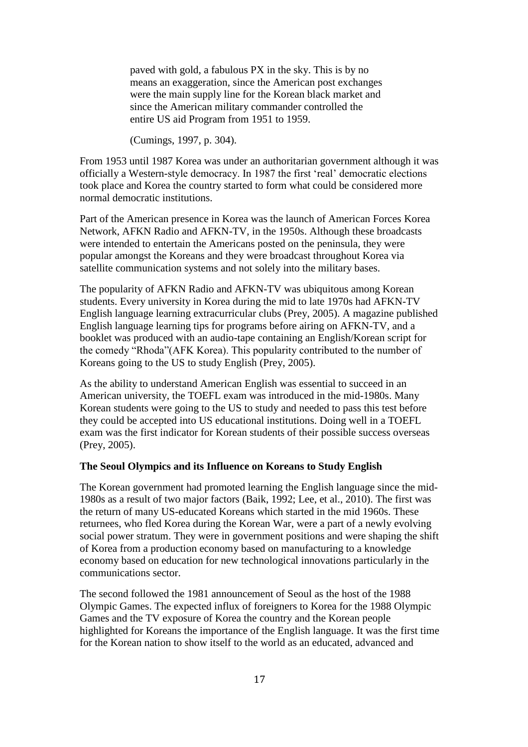paved with gold, a fabulous PX in the sky. This is by no means an exaggeration, since the American post exchanges were the main supply line for the Korean black market and since the American military commander controlled the entire US aid Program from 1951 to 1959.

(Cumings, 1997, p. 304).

From 1953 until 1987 Korea was under an authoritarian government although it was officially a Western-style democracy. In 1987 the first 'real' democratic elections took place and Korea the country started to form what could be considered more normal democratic institutions.

Part of the American presence in Korea was the launch of American Forces Korea Network, AFKN Radio and AFKN-TV, in the 1950s. Although these broadcasts were intended to entertain the Americans posted on the peninsula, they were popular amongst the Koreans and they were broadcast throughout Korea via satellite communication systems and not solely into the military bases.

The popularity of AFKN Radio and AFKN-TV was ubiquitous among Korean students. Every university in Korea during the mid to late 1970s had AFKN-TV English language learning extracurricular clubs (Prey, 2005). A magazine published English language learning tips for programs before airing on AFKN-TV, and a booklet was produced with an audio-tape containing an English/Korean script for the comedy "Rhoda"(AFK Korea). This popularity contributed to the number of Koreans going to the US to study English (Prey, 2005).

As the ability to understand American English was essential to succeed in an American university, the TOEFL exam was introduced in the mid-1980s. Many Korean students were going to the US to study and needed to pass this test before they could be accepted into US educational institutions. Doing well in a TOEFL exam was the first indicator for Korean students of their possible success overseas (Prey, 2005).

#### **The Seoul Olympics and its Influence on Koreans to Study English**

The Korean government had promoted learning the English language since the mid-1980s as a result of two major factors (Baik, 1992; Lee, et al., 2010). The first was the return of many US-educated Koreans which started in the mid 1960s. These returnees, who fled Korea during the Korean War, were a part of a newly evolving social power stratum. They were in government positions and were shaping the shift of Korea from a production economy based on manufacturing to a knowledge economy based on education for new technological innovations particularly in the communications sector.

The second followed the 1981 announcement of Seoul as the host of the 1988 Olympic Games. The expected influx of foreigners to Korea for the 1988 Olympic Games and the TV exposure of Korea the country and the Korean people highlighted for Koreans the importance of the English language. It was the first time for the Korean nation to show itself to the world as an educated, advanced and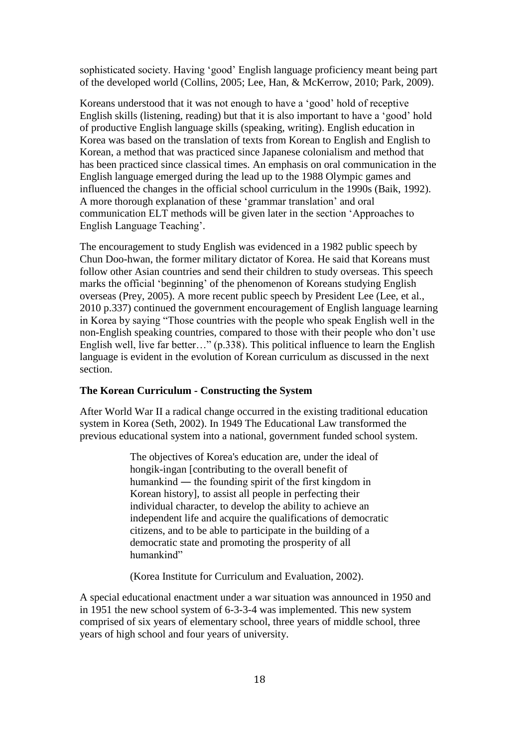sophisticated society. Having 'good' English language proficiency meant being part of the developed world (Collins, 2005; Lee, Han, & McKerrow, 2010; Park, 2009).

Koreans understood that it was not enough to have a 'good' hold of receptive English skills (listening, reading) but that it is also important to have a 'good' hold of productive English language skills (speaking, writing). English education in Korea was based on the translation of texts from Korean to English and English to Korean, a method that was practiced since Japanese colonialism and method that has been practiced since classical times. An emphasis on oral communication in the English language emerged during the lead up to the 1988 Olympic games and influenced the changes in the official school curriculum in the 1990s (Baik, 1992). A more thorough explanation of these 'grammar translation' and oral communication ELT methods will be given later in the section 'Approaches to English Language Teaching'.

The encouragement to study English was evidenced in a 1982 public speech by Chun Doo-hwan, the former military dictator of Korea. He said that Koreans must follow other Asian countries and send their children to study overseas. This speech marks the official 'beginning' of the phenomenon of Koreans studying English overseas (Prey, 2005). A more recent public speech by President Lee (Lee, et al., 2010 p.337) continued the government encouragement of English language learning in Korea by saying "Those countries with the people who speak English well in the non-English speaking countries, compared to those with their people who don't use English well, live far better…" (p.338). This political influence to learn the English language is evident in the evolution of Korean curriculum as discussed in the next section.

#### **The Korean Curriculum - Constructing the System**

After World War II a radical change occurred in the existing traditional education system in Korea (Seth, 2002). In 1949 The Educational Law transformed the previous educational system into a national, government funded school system.

> The objectives of Korea's education are, under the ideal of hongik-ingan [contributing to the overall benefit of humankind ― the founding spirit of the first kingdom in Korean history], to assist all people in perfecting their individual character, to develop the ability to achieve an independent life and acquire the qualifications of democratic citizens, and to be able to participate in the building of a democratic state and promoting the prosperity of all humankind"

(Korea Institute for Curriculum and Evaluation, 2002).

A special educational enactment under a war situation was announced in 1950 and in 1951 the new school system of 6-3-3-4 was implemented. This new system comprised of six years of elementary school, three years of middle school, three years of high school and four years of university.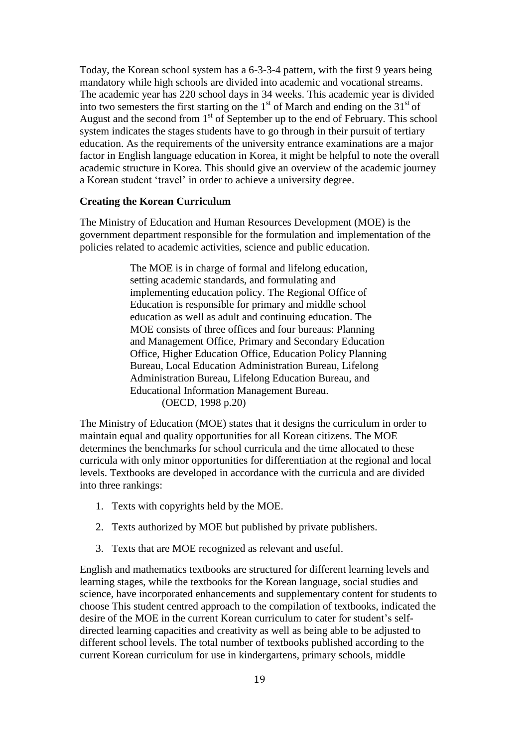Today, the Korean school system has a 6-3-3-4 pattern, with the first 9 years being mandatory while high schools are divided into academic and vocational streams. The academic year has 220 school days in 34 weeks. This academic year is divided into two semesters the first starting on the  $1<sup>st</sup>$  of March and ending on the  $31<sup>st</sup>$  of August and the second from  $1<sup>st</sup>$  of September up to the end of February. This school system indicates the stages students have to go through in their pursuit of tertiary education. As the requirements of the university entrance examinations are a major factor in English language education in Korea, it might be helpful to note the overall academic structure in Korea. This should give an overview of the academic journey a Korean student 'travel' in order to achieve a university degree.

#### **Creating the Korean Curriculum**

The Ministry of Education and Human Resources Development (MOE) is the government department responsible for the formulation and implementation of the policies related to academic activities, science and public education.

> The MOE is in charge of formal and lifelong education, setting academic standards, and formulating and implementing education policy. The Regional Office of Education is responsible for primary and middle school education as well as adult and continuing education. The MOE consists of three offices and four bureaus: Planning and Management Office, Primary and Secondary Education Office, Higher Education Office, Education Policy Planning Bureau, Local Education Administration Bureau, Lifelong Administration Bureau, Lifelong Education Bureau, and Educational Information Management Bureau. (OECD, 1998 p.20)

The Ministry of Education (MOE) states that it designs the curriculum in order to maintain equal and quality opportunities for all Korean citizens. The MOE determines the benchmarks for school curricula and the time allocated to these curricula with only minor opportunities for differentiation at the regional and local levels. Textbooks are developed in accordance with the curricula and are divided into three rankings:

- 1. Texts with copyrights held by the MOE.
- 2. Texts authorized by MOE but published by private publishers.
- 3. Texts that are MOE recognized as relevant and useful.

English and mathematics textbooks are structured for different learning levels and learning stages, while the textbooks for the Korean language, social studies and science, have incorporated enhancements and supplementary content for students to choose This student centred approach to the compilation of textbooks, indicated the desire of the MOE in the current Korean curriculum to cater for student's selfdirected learning capacities and creativity as well as being able to be adjusted to different school levels. The total number of textbooks published according to the current Korean curriculum for use in kindergartens, primary schools, middle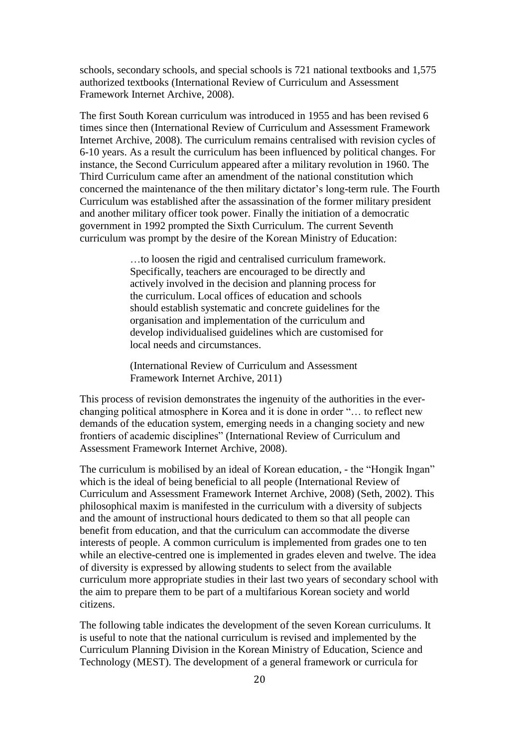schools, secondary schools, and special schools is 721 national textbooks and 1,575 authorized textbooks (International Review of Curriculum and Assessment Framework Internet Archive, 2008).

The first South Korean curriculum was introduced in 1955 and has been revised 6 times since then (International Review of Curriculum and Assessment Framework Internet Archive, 2008). The curriculum remains centralised with revision cycles of 6-10 years. As a result the curriculum has been influenced by political changes. For instance, the Second Curriculum appeared after a military revolution in 1960. The Third Curriculum came after an amendment of the national constitution which concerned the maintenance of the then military dictator's long-term rule. The Fourth Curriculum was established after the assassination of the former military president and another military officer took power. Finally the initiation of a democratic government in 1992 prompted the Sixth Curriculum. The current Seventh curriculum was prompt by the desire of the Korean Ministry of Education:

> …to loosen the rigid and centralised curriculum framework. Specifically, teachers are encouraged to be directly and actively involved in the decision and planning process for the curriculum. Local offices of education and schools should establish systematic and concrete guidelines for the organisation and implementation of the curriculum and develop individualised guidelines which are customised for local needs and circumstances.

(International Review of Curriculum and Assessment Framework Internet Archive, 2011)

This process of revision demonstrates the ingenuity of the authorities in the everchanging political atmosphere in Korea and it is done in order "… to reflect new demands of the education system, emerging needs in a changing society and new frontiers of academic disciplines" (International Review of Curriculum and Assessment Framework Internet Archive, 2008).

The curriculum is mobilised by an ideal of Korean education, - the "Hongik Ingan" which is the ideal of being beneficial to all people (International Review of Curriculum and Assessment Framework Internet Archive, 2008) (Seth, 2002). This philosophical maxim is manifested in the curriculum with a diversity of subjects and the amount of instructional hours dedicated to them so that all people can benefit from education, and that the curriculum can accommodate the diverse interests of people. A common curriculum is implemented from grades one to ten while an elective-centred one is implemented in grades eleven and twelve. The idea of diversity is expressed by allowing students to select from the available curriculum more appropriate studies in their last two years of secondary school with the aim to prepare them to be part of a multifarious Korean society and world citizens.

The following table indicates the development of the seven Korean curriculums. It is useful to note that the national curriculum is revised and implemented by the Curriculum Planning Division in the Korean Ministry of Education, Science and Technology (MEST). The development of a general framework or curricula for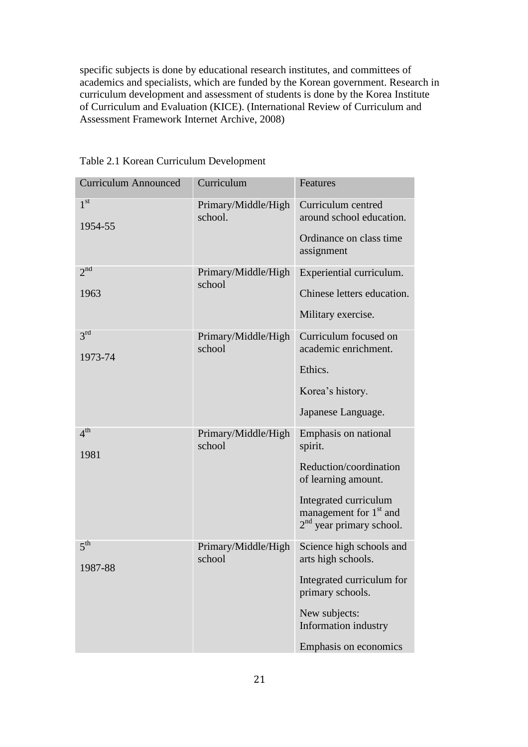specific subjects is done by educational research institutes, and committees of academics and specialists, which are funded by the Korean government. Research in curriculum development and assessment of students is done by the Korea Institute of Curriculum and Evaluation (KICE). (International Review of Curriculum and Assessment Framework Internet Archive, 2008)

| <b>Curriculum Announced</b> | Curriculum                     | Features                                                                                                                                                                      |
|-----------------------------|--------------------------------|-------------------------------------------------------------------------------------------------------------------------------------------------------------------------------|
| 1 <sup>st</sup><br>1954-55  | Primary/Middle/High<br>school. | Curriculum centred<br>around school education.<br>Ordinance on class time<br>assignment                                                                                       |
| 2 <sup>nd</sup><br>1963     | Primary/Middle/High<br>school  | Experiential curriculum.<br>Chinese letters education.<br>Military exercise.                                                                                                  |
| 3 <sup>rd</sup><br>1973-74  | Primary/Middle/High<br>school  | Curriculum focused on<br>academic enrichment.<br>Ethics.<br>Korea's history.<br>Japanese Language.                                                                            |
| 4 <sup>th</sup><br>1981     | Primary/Middle/High<br>school  | Emphasis on national<br>spirit.<br>Reduction/coordination<br>of learning amount.<br>Integrated curriculum<br>management for 1 <sup>st</sup> and<br>$2nd$ year primary school. |
| 5 <sup>th</sup><br>1987-88  | Primary/Middle/High<br>school  | Science high schools and<br>arts high schools.<br>Integrated curriculum for<br>primary schools.<br>New subjects:<br>Information industry<br>Emphasis on economics             |

Table 2.1 Korean Curriculum Development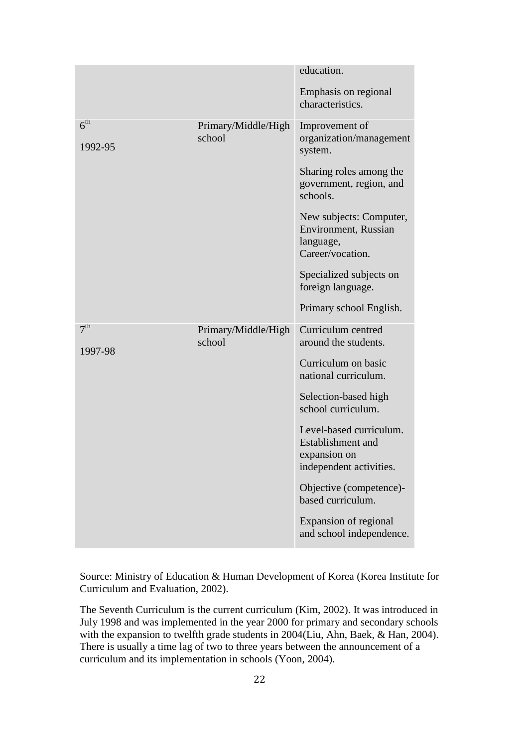|                            |                               | education.                                                                                     |
|----------------------------|-------------------------------|------------------------------------------------------------------------------------------------|
|                            |                               | Emphasis on regional<br>characteristics.                                                       |
| 6 <sup>th</sup><br>1992-95 | Primary/Middle/High<br>school | Improvement of<br>organization/management<br>system.                                           |
|                            |                               | Sharing roles among the<br>government, region, and<br>schools.                                 |
|                            |                               | New subjects: Computer,<br><b>Environment</b> , Russian<br>language,<br>Career/vocation.       |
|                            |                               | Specialized subjects on<br>foreign language.                                                   |
|                            |                               | Primary school English.                                                                        |
| 7 <sup>th</sup><br>1997-98 | Primary/Middle/High<br>school | Curriculum centred<br>around the students.                                                     |
|                            |                               | Curriculum on basic<br>national curriculum.                                                    |
|                            |                               | Selection-based high<br>school curriculum.                                                     |
|                            |                               | Level-based curriculum.<br><b>Establishment</b> and<br>expansion on<br>independent activities. |
|                            |                               | Objective (competence)-<br>based curriculum.                                                   |
|                            |                               | Expansion of regional<br>and school independence.                                              |

Source: Ministry of Education & Human Development of Korea (Korea Institute for Curriculum and Evaluation, 2002).

The Seventh Curriculum is the current curriculum (Kim, 2002). It was introduced in July 1998 and was implemented in the year 2000 for primary and secondary schools with the expansion to twelfth grade students in 2004(Liu, Ahn, Baek, & Han, 2004). There is usually a time lag of two to three years between the announcement of a curriculum and its implementation in schools (Yoon, 2004).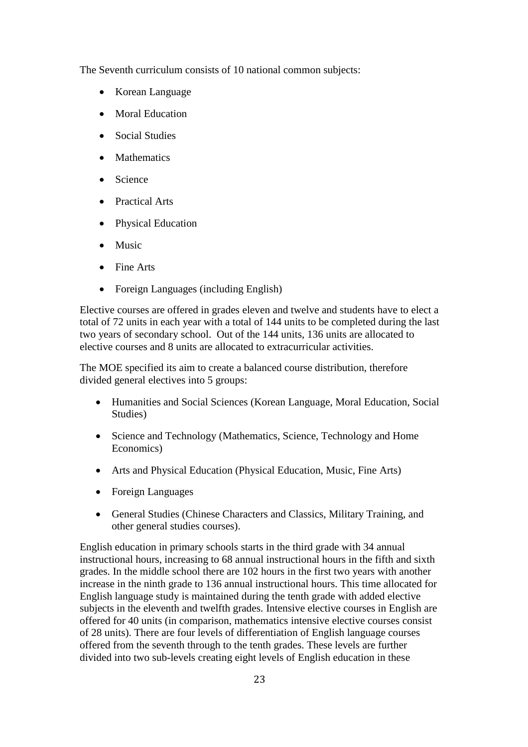The Seventh curriculum consists of 10 national common subjects:

- Korean Language
- Moral Education
- Social Studies
- Mathematics
- Science
- Practical Arts
- Physical Education
- Music
- Fine Arts
- Foreign Languages (including English)

Elective courses are offered in grades eleven and twelve and students have to elect a total of 72 units in each year with a total of 144 units to be completed during the last two years of secondary school. Out of the 144 units, 136 units are allocated to elective courses and 8 units are allocated to extracurricular activities.

The MOE specified its aim to create a balanced course distribution, therefore divided general electives into 5 groups:

- Humanities and Social Sciences (Korean Language, Moral Education, Social Studies)
- Science and Technology (Mathematics, Science, Technology and Home Economics)
- Arts and Physical Education (Physical Education, Music, Fine Arts)
- Foreign Languages
- General Studies (Chinese Characters and Classics, Military Training, and other general studies courses).

English education in primary schools starts in the third grade with 34 annual instructional hours, increasing to 68 annual instructional hours in the fifth and sixth grades. In the middle school there are 102 hours in the first two years with another increase in the ninth grade to 136 annual instructional hours. This time allocated for English language study is maintained during the tenth grade with added elective subjects in the eleventh and twelfth grades. Intensive elective courses in English are offered for 40 units (in comparison, mathematics intensive elective courses consist of 28 units). There are four levels of differentiation of English language courses offered from the seventh through to the tenth grades. These levels are further divided into two sub-levels creating eight levels of English education in these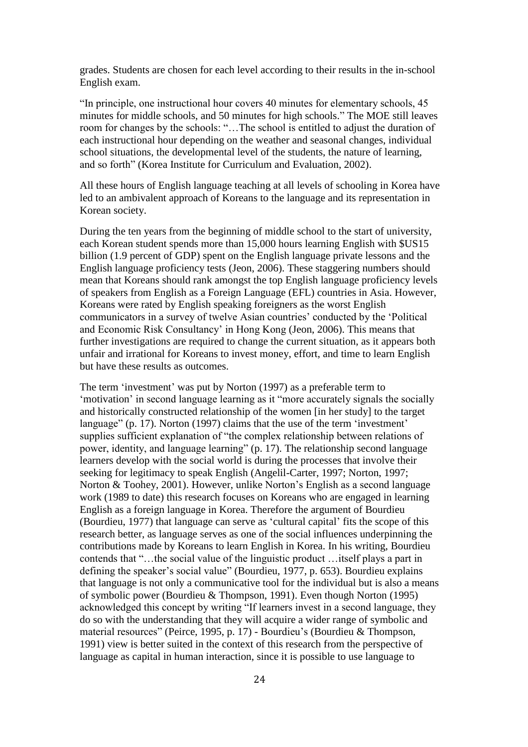grades. Students are chosen for each level according to their results in the in-school English exam.

"In principle, one instructional hour covers 40 minutes for elementary schools, 45 minutes for middle schools, and 50 minutes for high schools." The MOE still leaves room for changes by the schools: "…The school is entitled to adjust the duration of each instructional hour depending on the weather and seasonal changes, individual school situations, the developmental level of the students, the nature of learning, and so forth" (Korea Institute for Curriculum and Evaluation, 2002).

All these hours of English language teaching at all levels of schooling in Korea have led to an ambivalent approach of Koreans to the language and its representation in Korean society.

During the ten years from the beginning of middle school to the start of university, each Korean student spends more than 15,000 hours learning English with \$US15 billion (1.9 percent of GDP) spent on the English language private lessons and the English language proficiency tests (Jeon, 2006). These staggering numbers should mean that Koreans should rank amongst the top English language proficiency levels of speakers from English as a Foreign Language (EFL) countries in Asia. However, Koreans were rated by English speaking foreigners as the worst English communicators in a survey of twelve Asian countries' conducted by the 'Political and Economic Risk Consultancy' in Hong Kong (Jeon, 2006). This means that further investigations are required to change the current situation, as it appears both unfair and irrational for Koreans to invest money, effort, and time to learn English but have these results as outcomes.

The term 'investment' was put by Norton (1997) as a preferable term to 'motivation' in second language learning as it "more accurately signals the socially and historically constructed relationship of the women [in her study] to the target language" (p. 17). Norton (1997) claims that the use of the term 'investment' supplies sufficient explanation of "the complex relationship between relations of power, identity, and language learning" (p. 17). The relationship second language learners develop with the social world is during the processes that involve their seeking for legitimacy to speak English (Angelil-Carter, 1997; Norton, 1997; Norton & Toohey, 2001). However, unlike Norton's English as a second language work (1989 to date) this research focuses on Koreans who are engaged in learning English as a foreign language in Korea. Therefore the argument of Bourdieu (Bourdieu, 1977) that language can serve as 'cultural capital' fits the scope of this research better, as language serves as one of the social influences underpinning the contributions made by Koreans to learn English in Korea. In his writing, Bourdieu contends that "…the social value of the linguistic product …itself plays a part in defining the speaker's social value" (Bourdieu, 1977, p. 653). Bourdieu explains that language is not only a communicative tool for the individual but is also a means of symbolic power (Bourdieu & Thompson, 1991). Even though Norton (1995) acknowledged this concept by writing "If learners invest in a second language, they do so with the understanding that they will acquire a wider range of symbolic and material resources" (Peirce, 1995, p. 17) - Bourdieu's (Bourdieu & Thompson, 1991) view is better suited in the context of this research from the perspective of language as capital in human interaction, since it is possible to use language to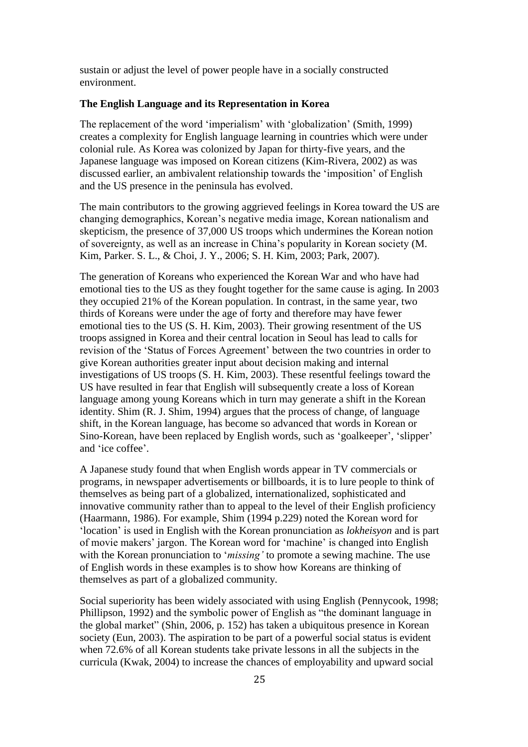sustain or adjust the level of power people have in a socially constructed environment.

#### **The English Language and its Representation in Korea**

The replacement of the word 'imperialism' with 'globalization' (Smith, 1999) creates a complexity for English language learning in countries which were under colonial rule. As Korea was colonized by Japan for thirty-five years, and the Japanese language was imposed on Korean citizens (Kim-Rivera, 2002) as was discussed earlier, an ambivalent relationship towards the 'imposition' of English and the US presence in the peninsula has evolved.

The main contributors to the growing aggrieved feelings in Korea toward the US are changing demographics, Korean's negative media image, Korean nationalism and skepticism, the presence of 37,000 US troops which undermines the Korean notion of sovereignty, as well as an increase in China's popularity in Korean society (M. Kim, Parker. S. L., & Choi, J. Y., 2006; S. H. Kim, 2003; Park, 2007).

The generation of Koreans who experienced the Korean War and who have had emotional ties to the US as they fought together for the same cause is aging. In 2003 they occupied 21% of the Korean population. In contrast, in the same year, two thirds of Koreans were under the age of forty and therefore may have fewer emotional ties to the US (S. H. Kim, 2003). Their growing resentment of the US troops assigned in Korea and their central location in Seoul has lead to calls for revision of the 'Status of Forces Agreement' between the two countries in order to give Korean authorities greater input about decision making and internal investigations of US troops (S. H. Kim, 2003). These resentful feelings toward the US have resulted in fear that English will subsequently create a loss of Korean language among young Koreans which in turn may generate a shift in the Korean identity. Shim (R. J. Shim, 1994) argues that the process of change, of language shift, in the Korean language, has become so advanced that words in Korean or Sino-Korean, have been replaced by English words, such as 'goalkeeper', 'slipper' and 'ice coffee'.

A Japanese study found that when English words appear in TV commercials or programs, in newspaper advertisements or billboards, it is to lure people to think of themselves as being part of a globalized, internationalized, sophisticated and innovative community rather than to appeal to the level of their English proficiency (Haarmann, 1986). For example, Shim (1994 p.229) noted the Korean word for 'location' is used in English with the Korean pronunciation as *lokheisyon* and is part of movie makers' jargon. The Korean word for 'machine' is changed into English with the Korean pronunciation to '*missing'* to promote a sewing machine. The use of English words in these examples is to show how Koreans are thinking of themselves as part of a globalized community.

Social superiority has been widely associated with using English (Pennycook, 1998; Phillipson, 1992) and the symbolic power of English as "the dominant language in the global market" (Shin, 2006, p. 152) has taken a ubiquitous presence in Korean society (Eun, 2003). The aspiration to be part of a powerful social status is evident when 72.6% of all Korean students take private lessons in all the subjects in the curricula (Kwak, 2004) to increase the chances of employability and upward social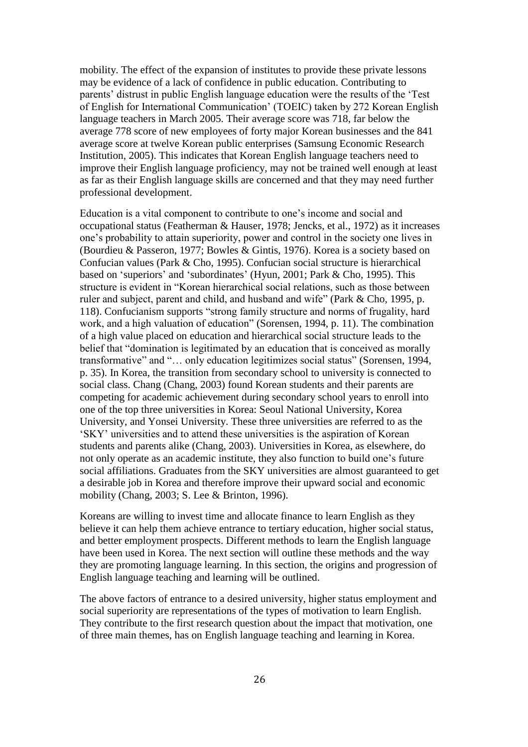mobility. The effect of the expansion of institutes to provide these private lessons may be evidence of a lack of confidence in public education. Contributing to parents' distrust in public English language education were the results of the 'Test of English for International Communication' (TOEIC) taken by 272 Korean English language teachers in March 2005. Their average score was 718, far below the average 778 score of new employees of forty major Korean businesses and the 841 average score at twelve Korean public enterprises (Samsung Economic Research Institution, 2005). This indicates that Korean English language teachers need to improve their English language proficiency, may not be trained well enough at least as far as their English language skills are concerned and that they may need further professional development.

Education is a vital component to contribute to one's income and social and occupational status (Featherman & Hauser, 1978; Jencks, et al., 1972) as it increases one's probability to attain superiority, power and control in the society one lives in (Bourdieu & Passeron, 1977; Bowles & Gintis, 1976). Korea is a society based on Confucian values (Park & Cho, 1995). Confucian social structure is hierarchical based on 'superiors' and 'subordinates' (Hyun, 2001; Park & Cho, 1995). This structure is evident in "Korean hierarchical social relations, such as those between ruler and subject, parent and child, and husband and wife" (Park & Cho, 1995, p. 118). Confucianism supports "strong family structure and norms of frugality, hard work, and a high valuation of education" (Sorensen, 1994, p. 11). The combination of a high value placed on education and hierarchical social structure leads to the belief that "domination is legitimated by an education that is conceived as morally transformative" and "… only education legitimizes social status" (Sorensen, 1994, p. 35). In Korea, the transition from secondary school to university is connected to social class. Chang (Chang, 2003) found Korean students and their parents are competing for academic achievement during secondary school years to enroll into one of the top three universities in Korea: Seoul National University, Korea University, and Yonsei University. These three universities are referred to as the 'SKY' universities and to attend these universities is the aspiration of Korean students and parents alike (Chang, 2003). Universities in Korea, as elsewhere, do not only operate as an academic institute, they also function to build one's future social affiliations. Graduates from the SKY universities are almost guaranteed to get a desirable job in Korea and therefore improve their upward social and economic mobility (Chang, 2003; S. Lee & Brinton, 1996).

Koreans are willing to invest time and allocate finance to learn English as they believe it can help them achieve entrance to tertiary education, higher social status, and better employment prospects. Different methods to learn the English language have been used in Korea. The next section will outline these methods and the way they are promoting language learning. In this section, the origins and progression of English language teaching and learning will be outlined.

The above factors of entrance to a desired university, higher status employment and social superiority are representations of the types of motivation to learn English. They contribute to the first research question about the impact that motivation, one of three main themes, has on English language teaching and learning in Korea.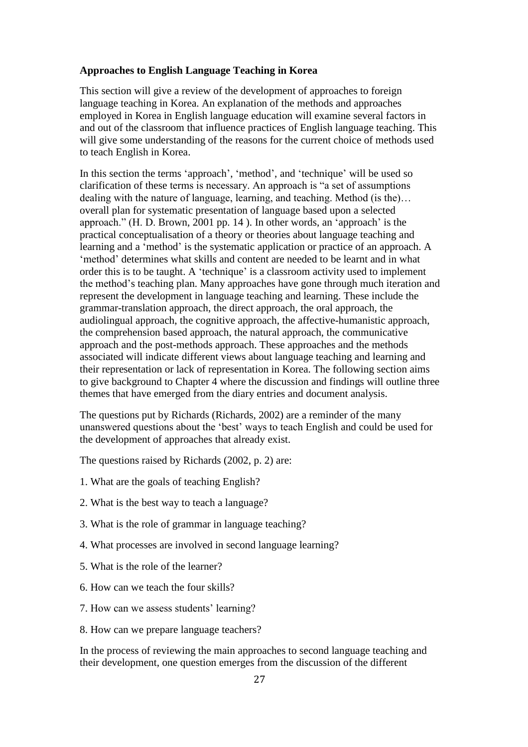#### **Approaches to English Language Teaching in Korea**

This section will give a review of the development of approaches to foreign language teaching in Korea. An explanation of the methods and approaches employed in Korea in English language education will examine several factors in and out of the classroom that influence practices of English language teaching. This will give some understanding of the reasons for the current choice of methods used to teach English in Korea.

In this section the terms 'approach', 'method', and 'technique' will be used so clarification of these terms is necessary. An approach is "a set of assumptions dealing with the nature of language, learning, and teaching. Method (is the)… overall plan for systematic presentation of language based upon a selected approach." (H. D. Brown, 2001 pp. 14 ). In other words, an 'approach' is the practical conceptualisation of a theory or theories about language teaching and learning and a 'method' is the systematic application or practice of an approach. A 'method' determines what skills and content are needed to be learnt and in what order this is to be taught. A 'technique' is a classroom activity used to implement the method's teaching plan. Many approaches have gone through much iteration and represent the development in language teaching and learning. These include the grammar-translation approach, the direct approach, the oral approach, the audiolingual approach, the cognitive approach, the affective-humanistic approach, the comprehension based approach, the natural approach, the communicative approach and the post-methods approach. These approaches and the methods associated will indicate different views about language teaching and learning and their representation or lack of representation in Korea. The following section aims to give background to Chapter 4 where the discussion and findings will outline three themes that have emerged from the diary entries and document analysis.

The questions put by Richards (Richards, 2002) are a reminder of the many unanswered questions about the 'best' ways to teach English and could be used for the development of approaches that already exist.

The questions raised by Richards (2002, p. 2) are:

- 1. What are the goals of teaching English?
- 2. What is the best way to teach a language?
- 3. What is the role of grammar in language teaching?
- 4. What processes are involved in second language learning?
- 5. What is the role of the learner?
- 6. How can we teach the four skills?
- 7. How can we assess students' learning?
- 8. How can we prepare language teachers?

In the process of reviewing the main approaches to second language teaching and their development, one question emerges from the discussion of the different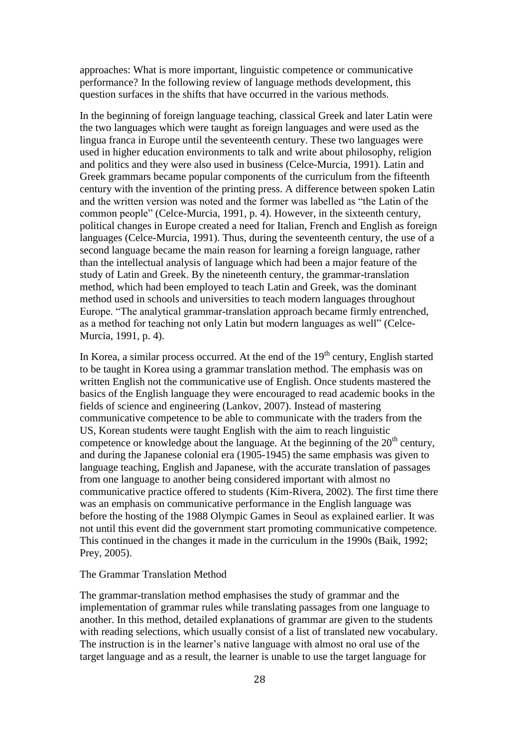approaches: What is more important, linguistic competence or communicative performance? In the following review of language methods development, this question surfaces in the shifts that have occurred in the various methods.

In the beginning of foreign language teaching, classical Greek and later Latin were the two languages which were taught as foreign languages and were used as the lingua franca in Europe until the seventeenth century. These two languages were used in higher education environments to talk and write about philosophy, religion and politics and they were also used in business (Celce-Murcia, 1991). Latin and Greek grammars became popular components of the curriculum from the fifteenth century with the invention of the printing press. A difference between spoken Latin and the written version was noted and the former was labelled as "the Latin of the common people" (Celce-Murcia, 1991, p. 4). However, in the sixteenth century, political changes in Europe created a need for Italian, French and English as foreign languages (Celce-Murcia, 1991). Thus, during the seventeenth century, the use of a second language became the main reason for learning a foreign language, rather than the intellectual analysis of language which had been a major feature of the study of Latin and Greek. By the nineteenth century, the grammar-translation method, which had been employed to teach Latin and Greek, was the dominant method used in schools and universities to teach modern languages throughout Europe. "The analytical grammar-translation approach became firmly entrenched, as a method for teaching not only Latin but modern languages as well" (Celce-Murcia, 1991, p. 4).

In Korea, a similar process occurred. At the end of the  $19<sup>th</sup>$  century, English started to be taught in Korea using a grammar translation method. The emphasis was on written English not the communicative use of English. Once students mastered the basics of the English language they were encouraged to read academic books in the fields of science and engineering (Lankov, 2007). Instead of mastering communicative competence to be able to communicate with the traders from the US, Korean students were taught English with the aim to reach linguistic competence or knowledge about the language. At the beginning of the  $20<sup>th</sup>$  century, and during the Japanese colonial era (1905-1945) the same emphasis was given to language teaching, English and Japanese, with the accurate translation of passages from one language to another being considered important with almost no communicative practice offered to students (Kim-Rivera, 2002). The first time there was an emphasis on communicative performance in the English language was before the hosting of the 1988 Olympic Games in Seoul as explained earlier. It was not until this event did the government start promoting communicative competence. This continued in the changes it made in the curriculum in the 1990s (Baik, 1992; Prey, 2005).

#### The Grammar Translation Method

The grammar-translation method emphasises the study of grammar and the implementation of grammar rules while translating passages from one language to another. In this method, detailed explanations of grammar are given to the students with reading selections, which usually consist of a list of translated new vocabulary. The instruction is in the learner's native language with almost no oral use of the target language and as a result, the learner is unable to use the target language for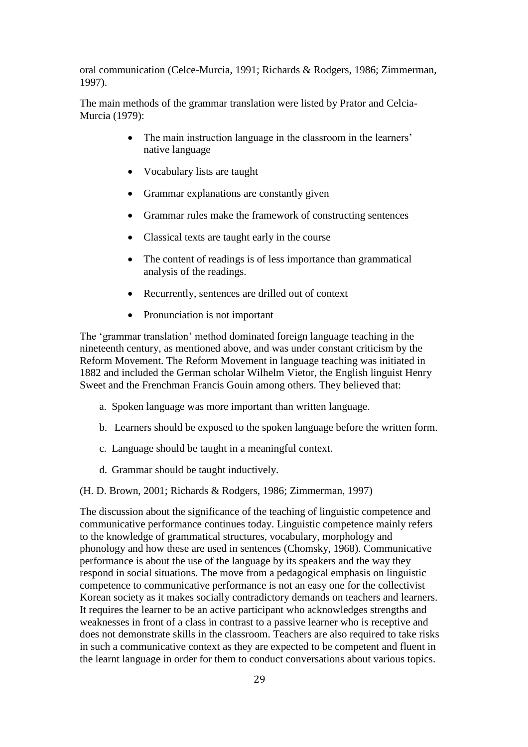oral communication (Celce-Murcia, 1991; Richards & Rodgers, 1986; Zimmerman, 1997).

The main methods of the grammar translation were listed by Prator and Celcia-Murcia (1979):

- The main instruction language in the classroom in the learners' native language
- Vocabulary lists are taught
- Grammar explanations are constantly given
- Grammar rules make the framework of constructing sentences
- Classical texts are taught early in the course
- The content of readings is of less importance than grammatical analysis of the readings.
- Recurrently, sentences are drilled out of context
- Pronunciation is not important

The 'grammar translation' method dominated foreign language teaching in the nineteenth century, as mentioned above, and was under constant criticism by the Reform Movement. The Reform Movement in language teaching was initiated in 1882 and included the German scholar Wilhelm Vietor, the English linguist Henry Sweet and the Frenchman Francis Gouin among others. They believed that:

- a. Spoken language was more important than written language.
- b. Learners should be exposed to the spoken language before the written form.
- c. Language should be taught in a meaningful context.
- d. Grammar should be taught inductively.

(H. D. Brown, 2001; Richards & Rodgers, 1986; Zimmerman, 1997)

The discussion about the significance of the teaching of linguistic competence and communicative performance continues today. Linguistic competence mainly refers to the knowledge of grammatical structures, vocabulary, morphology and phonology and how these are used in sentences (Chomsky, 1968). Communicative performance is about the use of the language by its speakers and the way they respond in social situations. The move from a pedagogical emphasis on linguistic competence to communicative performance is not an easy one for the collectivist Korean society as it makes socially contradictory demands on teachers and learners. It requires the learner to be an active participant who acknowledges strengths and weaknesses in front of a class in contrast to a passive learner who is receptive and does not demonstrate skills in the classroom. Teachers are also required to take risks in such a communicative context as they are expected to be competent and fluent in the learnt language in order for them to conduct conversations about various topics.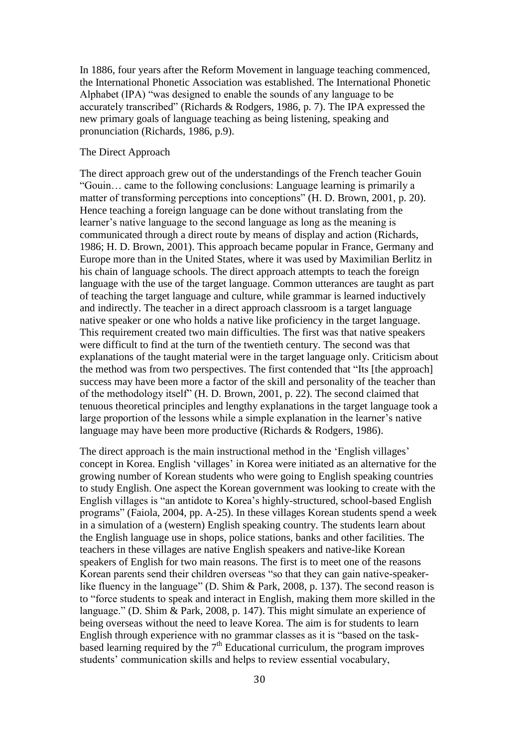In 1886, four years after the Reform Movement in language teaching commenced, the International Phonetic Association was established. The International Phonetic Alphabet (IPA) "was designed to enable the sounds of any language to be accurately transcribed" (Richards & Rodgers, 1986, p. 7). The IPA expressed the new primary goals of language teaching as being listening, speaking and pronunciation (Richards, 1986, p.9).

#### The Direct Approach

The direct approach grew out of the understandings of the French teacher Gouin "Gouin… came to the following conclusions: Language learning is primarily a matter of transforming perceptions into conceptions" (H. D. Brown, 2001, p. 20). Hence teaching a foreign language can be done without translating from the learner's native language to the second language as long as the meaning is communicated through a direct route by means of display and action (Richards, 1986; H. D. Brown, 2001). This approach became popular in France, Germany and Europe more than in the United States, where it was used by Maximilian Berlitz in his chain of language schools. The direct approach attempts to teach the foreign language with the use of the target language. Common utterances are taught as part of teaching the target language and culture, while grammar is learned inductively and indirectly. The teacher in a direct approach classroom is a target language native speaker or one who holds a native like proficiency in the target language. This requirement created two main difficulties. The first was that native speakers were difficult to find at the turn of the twentieth century. The second was that explanations of the taught material were in the target language only. Criticism about the method was from two perspectives. The first contended that "Its [the approach] success may have been more a factor of the skill and personality of the teacher than of the methodology itself" (H. D. Brown, 2001, p. 22). The second claimed that tenuous theoretical principles and lengthy explanations in the target language took a large proportion of the lessons while a simple explanation in the learner's native language may have been more productive (Richards & Rodgers, 1986).

The direct approach is the main instructional method in the 'English villages' concept in Korea. English 'villages' in Korea were initiated as an alternative for the growing number of Korean students who were going to English speaking countries to study English. One aspect the Korean government was looking to create with the English villages is "an antidote to Korea's highly-structured, school-based English programs" (Faiola, 2004, pp. A-25). In these villages Korean students spend a week in a simulation of a (western) English speaking country. The students learn about the English language use in shops, police stations, banks and other facilities. The teachers in these villages are native English speakers and native-like Korean speakers of English for two main reasons. The first is to meet one of the reasons Korean parents send their children overseas "so that they can gain native-speakerlike fluency in the language" (D. Shim & Park, 2008, p. 137). The second reason is to "force students to speak and interact in English, making them more skilled in the language." (D. Shim & Park, 2008, p. 147). This might simulate an experience of being overseas without the need to leave Korea. The aim is for students to learn English through experience with no grammar classes as it is "based on the taskbased learning required by the  $7<sup>th</sup>$  Educational curriculum, the program improves students' communication skills and helps to review essential vocabulary,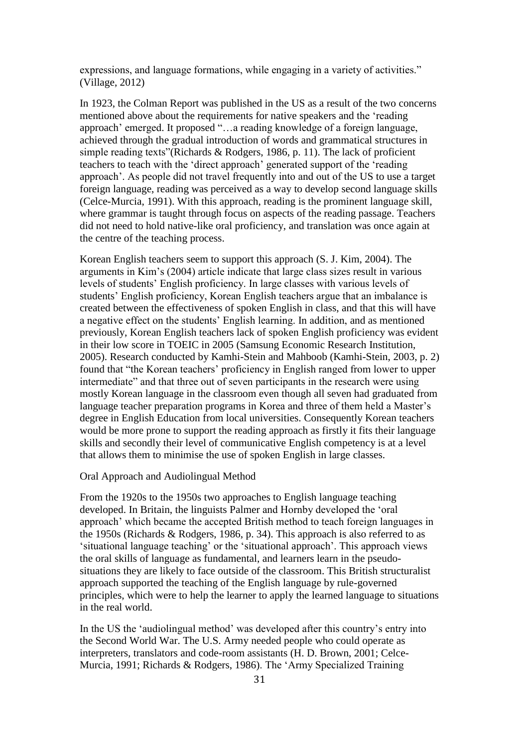expressions, and language formations, while engaging in a variety of activities." (Village, 2012)

In 1923, the Colman Report was published in the US as a result of the two concerns mentioned above about the requirements for native speakers and the 'reading approach' emerged. It proposed "…a reading knowledge of a foreign language, achieved through the gradual introduction of words and grammatical structures in simple reading texts"(Richards & Rodgers, 1986, p. 11). The lack of proficient teachers to teach with the 'direct approach' generated support of the 'reading approach'. As people did not travel frequently into and out of the US to use a target foreign language, reading was perceived as a way to develop second language skills (Celce-Murcia, 1991). With this approach, reading is the prominent language skill, where grammar is taught through focus on aspects of the reading passage. Teachers did not need to hold native-like oral proficiency, and translation was once again at the centre of the teaching process.

Korean English teachers seem to support this approach (S. J. Kim, 2004). The arguments in Kim's (2004) article indicate that large class sizes result in various levels of students' English proficiency. In large classes with various levels of students' English proficiency, Korean English teachers argue that an imbalance is created between the effectiveness of spoken English in class, and that this will have a negative effect on the students' English learning. In addition, and as mentioned previously, Korean English teachers lack of spoken English proficiency was evident in their low score in TOEIC in 2005 (Samsung Economic Research Institution, 2005). Research conducted by Kamhi-Stein and Mahboob (Kamhi-Stein, 2003, p. 2) found that "the Korean teachers' proficiency in English ranged from lower to upper intermediate" and that three out of seven participants in the research were using mostly Korean language in the classroom even though all seven had graduated from language teacher preparation programs in Korea and three of them held a Master's degree in English Education from local universities. Consequently Korean teachers would be more prone to support the reading approach as firstly it fits their language skills and secondly their level of communicative English competency is at a level that allows them to minimise the use of spoken English in large classes.

#### Oral Approach and Audiolingual Method

From the 1920s to the 1950s two approaches to English language teaching developed. In Britain, the linguists Palmer and Hornby developed the 'oral approach' which became the accepted British method to teach foreign languages in the 1950s (Richards & Rodgers, 1986, p. 34). This approach is also referred to as 'situational language teaching' or the 'situational approach'. This approach views the oral skills of language as fundamental, and learners learn in the pseudosituations they are likely to face outside of the classroom. This British structuralist approach supported the teaching of the English language by rule-governed principles, which were to help the learner to apply the learned language to situations in the real world.

In the US the 'audiolingual method' was developed after this country's entry into the Second World War. The U.S. Army needed people who could operate as interpreters, translators and code-room assistants (H. D. Brown, 2001; Celce-Murcia, 1991; Richards & Rodgers, 1986). The 'Army Specialized Training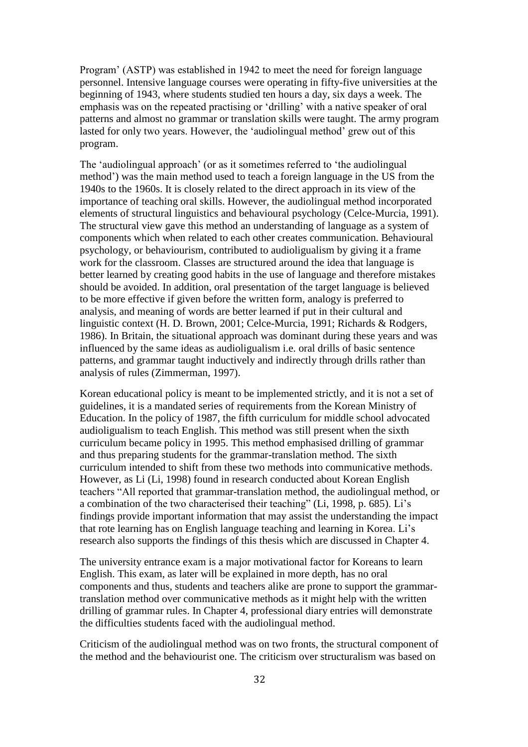Program' (ASTP) was established in 1942 to meet the need for foreign language personnel. Intensive language courses were operating in fifty-five universities at the beginning of 1943, where students studied ten hours a day, six days a week. The emphasis was on the repeated practising or 'drilling' with a native speaker of oral patterns and almost no grammar or translation skills were taught. The army program lasted for only two years. However, the 'audiolingual method' grew out of this program.

The 'audiolingual approach' (or as it sometimes referred to 'the audiolingual method') was the main method used to teach a foreign language in the US from the 1940s to the 1960s. It is closely related to the direct approach in its view of the importance of teaching oral skills. However, the audiolingual method incorporated elements of structural linguistics and behavioural psychology (Celce-Murcia, 1991). The structural view gave this method an understanding of language as a system of components which when related to each other creates communication. Behavioural psychology, or behaviourism, contributed to audioligualism by giving it a frame work for the classroom. Classes are structured around the idea that language is better learned by creating good habits in the use of language and therefore mistakes should be avoided. In addition, oral presentation of the target language is believed to be more effective if given before the written form, analogy is preferred to analysis, and meaning of words are better learned if put in their cultural and linguistic context (H. D. Brown, 2001; Celce-Murcia, 1991; Richards & Rodgers, 1986). In Britain, the situational approach was dominant during these years and was influenced by the same ideas as audioligualism i.e. oral drills of basic sentence patterns, and grammar taught inductively and indirectly through drills rather than analysis of rules (Zimmerman, 1997).

Korean educational policy is meant to be implemented strictly, and it is not a set of guidelines, it is a mandated series of requirements from the Korean Ministry of Education. In the policy of 1987, the fifth curriculum for middle school advocated audioligualism to teach English. This method was still present when the sixth curriculum became policy in 1995. This method emphasised drilling of grammar and thus preparing students for the grammar-translation method. The sixth curriculum intended to shift from these two methods into communicative methods. However, as Li (Li, 1998) found in research conducted about Korean English teachers "All reported that grammar-translation method, the audiolingual method, or a combination of the two characterised their teaching" (Li, 1998, p. 685). Li's findings provide important information that may assist the understanding the impact that rote learning has on English language teaching and learning in Korea. Li's research also supports the findings of this thesis which are discussed in Chapter 4.

The university entrance exam is a major motivational factor for Koreans to learn English. This exam, as later will be explained in more depth, has no oral components and thus, students and teachers alike are prone to support the grammartranslation method over communicative methods as it might help with the written drilling of grammar rules. In Chapter 4, professional diary entries will demonstrate the difficulties students faced with the audiolingual method.

Criticism of the audiolingual method was on two fronts, the structural component of the method and the behaviourist one. The criticism over structuralism was based on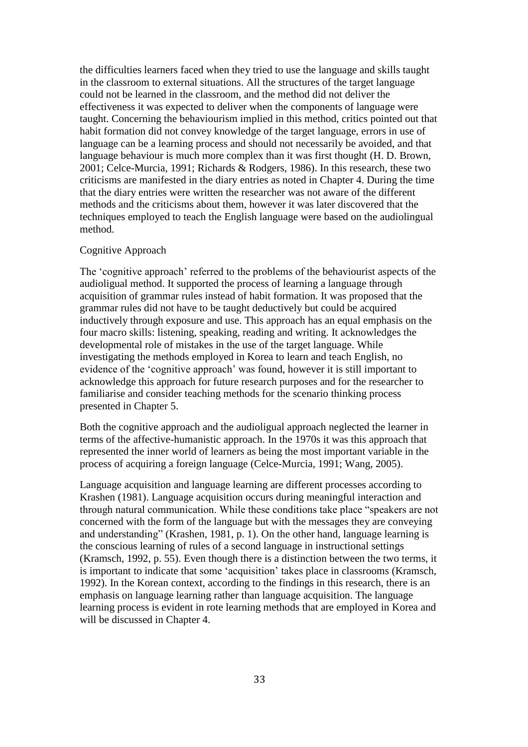the difficulties learners faced when they tried to use the language and skills taught in the classroom to external situations. All the structures of the target language could not be learned in the classroom, and the method did not deliver the effectiveness it was expected to deliver when the components of language were taught. Concerning the behaviourism implied in this method, critics pointed out that habit formation did not convey knowledge of the target language, errors in use of language can be a learning process and should not necessarily be avoided, and that language behaviour is much more complex than it was first thought (H. D. Brown, 2001; Celce-Murcia, 1991; Richards & Rodgers, 1986). In this research, these two criticisms are manifested in the diary entries as noted in Chapter 4. During the time that the diary entries were written the researcher was not aware of the different methods and the criticisms about them, however it was later discovered that the techniques employed to teach the English language were based on the audiolingual method.

#### Cognitive Approach

The 'cognitive approach' referred to the problems of the behaviourist aspects of the audioligual method. It supported the process of learning a language through acquisition of grammar rules instead of habit formation. It was proposed that the grammar rules did not have to be taught deductively but could be acquired inductively through exposure and use. This approach has an equal emphasis on the four macro skills: listening, speaking, reading and writing. It acknowledges the developmental role of mistakes in the use of the target language. While investigating the methods employed in Korea to learn and teach English, no evidence of the 'cognitive approach' was found, however it is still important to acknowledge this approach for future research purposes and for the researcher to familiarise and consider teaching methods for the scenario thinking process presented in Chapter 5.

Both the cognitive approach and the audioligual approach neglected the learner in terms of the affective-humanistic approach. In the 1970s it was this approach that represented the inner world of learners as being the most important variable in the process of acquiring a foreign language (Celce-Murcia, 1991; Wang, 2005).

Language acquisition and language learning are different processes according to Krashen (1981). Language acquisition occurs during meaningful interaction and through natural communication. While these conditions take place "speakers are not concerned with the form of the language but with the messages they are conveying and understanding" (Krashen, 1981, p. 1). On the other hand, language learning is the conscious learning of rules of a second language in instructional settings (Kramsch, 1992, p. 55). Even though there is a distinction between the two terms, it is important to indicate that some 'acquisition' takes place in classrooms (Kramsch, 1992). In the Korean context, according to the findings in this research, there is an emphasis on language learning rather than language acquisition. The language learning process is evident in rote learning methods that are employed in Korea and will be discussed in Chapter 4.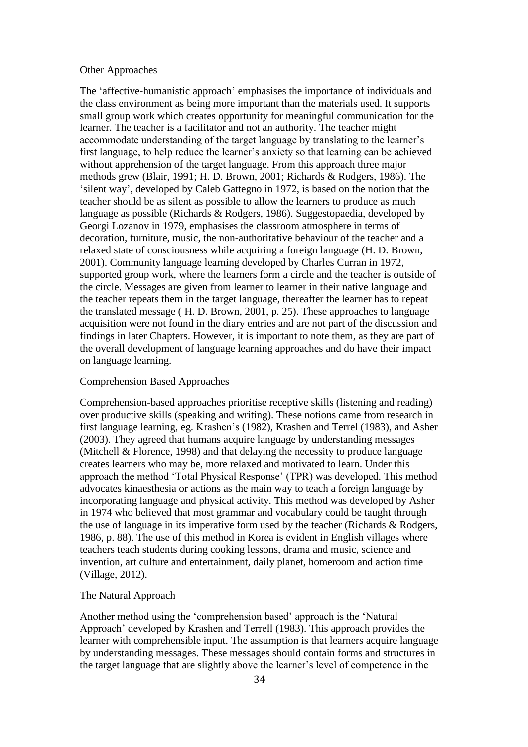#### Other Approaches

The 'affective-humanistic approach' emphasises the importance of individuals and the class environment as being more important than the materials used. It supports small group work which creates opportunity for meaningful communication for the learner. The teacher is a facilitator and not an authority. The teacher might accommodate understanding of the target language by translating to the learner's first language, to help reduce the learner's anxiety so that learning can be achieved without apprehension of the target language. From this approach three major methods grew (Blair, 1991; H. D. Brown, 2001; Richards & Rodgers, 1986). The 'silent way', developed by Caleb Gattegno in 1972, is based on the notion that the teacher should be as silent as possible to allow the learners to produce as much language as possible (Richards & Rodgers, 1986). Suggestopaedia, developed by Georgi Lozanov in 1979, emphasises the classroom atmosphere in terms of decoration, furniture, music, the non-authoritative behaviour of the teacher and a relaxed state of consciousness while acquiring a foreign language (H. D. Brown, 2001). Community language learning developed by Charles Curran in 1972, supported group work, where the learners form a circle and the teacher is outside of the circle. Messages are given from learner to learner in their native language and the teacher repeats them in the target language, thereafter the learner has to repeat the translated message ( H. D. Brown, 2001, p. 25). These approaches to language acquisition were not found in the diary entries and are not part of the discussion and findings in later Chapters. However, it is important to note them, as they are part of the overall development of language learning approaches and do have their impact on language learning.

#### Comprehension Based Approaches

Comprehension-based approaches prioritise receptive skills (listening and reading) over productive skills (speaking and writing). These notions came from research in first language learning, eg. Krashen's (1982), Krashen and Terrel (1983), and Asher (2003). They agreed that humans acquire language by understanding messages (Mitchell & Florence, 1998) and that delaying the necessity to produce language creates learners who may be, more relaxed and motivated to learn. Under this approach the method 'Total Physical Response' (TPR) was developed. This method advocates kinaesthesia or actions as the main way to teach a foreign language by incorporating language and physical activity. This method was developed by Asher in 1974 who believed that most grammar and vocabulary could be taught through the use of language in its imperative form used by the teacher (Richards & Rodgers, 1986, p. 88). The use of this method in Korea is evident in English villages where teachers teach students during cooking lessons, drama and music, science and invention, art culture and entertainment, daily planet, homeroom and action time (Village, 2012).

#### The Natural Approach

Another method using the 'comprehension based' approach is the 'Natural Approach' developed by Krashen and Terrell (1983). This approach provides the learner with comprehensible input. The assumption is that learners acquire language by understanding messages. These messages should contain forms and structures in the target language that are slightly above the learner's level of competence in the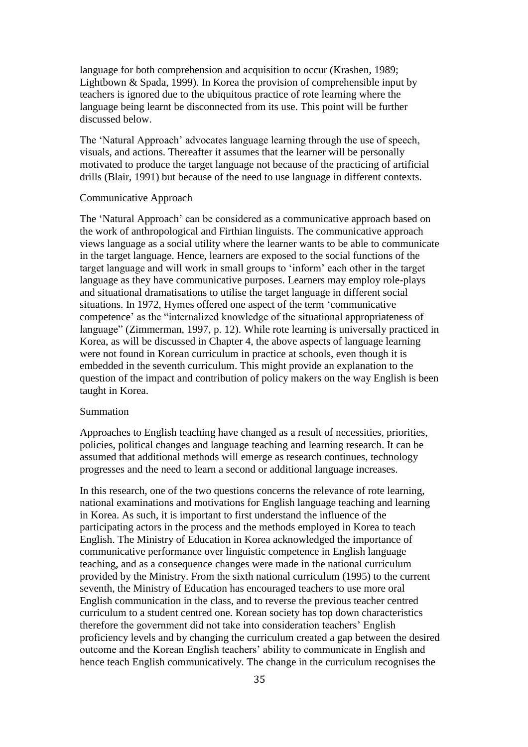language for both comprehension and acquisition to occur (Krashen, 1989; Lightbown & Spada, 1999). In Korea the provision of comprehensible input by teachers is ignored due to the ubiquitous practice of rote learning where the language being learnt be disconnected from its use. This point will be further discussed below.

The 'Natural Approach' advocates language learning through the use of speech, visuals, and actions. Thereafter it assumes that the learner will be personally motivated to produce the target language not because of the practicing of artificial drills (Blair, 1991) but because of the need to use language in different contexts.

#### Communicative Approach

The 'Natural Approach' can be considered as a communicative approach based on the work of anthropological and Firthian linguists. The communicative approach views language as a social utility where the learner wants to be able to communicate in the target language. Hence, learners are exposed to the social functions of the target language and will work in small groups to 'inform' each other in the target language as they have communicative purposes. Learners may employ role-plays and situational dramatisations to utilise the target language in different social situations. In 1972, Hymes offered one aspect of the term 'communicative competence' as the "internalized knowledge of the situational appropriateness of language" (Zimmerman, 1997, p. 12). While rote learning is universally practiced in Korea, as will be discussed in Chapter 4, the above aspects of language learning were not found in Korean curriculum in practice at schools, even though it is embedded in the seventh curriculum. This might provide an explanation to the question of the impact and contribution of policy makers on the way English is been taught in Korea.

#### Summation

Approaches to English teaching have changed as a result of necessities, priorities, policies, political changes and language teaching and learning research. It can be assumed that additional methods will emerge as research continues, technology progresses and the need to learn a second or additional language increases.

In this research, one of the two questions concerns the relevance of rote learning, national examinations and motivations for English language teaching and learning in Korea. As such, it is important to first understand the influence of the participating actors in the process and the methods employed in Korea to teach English. The Ministry of Education in Korea acknowledged the importance of communicative performance over linguistic competence in English language teaching, and as a consequence changes were made in the national curriculum provided by the Ministry. From the sixth national curriculum (1995) to the current seventh, the Ministry of Education has encouraged teachers to use more oral English communication in the class, and to reverse the previous teacher centred curriculum to a student centred one. Korean society has top down characteristics therefore the government did not take into consideration teachers' English proficiency levels and by changing the curriculum created a gap between the desired outcome and the Korean English teachers' ability to communicate in English and hence teach English communicatively. The change in the curriculum recognises the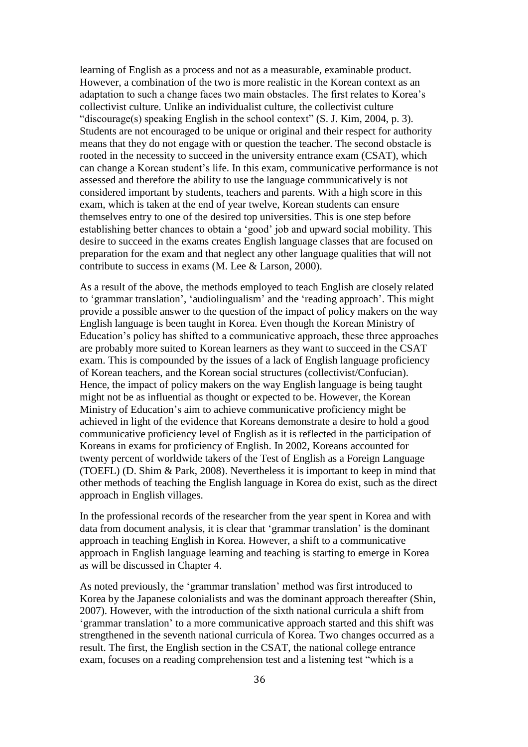learning of English as a process and not as a measurable, examinable product. However, a combination of the two is more realistic in the Korean context as an adaptation to such a change faces two main obstacles. The first relates to Korea's collectivist culture. Unlike an individualist culture, the collectivist culture "discourage(s) speaking English in the school context" (S. J. Kim, 2004, p. 3). Students are not encouraged to be unique or original and their respect for authority means that they do not engage with or question the teacher. The second obstacle is rooted in the necessity to succeed in the university entrance exam (CSAT), which can change a Korean student's life. In this exam, communicative performance is not assessed and therefore the ability to use the language communicatively is not considered important by students, teachers and parents. With a high score in this exam, which is taken at the end of year twelve, Korean students can ensure themselves entry to one of the desired top universities. This is one step before establishing better chances to obtain a 'good' job and upward social mobility. This desire to succeed in the exams creates English language classes that are focused on preparation for the exam and that neglect any other language qualities that will not contribute to success in exams (M. Lee & Larson, 2000).

As a result of the above, the methods employed to teach English are closely related to 'grammar translation', 'audiolingualism' and the 'reading approach'. This might provide a possible answer to the question of the impact of policy makers on the way English language is been taught in Korea. Even though the Korean Ministry of Education's policy has shifted to a communicative approach, these three approaches are probably more suited to Korean learners as they want to succeed in the CSAT exam. This is compounded by the issues of a lack of English language proficiency of Korean teachers, and the Korean social structures (collectivist/Confucian). Hence, the impact of policy makers on the way English language is being taught might not be as influential as thought or expected to be. However, the Korean Ministry of Education's aim to achieve communicative proficiency might be achieved in light of the evidence that Koreans demonstrate a desire to hold a good communicative proficiency level of English as it is reflected in the participation of Koreans in exams for proficiency of English. In 2002, Koreans accounted for twenty percent of worldwide takers of the Test of English as a Foreign Language (TOEFL) (D. Shim & Park, 2008). Nevertheless it is important to keep in mind that other methods of teaching the English language in Korea do exist, such as the direct approach in English villages.

In the professional records of the researcher from the year spent in Korea and with data from document analysis, it is clear that 'grammar translation' is the dominant approach in teaching English in Korea. However, a shift to a communicative approach in English language learning and teaching is starting to emerge in Korea as will be discussed in Chapter 4.

As noted previously, the 'grammar translation' method was first introduced to Korea by the Japanese colonialists and was the dominant approach thereafter (Shin, 2007). However, with the introduction of the sixth national curricula a shift from 'grammar translation' to a more communicative approach started and this shift was strengthened in the seventh national curricula of Korea. Two changes occurred as a result. The first, the English section in the CSAT, the national college entrance exam, focuses on a reading comprehension test and a listening test "which is a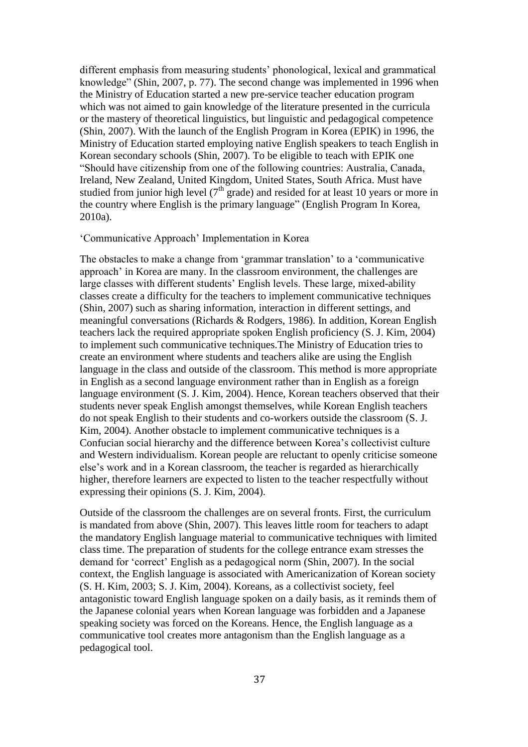different emphasis from measuring students' phonological, lexical and grammatical knowledge" (Shin, 2007, p. 77). The second change was implemented in 1996 when the Ministry of Education started a new pre-service teacher education program which was not aimed to gain knowledge of the literature presented in the curricula or the mastery of theoretical linguistics, but linguistic and pedagogical competence (Shin, 2007). With the launch of the English Program in Korea (EPIK) in 1996, the Ministry of Education started employing native English speakers to teach English in Korean secondary schools (Shin, 2007). To be eligible to teach with EPIK one "Should have citizenship from one of the following countries: Australia, Canada, Ireland, New Zealand, United Kingdom, United States, South Africa. Must have studied from junior high level  $(7<sup>th</sup> grade)$  and resided for at least 10 years or more in the country where English is the primary language" (English Program In Korea, 2010a).

## 'Communicative Approach' Implementation in Korea

The obstacles to make a change from 'grammar translation' to a 'communicative approach' in Korea are many. In the classroom environment, the challenges are large classes with different students' English levels. These large, mixed-ability classes create a difficulty for the teachers to implement communicative techniques (Shin, 2007) such as sharing information, interaction in different settings, and meaningful conversations (Richards & Rodgers, 1986). In addition, Korean English teachers lack the required appropriate spoken English proficiency (S. J. Kim, 2004) to implement such communicative techniques.The Ministry of Education tries to create an environment where students and teachers alike are using the English language in the class and outside of the classroom. This method is more appropriate in English as a second language environment rather than in English as a foreign language environment (S. J. Kim, 2004). Hence, Korean teachers observed that their students never speak English amongst themselves, while Korean English teachers do not speak English to their students and co-workers outside the classroom (S. J. Kim, 2004). Another obstacle to implement communicative techniques is a Confucian social hierarchy and the difference between Korea's collectivist culture and Western individualism. Korean people are reluctant to openly criticise someone else's work and in a Korean classroom, the teacher is regarded as hierarchically higher, therefore learners are expected to listen to the teacher respectfully without expressing their opinions (S. J. Kim, 2004).

Outside of the classroom the challenges are on several fronts. First, the curriculum is mandated from above (Shin, 2007). This leaves little room for teachers to adapt the mandatory English language material to communicative techniques with limited class time. The preparation of students for the college entrance exam stresses the demand for 'correct' English as a pedagogical norm (Shin, 2007). In the social context, the English language is associated with Americanization of Korean society (S. H. Kim, 2003; S. J. Kim, 2004). Koreans, as a collectivist society, feel antagonistic toward English language spoken on a daily basis, as it reminds them of the Japanese colonial years when Korean language was forbidden and a Japanese speaking society was forced on the Koreans. Hence, the English language as a communicative tool creates more antagonism than the English language as a pedagogical tool.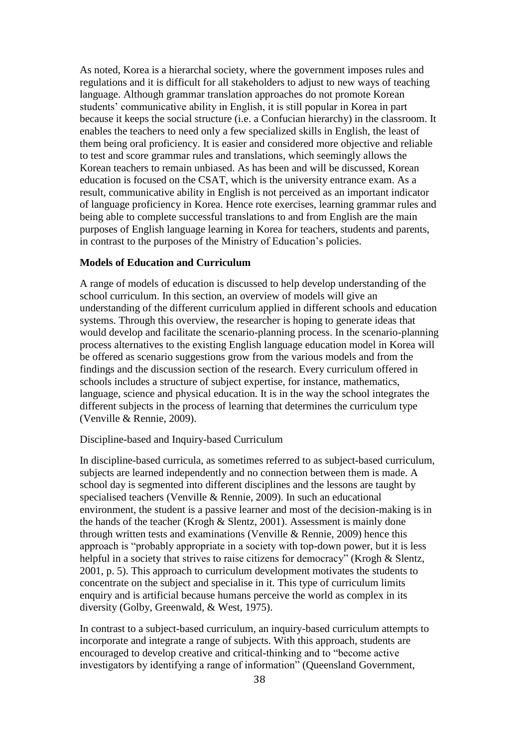As noted, Korea is a hierarchal society, where the government imposes rules and regulations and it is difficult for all stakeholders to adjust to new ways of teaching language. Although grammar translation approaches do not promote Korean students' communicative ability in English, it is still popular in Korea in part because it keeps the social structure (i.e. a Confucian hierarchy) in the classroom. It enables the teachers to need only a few specialized skills in English, the least of them being oral proficiency. It is easier and considered more objective and reliable to test and score grammar rules and translations, which seemingly allows the Korean teachers to remain unbiased. As has been and will be discussed, Korean education is focused on the CSAT, which is the university entrance exam. As a result, communicative ability in English is not perceived as an important indicator of language proficiency in Korea. Hence rote exercises, learning grammar rules and being able to complete successful translations to and from English are the main purposes of English language learning in Korea for teachers, students and parents, in contrast to the purposes of the Ministry of Education's policies.

## **Models of Education and Curriculum**

A range of models of education is discussed to help develop understanding of the school curriculum. In this section, an overview of models will give an understanding of the different curriculum applied in different schools and education systems. Through this overview, the researcher is hoping to generate ideas that would develop and facilitate the scenario-planning process. In the scenario-planning process alternatives to the existing English language education model in Korea will be offered as scenario suggestions grow from the various models and from the findings and the discussion section of the research. Every curriculum offered in schools includes a structure of subject expertise, for instance, mathematics, language, science and physical education. It is in the way the school integrates the different subjects in the process of learning that determines the curriculum type (Venville & Rennie, 2009).

#### Discipline-based and Inquiry-based Curriculum

In discipline-based curricula, as sometimes referred to as subject-based curriculum, subjects are learned independently and no connection between them is made. A school day is segmented into different disciplines and the lessons are taught by specialised teachers (Venville & Rennie, 2009). In such an educational environment, the student is a passive learner and most of the decision-making is in the hands of the teacher (Krogh & Slentz, 2001). Assessment is mainly done through written tests and examinations (Venville & Rennie, 2009) hence this approach is "probably appropriate in a society with top-down power, but it is less helpful in a society that strives to raise citizens for democracy" (Krogh & Slentz, 2001, p. 5). This approach to curriculum development motivates the students to concentrate on the subject and specialise in it. This type of curriculum limits enquiry and is artificial because humans perceive the world as complex in its diversity (Golby, Greenwald, & West, 1975).

In contrast to a subject-based curriculum, an inquiry-based curriculum attempts to incorporate and integrate a range of subjects. With this approach, students are encouraged to develop creative and critical-thinking and to "become active investigators by identifying a range of information" (Queensland Government,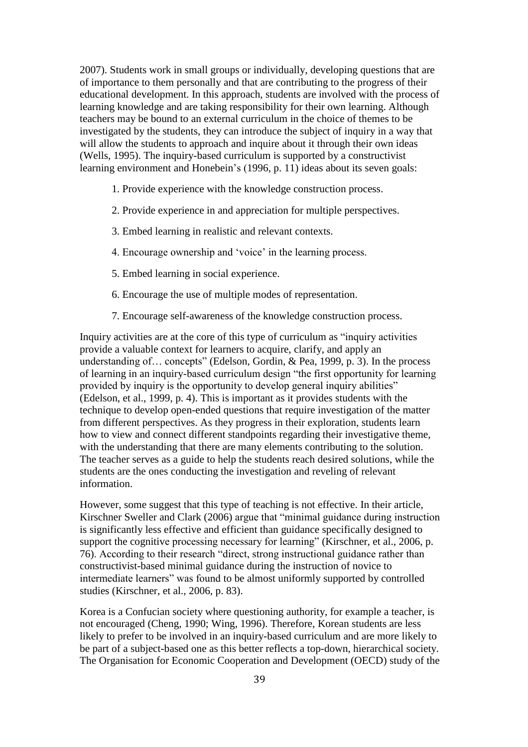2007). Students work in small groups or individually, developing questions that are of importance to them personally and that are contributing to the progress of their educational development. In this approach, students are involved with the process of learning knowledge and are taking responsibility for their own learning. Although teachers may be bound to an external curriculum in the choice of themes to be investigated by the students, they can introduce the subject of inquiry in a way that will allow the students to approach and inquire about it through their own ideas (Wells, 1995). The inquiry-based curriculum is supported by a constructivist learning environment and Honebein's (1996, p. 11) ideas about its seven goals:

- 1. Provide experience with the knowledge construction process.
- 2. Provide experience in and appreciation for multiple perspectives.
- 3. Embed learning in realistic and relevant contexts.
- 4. Encourage ownership and 'voice' in the learning process.
- 5. Embed learning in social experience.
- 6. Encourage the use of multiple modes of representation.
- 7. Encourage self-awareness of the knowledge construction process.

Inquiry activities are at the core of this type of curriculum as "inquiry activities provide a valuable context for learners to acquire, clarify, and apply an understanding of… concepts" (Edelson, Gordin, & Pea, 1999, p. 3). In the process of learning in an inquiry-based curriculum design "the first opportunity for learning provided by inquiry is the opportunity to develop general inquiry abilities" (Edelson, et al., 1999, p. 4). This is important as it provides students with the technique to develop open-ended questions that require investigation of the matter from different perspectives. As they progress in their exploration, students learn how to view and connect different standpoints regarding their investigative theme, with the understanding that there are many elements contributing to the solution. The teacher serves as a guide to help the students reach desired solutions, while the students are the ones conducting the investigation and reveling of relevant information.

However, some suggest that this type of teaching is not effective. In their article, Kirschner Sweller and Clark (2006) argue that "minimal guidance during instruction is significantly less effective and efficient than guidance specifically designed to support the cognitive processing necessary for learning" (Kirschner, et al., 2006, p. 76). According to their research "direct, strong instructional guidance rather than constructivist-based minimal guidance during the instruction of novice to intermediate learners" was found to be almost uniformly supported by controlled studies (Kirschner, et al., 2006, p. 83).

Korea is a Confucian society where questioning authority, for example a teacher, is not encouraged (Cheng, 1990; Wing, 1996). Therefore, Korean students are less likely to prefer to be involved in an inquiry-based curriculum and are more likely to be part of a subject-based one as this better reflects a top-down, hierarchical society. The Organisation for Economic Cooperation and Development (OECD) study of the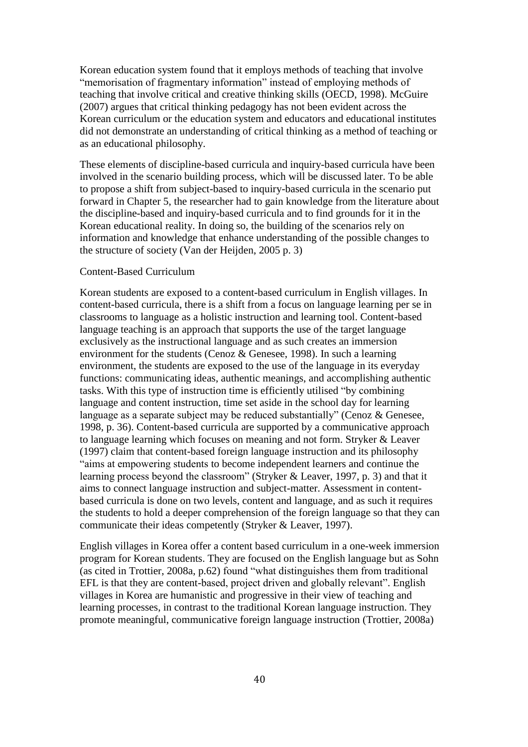Korean education system found that it employs methods of teaching that involve "memorisation of fragmentary information" instead of employing methods of teaching that involve critical and creative thinking skills (OECD, 1998). McGuire (2007) argues that critical thinking pedagogy has not been evident across the Korean curriculum or the education system and educators and educational institutes did not demonstrate an understanding of critical thinking as a method of teaching or as an educational philosophy.

These elements of discipline-based curricula and inquiry-based curricula have been involved in the scenario building process, which will be discussed later. To be able to propose a shift from subject-based to inquiry-based curricula in the scenario put forward in Chapter 5, the researcher had to gain knowledge from the literature about the discipline-based and inquiry-based curricula and to find grounds for it in the Korean educational reality. In doing so, the building of the scenarios rely on information and knowledge that enhance understanding of the possible changes to the structure of society (Van der Heijden, 2005 p. 3)

## Content-Based Curriculum

Korean students are exposed to a content-based curriculum in English villages. In content-based curricula, there is a shift from a focus on language learning per se in classrooms to language as a holistic instruction and learning tool. Content-based language teaching is an approach that supports the use of the target language exclusively as the instructional language and as such creates an immersion environment for the students (Cenoz & Genesee, 1998). In such a learning environment, the students are exposed to the use of the language in its everyday functions: communicating ideas, authentic meanings, and accomplishing authentic tasks. With this type of instruction time is efficiently utilised "by combining language and content instruction, time set aside in the school day for learning language as a separate subject may be reduced substantially" (Cenoz & Genesee, 1998, p. 36). Content-based curricula are supported by a communicative approach to language learning which focuses on meaning and not form. Stryker & Leaver (1997) claim that content-based foreign language instruction and its philosophy "aims at empowering students to become independent learners and continue the learning process beyond the classroom" (Stryker & Leaver, 1997, p. 3) and that it aims to connect language instruction and subject-matter. Assessment in contentbased curricula is done on two levels, content and language, and as such it requires the students to hold a deeper comprehension of the foreign language so that they can communicate their ideas competently (Stryker & Leaver, 1997).

English villages in Korea offer a content based curriculum in a one-week immersion program for Korean students. They are focused on the English language but as Sohn (as cited in Trottier, 2008a, p.62) found "what distinguishes them from traditional EFL is that they are content-based, project driven and globally relevant". English villages in Korea are humanistic and progressive in their view of teaching and learning processes, in contrast to the traditional Korean language instruction. They promote meaningful, communicative foreign language instruction (Trottier, 2008a)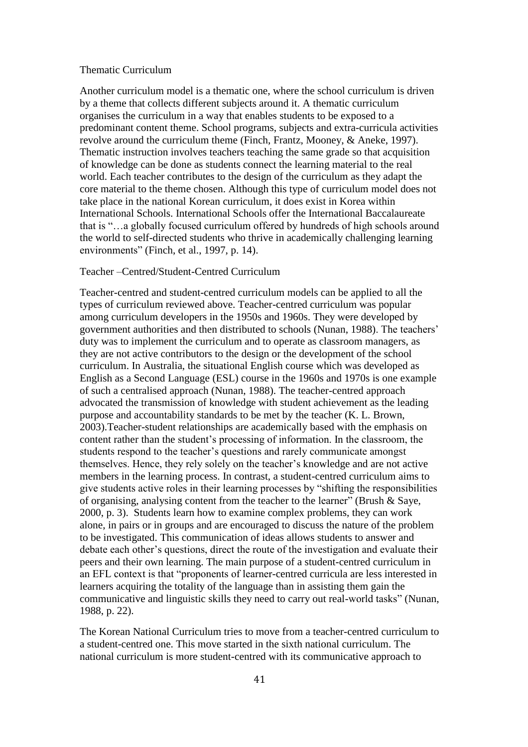#### Thematic Curriculum

Another curriculum model is a thematic one, where the school curriculum is driven by a theme that collects different subjects around it. A thematic curriculum organises the curriculum in a way that enables students to be exposed to a predominant content theme. School programs, subjects and extra-curricula activities revolve around the curriculum theme (Finch, Frantz, Mooney, & Aneke, 1997). Thematic instruction involves teachers teaching the same grade so that acquisition of knowledge can be done as students connect the learning material to the real world. Each teacher contributes to the design of the curriculum as they adapt the core material to the theme chosen. Although this type of curriculum model does not take place in the national Korean curriculum, it does exist in Korea within International Schools. International Schools offer the International Baccalaureate that is "…a globally focused curriculum offered by hundreds of high schools around the world to self-directed students who thrive in academically challenging learning environments" (Finch, et al., 1997, p. 14).

## Teacher –Centred/Student-Centred Curriculum

Teacher-centred and student-centred curriculum models can be applied to all the types of curriculum reviewed above. Teacher-centred curriculum was popular among curriculum developers in the 1950s and 1960s. They were developed by government authorities and then distributed to schools (Nunan, 1988). The teachers' duty was to implement the curriculum and to operate as classroom managers, as they are not active contributors to the design or the development of the school curriculum. In Australia, the situational English course which was developed as English as a Second Language (ESL) course in the 1960s and 1970s is one example of such a centralised approach (Nunan, 1988). The teacher-centred approach advocated the transmission of knowledge with student achievement as the leading purpose and accountability standards to be met by the teacher (K. L. Brown, 2003).Teacher-student relationships are academically based with the emphasis on content rather than the student's processing of information. In the classroom, the students respond to the teacher's questions and rarely communicate amongst themselves. Hence, they rely solely on the teacher's knowledge and are not active members in the learning process. In contrast, a student-centred curriculum aims to give students active roles in their learning processes by "shifting the responsibilities of organising, analysing content from the teacher to the learner" (Brush & Saye, 2000, p. 3). Students learn how to examine complex problems, they can work alone, in pairs or in groups and are encouraged to discuss the nature of the problem to be investigated. This communication of ideas allows students to answer and debate each other's questions, direct the route of the investigation and evaluate their peers and their own learning. The main purpose of a student-centred curriculum in an EFL context is that "proponents of learner-centred curricula are less interested in learners acquiring the totality of the language than in assisting them gain the communicative and linguistic skills they need to carry out real-world tasks" (Nunan, 1988, p. 22).

The Korean National Curriculum tries to move from a teacher-centred curriculum to a student-centred one. This move started in the sixth national curriculum. The national curriculum is more student-centred with its communicative approach to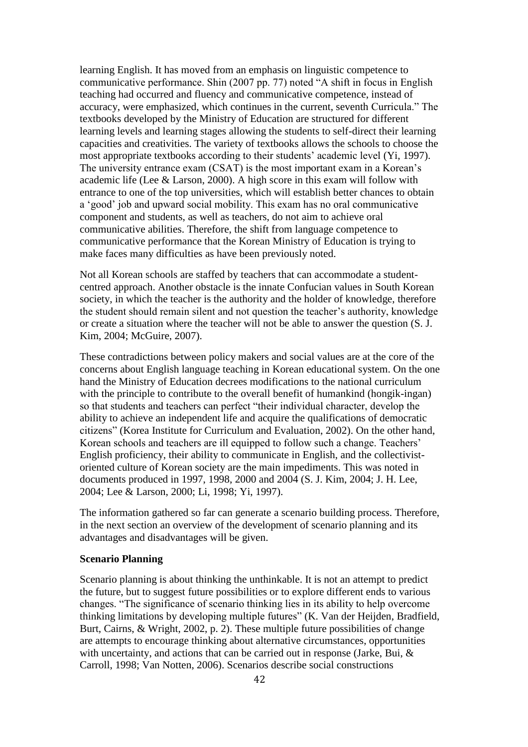learning English. It has moved from an emphasis on linguistic competence to communicative performance. Shin (2007 pp. 77) noted "A shift in focus in English teaching had occurred and fluency and communicative competence, instead of accuracy, were emphasized, which continues in the current, seventh Curricula." The textbooks developed by the Ministry of Education are structured for different learning levels and learning stages allowing the students to self-direct their learning capacities and creativities. The variety of textbooks allows the schools to choose the most appropriate textbooks according to their students' academic level (Yi, 1997). The university entrance exam (CSAT) is the most important exam in a Korean's academic life (Lee & Larson, 2000). A high score in this exam will follow with entrance to one of the top universities, which will establish better chances to obtain a 'good' job and upward social mobility. This exam has no oral communicative component and students, as well as teachers, do not aim to achieve oral communicative abilities. Therefore, the shift from language competence to communicative performance that the Korean Ministry of Education is trying to make faces many difficulties as have been previously noted.

Not all Korean schools are staffed by teachers that can accommodate a studentcentred approach. Another obstacle is the innate Confucian values in South Korean society, in which the teacher is the authority and the holder of knowledge, therefore the student should remain silent and not question the teacher's authority, knowledge or create a situation where the teacher will not be able to answer the question (S. J. Kim, 2004; McGuire, 2007).

These contradictions between policy makers and social values are at the core of the concerns about English language teaching in Korean educational system. On the one hand the Ministry of Education decrees modifications to the national curriculum with the principle to contribute to the overall benefit of humankind (hongik-ingan) so that students and teachers can perfect "their individual character, develop the ability to achieve an independent life and acquire the qualifications of democratic citizens" (Korea Institute for Curriculum and Evaluation, 2002). On the other hand, Korean schools and teachers are ill equipped to follow such a change. Teachers' English proficiency, their ability to communicate in English, and the collectivistoriented culture of Korean society are the main impediments. This was noted in documents produced in 1997, 1998, 2000 and 2004 (S. J. Kim, 2004; J. H. Lee, 2004; Lee & Larson, 2000; Li, 1998; Yi, 1997).

The information gathered so far can generate a scenario building process. Therefore, in the next section an overview of the development of scenario planning and its advantages and disadvantages will be given.

## **Scenario Planning**

Scenario planning is about thinking the unthinkable. It is not an attempt to predict the future, but to suggest future possibilities or to explore different ends to various changes. "The significance of scenario thinking lies in its ability to help overcome thinking limitations by developing multiple futures" (K. Van der Heijden, Bradfield, Burt, Cairns, & Wright, 2002, p. 2). These multiple future possibilities of change are attempts to encourage thinking about alternative circumstances, opportunities with uncertainty, and actions that can be carried out in response (Jarke, Bui, & Carroll, 1998; Van Notten, 2006). Scenarios describe social constructions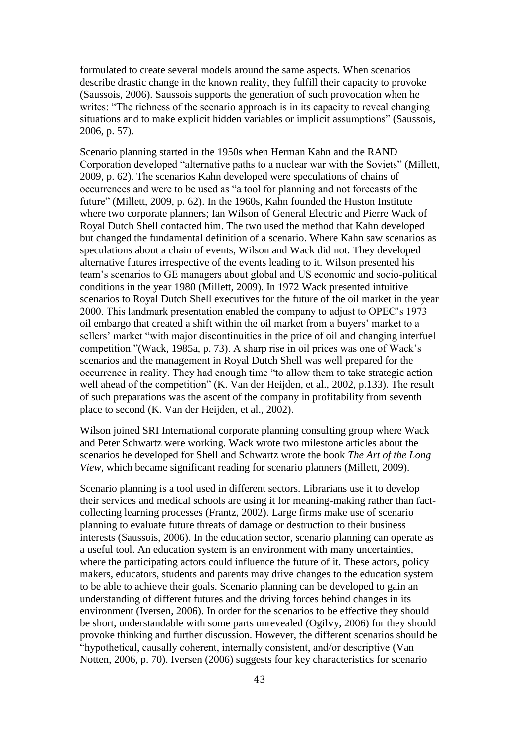formulated to create several models around the same aspects. When scenarios describe drastic change in the known reality, they fulfill their capacity to provoke (Saussois, 2006). Saussois supports the generation of such provocation when he writes: "The richness of the scenario approach is in its capacity to reveal changing situations and to make explicit hidden variables or implicit assumptions" (Saussois, 2006, p. 57).

Scenario planning started in the 1950s when Herman Kahn and the RAND Corporation developed "alternative paths to a nuclear war with the Soviets" (Millett, 2009, p. 62). The scenarios Kahn developed were speculations of chains of occurrences and were to be used as "a tool for planning and not forecasts of the future" (Millett, 2009, p. 62). In the 1960s, Kahn founded the Huston Institute where two corporate planners; Ian Wilson of General Electric and Pierre Wack of Royal Dutch Shell contacted him. The two used the method that Kahn developed but changed the fundamental definition of a scenario. Where Kahn saw scenarios as speculations about a chain of events, Wilson and Wack did not. They developed alternative futures irrespective of the events leading to it. Wilson presented his team's scenarios to GE managers about global and US economic and socio-political conditions in the year 1980 (Millett, 2009). In 1972 Wack presented intuitive scenarios to Royal Dutch Shell executives for the future of the oil market in the year 2000. This landmark presentation enabled the company to adjust to OPEC's 1973 oil embargo that created a shift within the oil market from a buyers' market to a sellers' market "with major discontinuities in the price of oil and changing interfuel competition."(Wack, 1985a, p. 73). A sharp rise in oil prices was one of Wack's scenarios and the management in Royal Dutch Shell was well prepared for the occurrence in reality. They had enough time "to allow them to take strategic action well ahead of the competition" (K. Van der Heijden, et al., 2002, p.133). The result of such preparations was the ascent of the company in profitability from seventh place to second (K. Van der Heijden, et al., 2002).

Wilson joined SRI International corporate planning consulting group where Wack and Peter Schwartz were working. Wack wrote two milestone articles about the scenarios he developed for Shell and Schwartz wrote the book *The Art of the Long View*, which became significant reading for scenario planners (Millett, 2009).

Scenario planning is a tool used in different sectors. Librarians use it to develop their services and medical schools are using it for meaning-making rather than factcollecting learning processes (Frantz, 2002). Large firms make use of scenario planning to evaluate future threats of damage or destruction to their business interests (Saussois, 2006). In the education sector, scenario planning can operate as a useful tool. An education system is an environment with many uncertainties, where the participating actors could influence the future of it. These actors, policy makers, educators, students and parents may drive changes to the education system to be able to achieve their goals. Scenario planning can be developed to gain an understanding of different futures and the driving forces behind changes in its environment (Iversen, 2006). In order for the scenarios to be effective they should be short, understandable with some parts unrevealed (Ogilvy, 2006) for they should provoke thinking and further discussion. However, the different scenarios should be "hypothetical, causally coherent, internally consistent, and/or descriptive (Van Notten, 2006, p. 70). Iversen (2006) suggests four key characteristics for scenario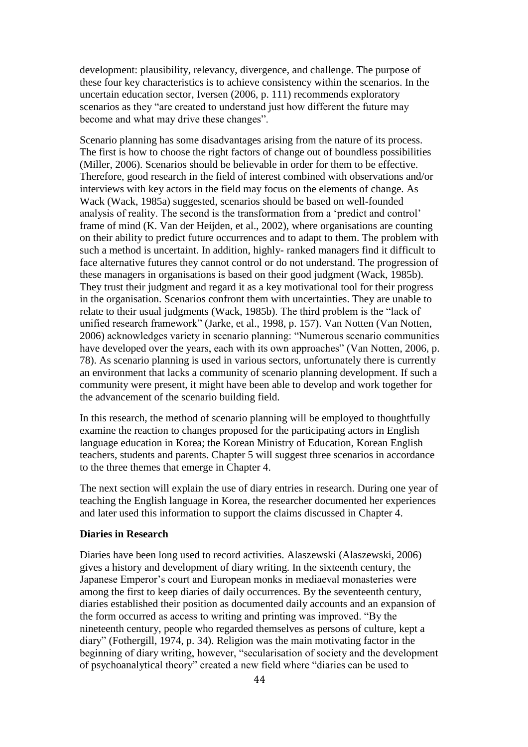development: plausibility, relevancy, divergence, and challenge. The purpose of these four key characteristics is to achieve consistency within the scenarios. In the uncertain education sector, Iversen (2006, p. 111) recommends exploratory scenarios as they "are created to understand just how different the future may become and what may drive these changes".

Scenario planning has some disadvantages arising from the nature of its process. The first is how to choose the right factors of change out of boundless possibilities (Miller, 2006). Scenarios should be believable in order for them to be effective. Therefore, good research in the field of interest combined with observations and/or interviews with key actors in the field may focus on the elements of change. As Wack (Wack, 1985a) suggested, scenarios should be based on well-founded analysis of reality. The second is the transformation from a 'predict and control' frame of mind (K. Van der Heijden, et al., 2002), where organisations are counting on their ability to predict future occurrences and to adapt to them. The problem with such a method is uncertaint. In addition, highly- ranked managers find it difficult to face alternative futures they cannot control or do not understand. The progression of these managers in organisations is based on their good judgment (Wack, 1985b). They trust their judgment and regard it as a key motivational tool for their progress in the organisation. Scenarios confront them with uncertainties. They are unable to relate to their usual judgments (Wack, 1985b). The third problem is the "lack of unified research framework" (Jarke, et al., 1998, p. 157). Van Notten (Van Notten, 2006) acknowledges variety in scenario planning: "Numerous scenario communities have developed over the years, each with its own approaches" (Van Notten, 2006, p. 78). As scenario planning is used in various sectors, unfortunately there is currently an environment that lacks a community of scenario planning development. If such a community were present, it might have been able to develop and work together for the advancement of the scenario building field.

In this research, the method of scenario planning will be employed to thoughtfully examine the reaction to changes proposed for the participating actors in English language education in Korea; the Korean Ministry of Education, Korean English teachers, students and parents. Chapter 5 will suggest three scenarios in accordance to the three themes that emerge in Chapter 4.

The next section will explain the use of diary entries in research. During one year of teaching the English language in Korea, the researcher documented her experiences and later used this information to support the claims discussed in Chapter 4.

#### **Diaries in Research**

Diaries have been long used to record activities. Alaszewski (Alaszewski, 2006) gives a history and development of diary writing. In the sixteenth century, the Japanese Emperor's court and European monks in mediaeval monasteries were among the first to keep diaries of daily occurrences. By the seventeenth century, diaries established their position as documented daily accounts and an expansion of the form occurred as access to writing and printing was improved. "By the nineteenth century, people who regarded themselves as persons of culture, kept a diary" (Fothergill, 1974, p. 34). Religion was the main motivating factor in the beginning of diary writing, however, "secularisation of society and the development of psychoanalytical theory" created a new field where "diaries can be used to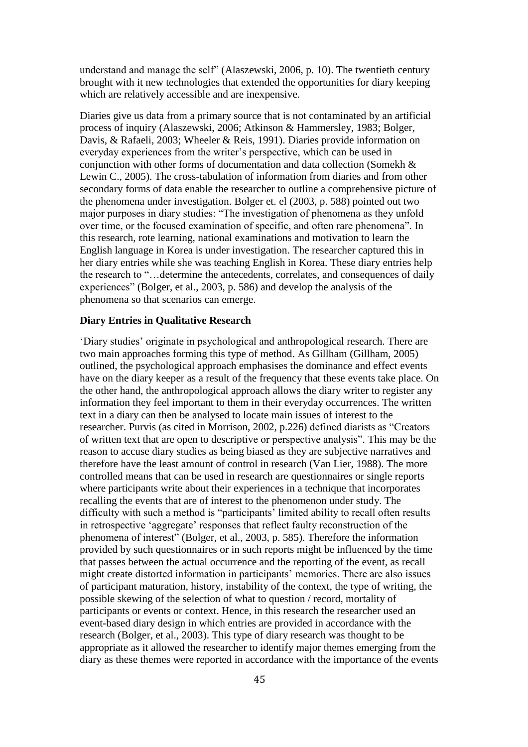understand and manage the self" (Alaszewski, 2006, p. 10). The twentieth century brought with it new technologies that extended the opportunities for diary keeping which are relatively accessible and are inexpensive.

Diaries give us data from a primary source that is not contaminated by an artificial process of inquiry (Alaszewski, 2006; Atkinson & Hammersley, 1983; Bolger, Davis, & Rafaeli, 2003; Wheeler & Reis, 1991). Diaries provide information on everyday experiences from the writer's perspective, which can be used in conjunction with other forms of documentation and data collection (Somekh & Lewin C., 2005). The cross-tabulation of information from diaries and from other secondary forms of data enable the researcher to outline a comprehensive picture of the phenomena under investigation. Bolger et. el (2003, p. 588) pointed out two major purposes in diary studies: "The investigation of phenomena as they unfold over time, or the focused examination of specific, and often rare phenomena". In this research, rote learning, national examinations and motivation to learn the English language in Korea is under investigation. The researcher captured this in her diary entries while she was teaching English in Korea. These diary entries help the research to "…determine the antecedents, correlates, and consequences of daily experiences" (Bolger, et al., 2003, p. 586) and develop the analysis of the phenomena so that scenarios can emerge.

## **Diary Entries in Qualitative Research**

'Diary studies' originate in psychological and anthropological research. There are two main approaches forming this type of method. As Gillham (Gillham, 2005) outlined, the psychological approach emphasises the dominance and effect events have on the diary keeper as a result of the frequency that these events take place. On the other hand, the anthropological approach allows the diary writer to register any information they feel important to them in their everyday occurrences. The written text in a diary can then be analysed to locate main issues of interest to the researcher. Purvis (as cited in Morrison, 2002, p.226) defined diarists as "Creators of written text that are open to descriptive or perspective analysis". This may be the reason to accuse diary studies as being biased as they are subjective narratives and therefore have the least amount of control in research (Van Lier, 1988). The more controlled means that can be used in research are questionnaires or single reports where participants write about their experiences in a technique that incorporates recalling the events that are of interest to the phenomenon under study. The difficulty with such a method is "participants' limited ability to recall often results in retrospective 'aggregate' responses that reflect faulty reconstruction of the phenomena of interest" (Bolger, et al., 2003, p. 585). Therefore the information provided by such questionnaires or in such reports might be influenced by the time that passes between the actual occurrence and the reporting of the event, as recall might create distorted information in participants' memories. There are also issues of participant maturation, history, instability of the context, the type of writing, the possible skewing of the selection of what to question / record, mortality of participants or events or context. Hence, in this research the researcher used an event-based diary design in which entries are provided in accordance with the research (Bolger, et al., 2003). This type of diary research was thought to be appropriate as it allowed the researcher to identify major themes emerging from the diary as these themes were reported in accordance with the importance of the events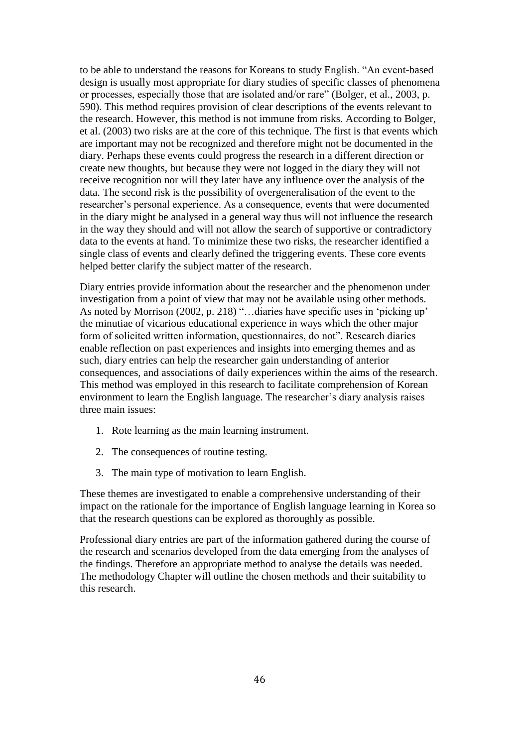to be able to understand the reasons for Koreans to study English. "An event-based design is usually most appropriate for diary studies of specific classes of phenomena or processes, especially those that are isolated and/or rare" (Bolger, et al., 2003, p. 590). This method requires provision of clear descriptions of the events relevant to the research. However, this method is not immune from risks. According to Bolger, et al. (2003) two risks are at the core of this technique. The first is that events which are important may not be recognized and therefore might not be documented in the diary. Perhaps these events could progress the research in a different direction or create new thoughts, but because they were not logged in the diary they will not receive recognition nor will they later have any influence over the analysis of the data. The second risk is the possibility of overgeneralisation of the event to the researcher's personal experience. As a consequence, events that were documented in the diary might be analysed in a general way thus will not influence the research in the way they should and will not allow the search of supportive or contradictory data to the events at hand. To minimize these two risks, the researcher identified a single class of events and clearly defined the triggering events. These core events helped better clarify the subject matter of the research.

Diary entries provide information about the researcher and the phenomenon under investigation from a point of view that may not be available using other methods. As noted by Morrison (2002, p. 218) "…diaries have specific uses in 'picking up' the minutiae of vicarious educational experience in ways which the other major form of solicited written information, questionnaires, do not". Research diaries enable reflection on past experiences and insights into emerging themes and as such, diary entries can help the researcher gain understanding of anterior consequences, and associations of daily experiences within the aims of the research. This method was employed in this research to facilitate comprehension of Korean environment to learn the English language. The researcher's diary analysis raises three main issues:

- 1. Rote learning as the main learning instrument.
- 2. The consequences of routine testing.
- 3. The main type of motivation to learn English.

These themes are investigated to enable a comprehensive understanding of their impact on the rationale for the importance of English language learning in Korea so that the research questions can be explored as thoroughly as possible.

Professional diary entries are part of the information gathered during the course of the research and scenarios developed from the data emerging from the analyses of the findings. Therefore an appropriate method to analyse the details was needed. The methodology Chapter will outline the chosen methods and their suitability to this research.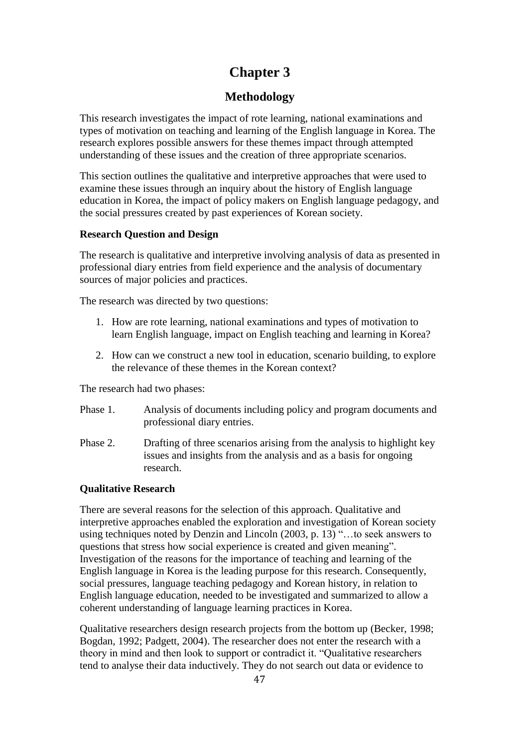# **Chapter 3**

# **Methodology**

This research investigates the impact of rote learning, national examinations and types of motivation on teaching and learning of the English language in Korea. The research explores possible answers for these themes impact through attempted understanding of these issues and the creation of three appropriate scenarios.

This section outlines the qualitative and interpretive approaches that were used to examine these issues through an inquiry about the history of English language education in Korea, the impact of policy makers on English language pedagogy, and the social pressures created by past experiences of Korean society.

## **Research Question and Design**

The research is qualitative and interpretive involving analysis of data as presented in professional diary entries from field experience and the analysis of documentary sources of major policies and practices.

The research was directed by two questions:

- 1. How are rote learning, national examinations and types of motivation to learn English language, impact on English teaching and learning in Korea?
- 2. How can we construct a new tool in education, scenario building, to explore the relevance of these themes in the Korean context?

The research had two phases:

- Phase 1. Analysis of documents including policy and program documents and professional diary entries.
- Phase 2. Drafting of three scenarios arising from the analysis to highlight key issues and insights from the analysis and as a basis for ongoing research.

## **Qualitative Research**

There are several reasons for the selection of this approach. Qualitative and interpretive approaches enabled the exploration and investigation of Korean society using techniques noted by Denzin and Lincoln (2003, p. 13) "…to seek answers to questions that stress how social experience is created and given meaning". Investigation of the reasons for the importance of teaching and learning of the English language in Korea is the leading purpose for this research. Consequently, social pressures, language teaching pedagogy and Korean history, in relation to English language education, needed to be investigated and summarized to allow a coherent understanding of language learning practices in Korea.

Qualitative researchers design research projects from the bottom up (Becker, 1998; Bogdan, 1992; Padgett, 2004). The researcher does not enter the research with a theory in mind and then look to support or contradict it. "Qualitative researchers tend to analyse their data inductively. They do not search out data or evidence to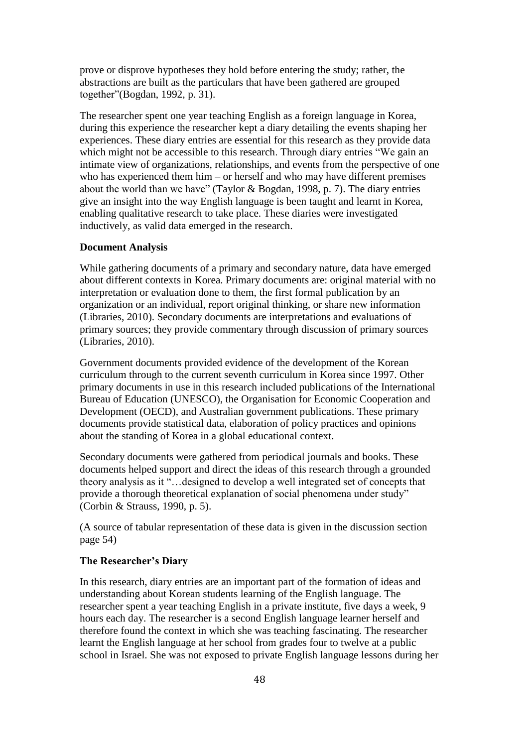prove or disprove hypotheses they hold before entering the study; rather, the abstractions are built as the particulars that have been gathered are grouped together"(Bogdan, 1992, p. 31).

The researcher spent one year teaching English as a foreign language in Korea, during this experience the researcher kept a diary detailing the events shaping her experiences. These diary entries are essential for this research as they provide data which might not be accessible to this research. Through diary entries "We gain an intimate view of organizations, relationships, and events from the perspective of one who has experienced them him – or herself and who may have different premises about the world than we have" (Taylor & Bogdan, 1998, p. 7). The diary entries give an insight into the way English language is been taught and learnt in Korea, enabling qualitative research to take place. These diaries were investigated inductively, as valid data emerged in the research.

## **Document Analysis**

While gathering documents of a primary and secondary nature, data have emerged about different contexts in Korea. Primary documents are: original material with no interpretation or evaluation done to them, the first formal publication by an organization or an individual, report original thinking, or share new information (Libraries, 2010). Secondary documents are interpretations and evaluations of primary sources; they provide commentary through discussion of primary sources (Libraries, 2010).

Government documents provided evidence of the development of the Korean curriculum through to the current seventh curriculum in Korea since 1997. Other primary documents in use in this research included publications of the International Bureau of Education (UNESCO), the Organisation for Economic Cooperation and Development (OECD), and Australian government publications. These primary documents provide statistical data, elaboration of policy practices and opinions about the standing of Korea in a global educational context.

Secondary documents were gathered from periodical journals and books. These documents helped support and direct the ideas of this research through a grounded theory analysis as it "…designed to develop a well integrated set of concepts that provide a thorough theoretical explanation of social phenomena under study" (Corbin & Strauss, 1990, p. 5).

(A source of tabular representation of these data is given in the discussion section page 54)

#### **The Researcher's Diary**

In this research, diary entries are an important part of the formation of ideas and understanding about Korean students learning of the English language. The researcher spent a year teaching English in a private institute, five days a week, 9 hours each day. The researcher is a second English language learner herself and therefore found the context in which she was teaching fascinating. The researcher learnt the English language at her school from grades four to twelve at a public school in Israel. She was not exposed to private English language lessons during her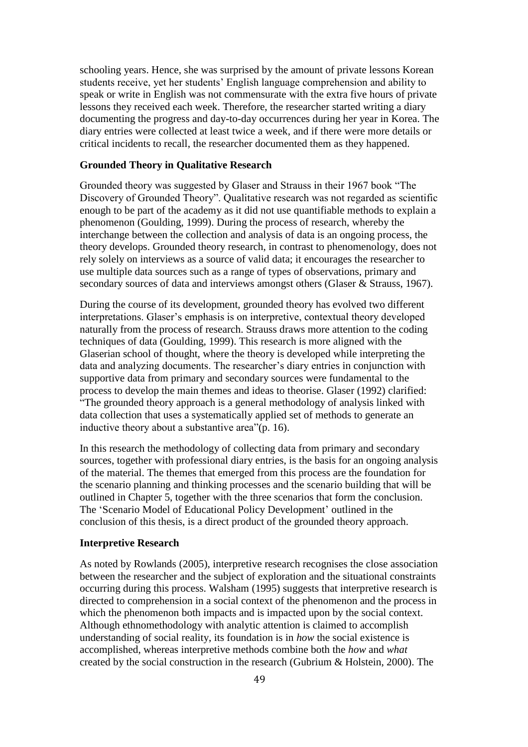schooling years. Hence, she was surprised by the amount of private lessons Korean students receive, yet her students' English language comprehension and ability to speak or write in English was not commensurate with the extra five hours of private lessons they received each week. Therefore, the researcher started writing a diary documenting the progress and day-to-day occurrences during her year in Korea. The diary entries were collected at least twice a week, and if there were more details or critical incidents to recall, the researcher documented them as they happened.

#### **Grounded Theory in Qualitative Research**

Grounded theory was suggested by Glaser and Strauss in their 1967 book "The Discovery of Grounded Theory". Qualitative research was not regarded as scientific enough to be part of the academy as it did not use quantifiable methods to explain a phenomenon (Goulding, 1999). During the process of research, whereby the interchange between the collection and analysis of data is an ongoing process, the theory develops. Grounded theory research, in contrast to phenomenology, does not rely solely on interviews as a source of valid data; it encourages the researcher to use multiple data sources such as a range of types of observations, primary and secondary sources of data and interviews amongst others (Glaser & Strauss, 1967).

During the course of its development, grounded theory has evolved two different interpretations. Glaser's emphasis is on interpretive, contextual theory developed naturally from the process of research. Strauss draws more attention to the coding techniques of data (Goulding, 1999). This research is more aligned with the Glaserian school of thought, where the theory is developed while interpreting the data and analyzing documents. The researcher's diary entries in conjunction with supportive data from primary and secondary sources were fundamental to the process to develop the main themes and ideas to theorise. Glaser (1992) clarified: "The grounded theory approach is a general methodology of analysis linked with data collection that uses a systematically applied set of methods to generate an inductive theory about a substantive area"(p. 16).

In this research the methodology of collecting data from primary and secondary sources, together with professional diary entries, is the basis for an ongoing analysis of the material. The themes that emerged from this process are the foundation for the scenario planning and thinking processes and the scenario building that will be outlined in Chapter 5, together with the three scenarios that form the conclusion. The 'Scenario Model of Educational Policy Development' outlined in the conclusion of this thesis, is a direct product of the grounded theory approach.

#### **Interpretive Research**

As noted by Rowlands (2005), interpretive research recognises the close association between the researcher and the subject of exploration and the situational constraints occurring during this process. Walsham (1995) suggests that interpretive research is directed to comprehension in a social context of the phenomenon and the process in which the phenomenon both impacts and is impacted upon by the social context. Although ethnomethodology with analytic attention is claimed to accomplish understanding of social reality, its foundation is in *how* the social existence is accomplished, whereas interpretive methods combine both the *how* and *what*  created by the social construction in the research (Gubrium & Holstein, 2000). The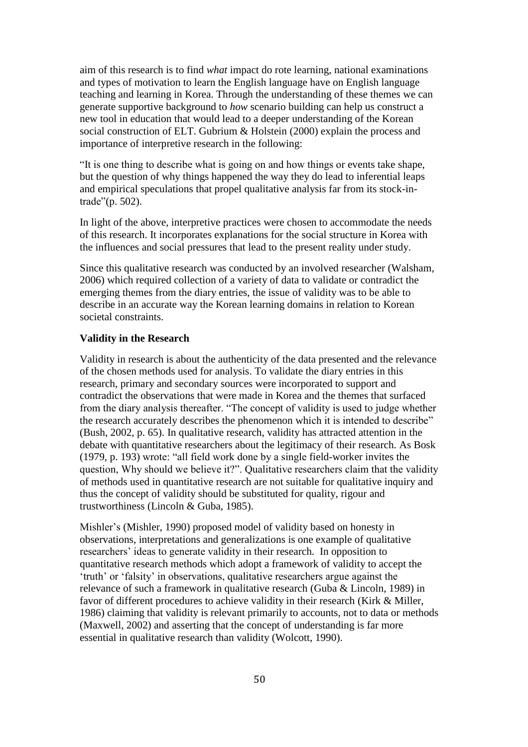aim of this research is to find *what* impact do rote learning, national examinations and types of motivation to learn the English language have on English language teaching and learning in Korea. Through the understanding of these themes we can generate supportive background to *how* scenario building can help us construct a new tool in education that would lead to a deeper understanding of the Korean social construction of ELT. Gubrium & Holstein (2000) explain the process and importance of interpretive research in the following:

"It is one thing to describe what is going on and how things or events take shape, but the question of why things happened the way they do lead to inferential leaps and empirical speculations that propel qualitative analysis far from its stock-intrade"(p. 502).

In light of the above, interpretive practices were chosen to accommodate the needs of this research. It incorporates explanations for the social structure in Korea with the influences and social pressures that lead to the present reality under study.

Since this qualitative research was conducted by an involved researcher (Walsham, 2006) which required collection of a variety of data to validate or contradict the emerging themes from the diary entries, the issue of validity was to be able to describe in an accurate way the Korean learning domains in relation to Korean societal constraints.

#### **Validity in the Research**

Validity in research is about the authenticity of the data presented and the relevance of the chosen methods used for analysis. To validate the diary entries in this research, primary and secondary sources were incorporated to support and contradict the observations that were made in Korea and the themes that surfaced from the diary analysis thereafter. "The concept of validity is used to judge whether the research accurately describes the phenomenon which it is intended to describe" (Bush, 2002, p. 65). In qualitative research, validity has attracted attention in the debate with quantitative researchers about the legitimacy of their research. As Bosk (1979, p. 193) wrote: "all field work done by a single field-worker invites the question, Why should we believe it?". Qualitative researchers claim that the validity of methods used in quantitative research are not suitable for qualitative inquiry and thus the concept of validity should be substituted for quality, rigour and trustworthiness (Lincoln & Guba, 1985).

Mishler's (Mishler, 1990) proposed model of validity based on honesty in observations, interpretations and generalizations is one example of qualitative researchers' ideas to generate validity in their research. In opposition to quantitative research methods which adopt a framework of validity to accept the 'truth' or 'falsity' in observations, qualitative researchers argue against the relevance of such a framework in qualitative research (Guba & Lincoln, 1989) in favor of different procedures to achieve validity in their research (Kirk & Miller, 1986) claiming that validity is relevant primarily to accounts, not to data or methods (Maxwell, 2002) and asserting that the concept of understanding is far more essential in qualitative research than validity (Wolcott, 1990).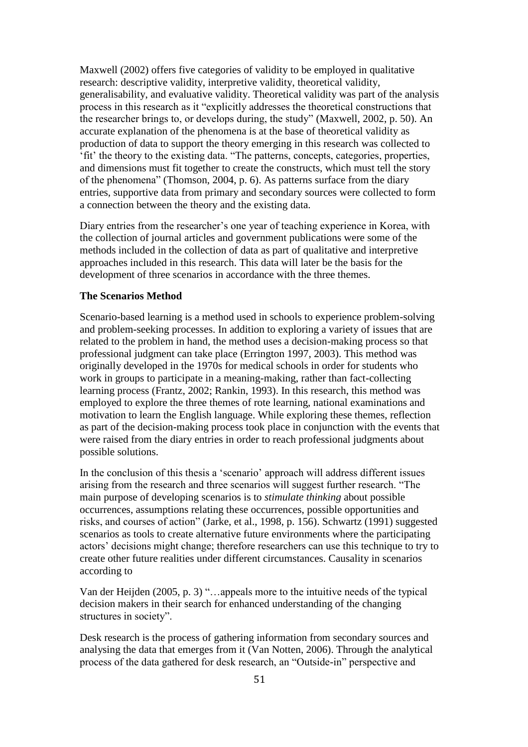Maxwell (2002) offers five categories of validity to be employed in qualitative research: descriptive validity, interpretive validity, theoretical validity, generalisability, and evaluative validity. Theoretical validity was part of the analysis process in this research as it "explicitly addresses the theoretical constructions that the researcher brings to, or develops during, the study" (Maxwell, 2002, p. 50). An accurate explanation of the phenomena is at the base of theoretical validity as production of data to support the theory emerging in this research was collected to 'fit' the theory to the existing data. "The patterns, concepts, categories, properties, and dimensions must fit together to create the constructs, which must tell the story of the phenomena" (Thomson, 2004, p. 6). As patterns surface from the diary entries, supportive data from primary and secondary sources were collected to form a connection between the theory and the existing data.

Diary entries from the researcher's one year of teaching experience in Korea, with the collection of journal articles and government publications were some of the methods included in the collection of data as part of qualitative and interpretive approaches included in this research. This data will later be the basis for the development of three scenarios in accordance with the three themes.

#### **The Scenarios Method**

Scenario-based learning is a method used in schools to experience problem-solving and problem-seeking processes. In addition to exploring a variety of issues that are related to the problem in hand, the method uses a decision-making process so that professional judgment can take place (Errington 1997, 2003). This method was originally developed in the 1970s for medical schools in order for students who work in groups to participate in a meaning-making, rather than fact-collecting learning process (Frantz, 2002; Rankin, 1993). In this research, this method was employed to explore the three themes of rote learning, national examinations and motivation to learn the English language. While exploring these themes, reflection as part of the decision-making process took place in conjunction with the events that were raised from the diary entries in order to reach professional judgments about possible solutions.

In the conclusion of this thesis a 'scenario' approach will address different issues arising from the research and three scenarios will suggest further research. "The main purpose of developing scenarios is to *stimulate thinking* about possible occurrences, assumptions relating these occurrences, possible opportunities and risks, and courses of action" (Jarke, et al., 1998, p. 156). Schwartz (1991) suggested scenarios as tools to create alternative future environments where the participating actors' decisions might change; therefore researchers can use this technique to try to create other future realities under different circumstances. Causality in scenarios according to

Van der Heijden (2005, p. 3) "…appeals more to the intuitive needs of the typical decision makers in their search for enhanced understanding of the changing structures in society".

Desk research is the process of gathering information from secondary sources and analysing the data that emerges from it (Van Notten, 2006). Through the analytical process of the data gathered for desk research, an "Outside-in" perspective and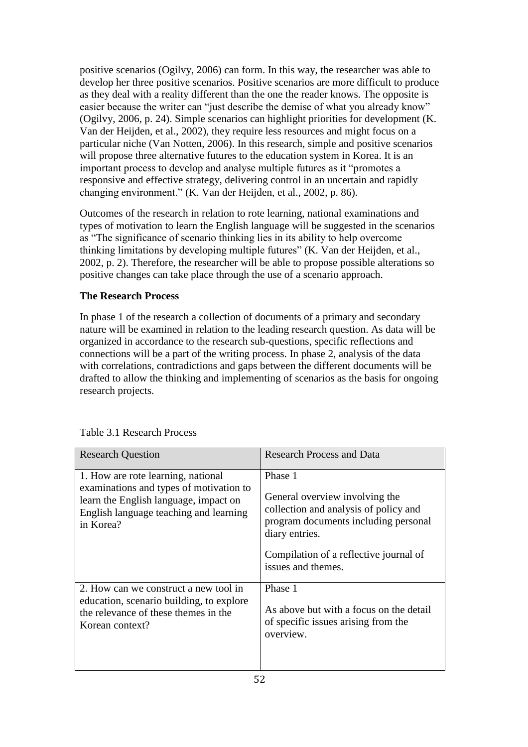positive scenarios (Ogilvy, 2006) can form. In this way, the researcher was able to develop her three positive scenarios. Positive scenarios are more difficult to produce as they deal with a reality different than the one the reader knows. The opposite is easier because the writer can "just describe the demise of what you already know" (Ogilvy, 2006, p. 24). Simple scenarios can highlight priorities for development (K. Van der Heijden, et al., 2002), they require less resources and might focus on a particular niche (Van Notten, 2006). In this research, simple and positive scenarios will propose three alternative futures to the education system in Korea. It is an important process to develop and analyse multiple futures as it "promotes a responsive and effective strategy, delivering control in an uncertain and rapidly changing environment." (K. Van der Heijden, et al., 2002, p. 86).

Outcomes of the research in relation to rote learning, national examinations and types of motivation to learn the English language will be suggested in the scenarios as "The significance of scenario thinking lies in its ability to help overcome thinking limitations by developing multiple futures" (K. Van der Heijden, et al., 2002, p. 2). Therefore, the researcher will be able to propose possible alterations so positive changes can take place through the use of a scenario approach.

## **The Research Process**

In phase 1 of the research a collection of documents of a primary and secondary nature will be examined in relation to the leading research question. As data will be organized in accordance to the research sub-questions, specific reflections and connections will be a part of the writing process. In phase 2, analysis of the data with correlations, contradictions and gaps between the different documents will be drafted to allow the thinking and implementing of scenarios as the basis for ongoing research projects.

| <b>Research Question</b>                                                                                                                                                      | <b>Research Process and Data</b>                                                                                                                                                                             |
|-------------------------------------------------------------------------------------------------------------------------------------------------------------------------------|--------------------------------------------------------------------------------------------------------------------------------------------------------------------------------------------------------------|
| 1. How are rote learning, national<br>examinations and types of motivation to<br>learn the English language, impact on<br>English language teaching and learning<br>in Korea? | Phase 1<br>General overview involving the<br>collection and analysis of policy and<br>program documents including personal<br>diary entries.<br>Compilation of a reflective journal of<br>issues and themes. |
| 2. How can we construct a new tool in<br>education, scenario building, to explore<br>the relevance of these themes in the<br>Korean context?                                  | Phase 1<br>As above but with a focus on the detail<br>of specific issues arising from the<br>overview.                                                                                                       |

Table 3.1 Research Process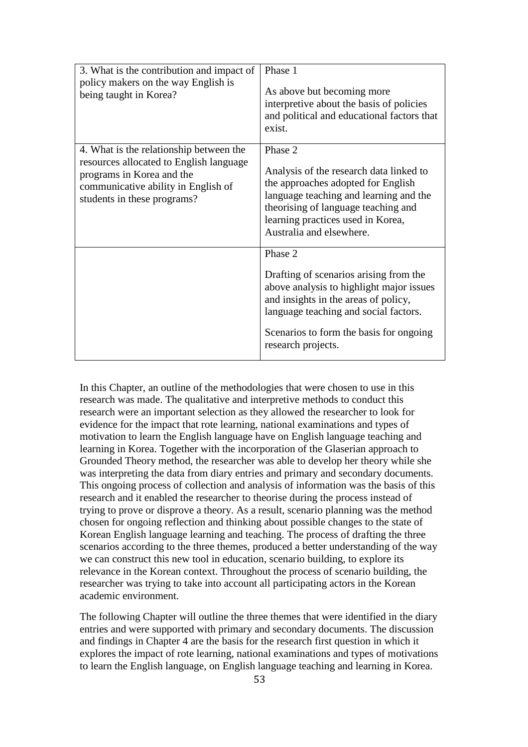| 3. What is the contribution and impact of<br>policy makers on the way English is<br>being taught in Korea?                                                                            | Phase 1<br>As above but becoming more<br>interpretive about the basis of policies<br>and political and educational factors that<br>exist.                                                                                                       |
|---------------------------------------------------------------------------------------------------------------------------------------------------------------------------------------|-------------------------------------------------------------------------------------------------------------------------------------------------------------------------------------------------------------------------------------------------|
| 4. What is the relationship between the<br>resources allocated to English language<br>programs in Korea and the<br>communicative ability in English of<br>students in these programs? | Phase 2<br>Analysis of the research data linked to<br>the approaches adopted for English<br>language teaching and learning and the<br>theorising of language teaching and<br>learning practices used in Korea,<br>Australia and elsewhere.      |
|                                                                                                                                                                                       | Phase 2<br>Drafting of scenarios arising from the<br>above analysis to highlight major issues<br>and insights in the areas of policy,<br>language teaching and social factors.<br>Scenarios to form the basis for ongoing<br>research projects. |

In this Chapter, an outline of the methodologies that were chosen to use in this research was made. The qualitative and interpretive methods to conduct this research were an important selection as they allowed the researcher to look for evidence for the impact that rote learning, national examinations and types of motivation to learn the English language have on English language teaching and learning in Korea. Together with the incorporation of the Glaserian approach to Grounded Theory method, the researcher was able to develop her theory while she was interpreting the data from diary entries and primary and secondary documents. This ongoing process of collection and analysis of information was the basis of this research and it enabled the researcher to theorise during the process instead of trying to prove or disprove a theory. As a result, scenario planning was the method chosen for ongoing reflection and thinking about possible changes to the state of Korean English language learning and teaching. The process of drafting the three scenarios according to the three themes, produced a better understanding of the way we can construct this new tool in education, scenario building, to explore its relevance in the Korean context. Throughout the process of scenario building, the researcher was trying to take into account all participating actors in the Korean academic environment.

The following Chapter will outline the three themes that were identified in the diary entries and were supported with primary and secondary documents. The discussion and findings in Chapter 4 are the basis for the research first question in which it explores the impact of rote learning, national examinations and types of motivations to learn the English language, on English language teaching and learning in Korea.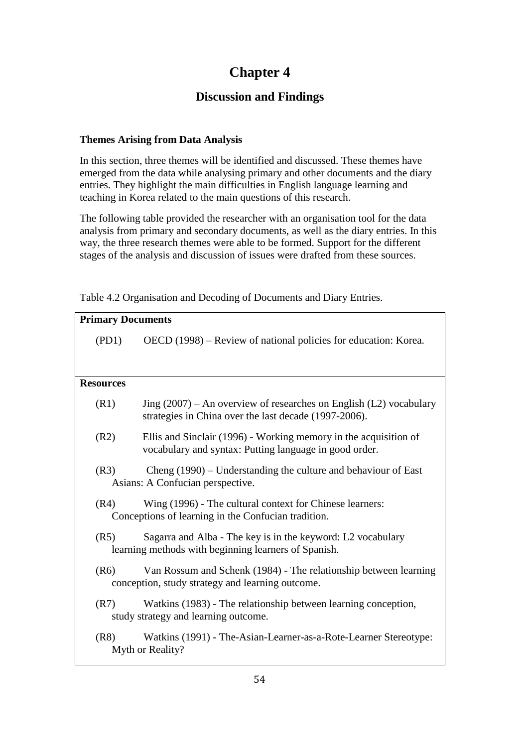# **Chapter 4**

# **Discussion and Findings**

# **Themes Arising from Data Analysis**

In this section, three themes will be identified and discussed. These themes have emerged from the data while analysing primary and other documents and the diary entries. They highlight the main difficulties in English language learning and teaching in Korea related to the main questions of this research.

The following table provided the researcher with an organisation tool for the data analysis from primary and secondary documents, as well as the diary entries. In this way, the three research themes were able to be formed. Support for the different stages of the analysis and discussion of issues were drafted from these sources.

| <b>Primary Documents</b> |                                                                                                                               |  |  |  |
|--------------------------|-------------------------------------------------------------------------------------------------------------------------------|--|--|--|
| (PD1)                    | OECD (1998) – Review of national policies for education: Korea.                                                               |  |  |  |
|                          |                                                                                                                               |  |  |  |
| <b>Resources</b>         |                                                                                                                               |  |  |  |
|                          |                                                                                                                               |  |  |  |
| (R1)                     | Jing $(2007)$ – An overview of researches on English (L2) vocabulary<br>strategies in China over the last decade (1997-2006). |  |  |  |
| (R2)                     | Ellis and Sinclair (1996) - Working memory in the acquisition of<br>vocabulary and syntax: Putting language in good order.    |  |  |  |
| (R3)                     | Cheng $(1990)$ – Understanding the culture and behaviour of East<br>Asians: A Confucian perspective.                          |  |  |  |
| (R4)                     | Wing (1996) - The cultural context for Chinese learners:<br>Conceptions of learning in the Confucian tradition.               |  |  |  |
| (R5)                     | Sagarra and Alba - The key is in the keyword: L2 vocabulary<br>learning methods with beginning learners of Spanish.           |  |  |  |
| (R6)                     | Van Rossum and Schenk (1984) - The relationship between learning<br>conception, study strategy and learning outcome.          |  |  |  |
| (R7)                     | Watkins (1983) - The relationship between learning conception,<br>study strategy and learning outcome.                        |  |  |  |
| (R8)                     | Watkins (1991) - The-Asian-Learner-as-a-Rote-Learner Stereotype:<br>Myth or Reality?                                          |  |  |  |

Table 4.2 Organisation and Decoding of Documents and Diary Entries.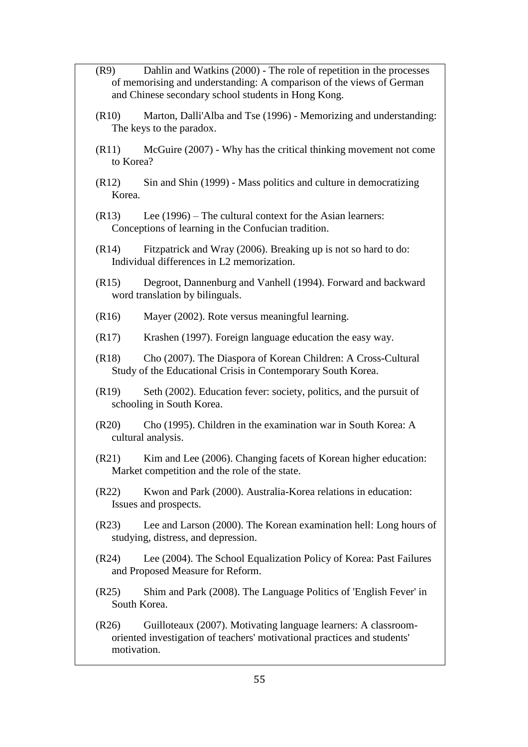- (R9) Dahlin and Watkins (2000) The role of repetition in the processes of memorising and understanding: A comparison of the views of German and Chinese secondary school students in Hong Kong.
- (R10) Marton, Dalli'Alba and Tse (1996) Memorizing and understanding: The keys to the paradox.
- (R11) McGuire (2007) Why has the critical thinking movement not come to Korea?
- (R12) Sin and Shin (1999) Mass politics and culture in democratizing Korea.
- (R13) Lee (1996) The cultural context for the Asian learners: Conceptions of learning in the Confucian tradition.
- (R14) Fitzpatrick and Wray (2006). Breaking up is not so hard to do: Individual differences in L2 memorization.
- (R15) Degroot, Dannenburg and Vanhell (1994). Forward and backward word translation by bilinguals.
- (R16) Mayer (2002). Rote versus meaningful learning.
- (R17) Krashen (1997). Foreign language education the easy way.
- (R18) Cho (2007). The Diaspora of Korean Children: A Cross-Cultural Study of the Educational Crisis in Contemporary South Korea.
- (R19) Seth (2002). Education fever: society, politics, and the pursuit of schooling in South Korea.
- (R20) Cho (1995). Children in the examination war in South Korea: A cultural analysis.
- (R21) Kim and Lee (2006). Changing facets of Korean higher education: Market competition and the role of the state.
- (R22) Kwon and Park (2000). Australia-Korea relations in education: Issues and prospects.
- (R23) Lee and Larson (2000). The Korean examination hell: Long hours of studying, distress, and depression.
- (R24) Lee (2004). The School Equalization Policy of Korea: Past Failures and Proposed Measure for Reform.
- (R25) Shim and Park (2008). The Language Politics of 'English Fever' in South Korea.
- (R26) Guilloteaux (2007). Motivating language learners: A classroomoriented investigation of teachers' motivational practices and students' motivation.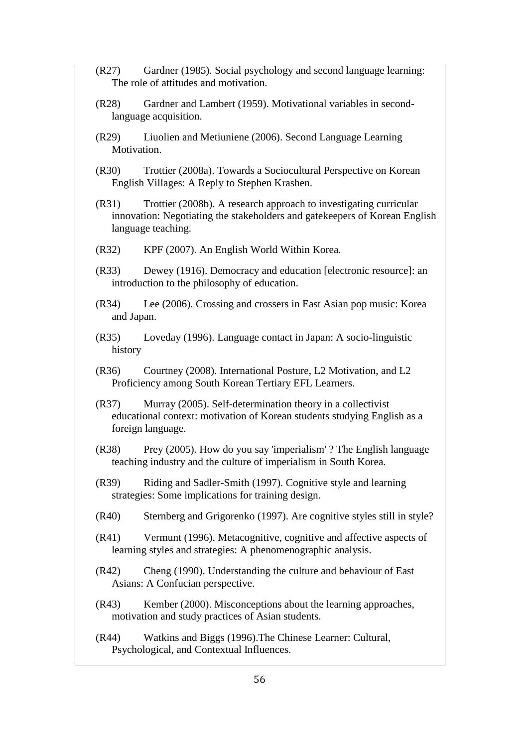- (R27) Gardner (1985). Social psychology and second language learning: The role of attitudes and motivation.
- (R28) Gardner and Lambert (1959). Motivational variables in secondlanguage acquisition.
- (R29) Liuolien and Metiuniene (2006). Second Language Learning Motivation.
- (R30) Trottier (2008a). Towards a Sociocultural Perspective on Korean English Villages: A Reply to Stephen Krashen.
- (R31) Trottier (2008b). A research approach to investigating curricular innovation: Negotiating the stakeholders and gatekeepers of Korean English language teaching.
- (R32) KPF (2007). An English World Within Korea.
- (R33) Dewey (1916). Democracy and education [electronic resource]: an introduction to the philosophy of education.
- (R34) Lee (2006). Crossing and crossers in East Asian pop music: Korea and Japan.
- (R35) Loveday (1996). Language contact in Japan: A socio-linguistic history
- (R36) Courtney (2008). International Posture, L2 Motivation, and L2 Proficiency among South Korean Tertiary EFL Learners.
- (R37) Murray (2005). Self-determination theory in a collectivist educational context: motivation of Korean students studying English as a foreign language.
- (R38) Prey (2005). How do you say 'imperialism' ? The English language teaching industry and the culture of imperialism in South Korea.
- (R39) Riding and Sadler-Smith (1997). Cognitive style and learning strategies: Some implications for training design.
- (R40) Sternberg and Grigorenko (1997). Are cognitive styles still in style?
- (R41) Vermunt (1996). Metacognitive, cognitive and affective aspects of learning styles and strategies: A phenomenographic analysis.
- (R42) Cheng (1990). Understanding the culture and behaviour of East Asians: A Confucian perspective.
- (R43) Kember (2000). Misconceptions about the learning approaches, motivation and study practices of Asian students.
- (R44) Watkins and Biggs (1996).The Chinese Learner: Cultural, Psychological, and Contextual Influences.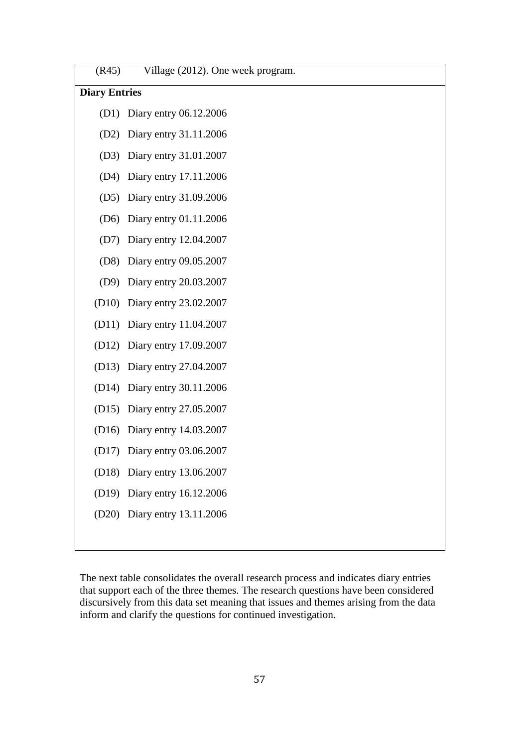| (R45)                | Village (2012). One week program. |  |  |  |
|----------------------|-----------------------------------|--|--|--|
| <b>Diary Entries</b> |                                   |  |  |  |
| (D1)                 | Diary entry 06.12.2006            |  |  |  |
| (D2)                 | Diary entry 31.11.2006            |  |  |  |
| (D3)                 | Diary entry 31.01.2007            |  |  |  |
| (D4)                 | Diary entry 17.11.2006            |  |  |  |
| (D5)                 | Diary entry 31.09.2006            |  |  |  |
| (D6)                 | Diary entry 01.11.2006            |  |  |  |
| (D7)                 | Diary entry 12.04.2007            |  |  |  |
| (D8)                 | Diary entry 09.05.2007            |  |  |  |
|                      | (D9) Diary entry 20.03.2007       |  |  |  |
|                      | (D10) Diary entry 23.02.2007      |  |  |  |
|                      | (D11) Diary entry 11.04.2007      |  |  |  |
|                      | (D12) Diary entry 17.09.2007      |  |  |  |
|                      | (D13) Diary entry 27.04.2007      |  |  |  |
|                      | (D14) Diary entry 30.11.2006      |  |  |  |
|                      | (D15) Diary entry 27.05.2007      |  |  |  |
|                      | (D16) Diary entry 14.03.2007      |  |  |  |
| (D17)                | Diary entry 03.06.2007            |  |  |  |
|                      | (D18) Diary entry 13.06.2007      |  |  |  |
|                      | (D19) Diary entry 16.12.2006      |  |  |  |
|                      | (D20) Diary entry 13.11.2006      |  |  |  |
|                      |                                   |  |  |  |

The next table consolidates the overall research process and indicates diary entries that support each of the three themes. The research questions have been considered discursively from this data set meaning that issues and themes arising from the data inform and clarify the questions for continued investigation.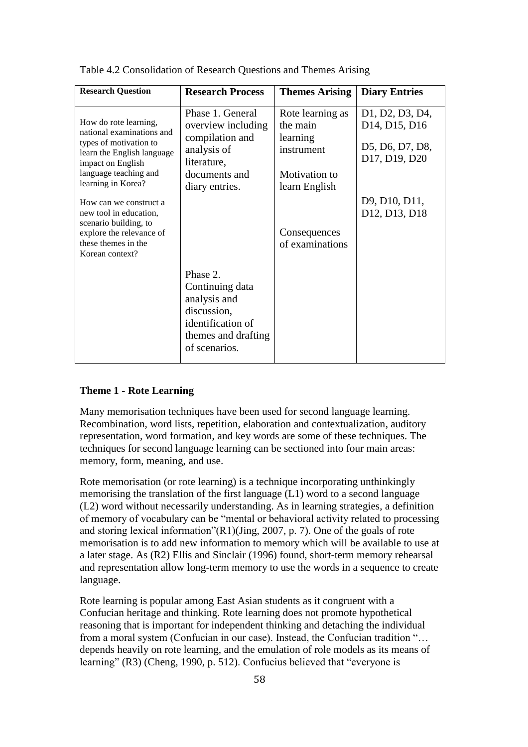| <b>Research Question</b>                                                                                                                                                       | <b>Research Process</b>                                                                                                    | <b>Themes Arising</b>                                                                    | <b>Diary Entries</b>                                                                                       |
|--------------------------------------------------------------------------------------------------------------------------------------------------------------------------------|----------------------------------------------------------------------------------------------------------------------------|------------------------------------------------------------------------------------------|------------------------------------------------------------------------------------------------------------|
| How do rote learning,<br>national examinations and<br>types of motivation to<br>learn the English language<br>impact on English<br>language teaching and<br>learning in Korea? | Phase 1. General<br>overview including<br>compilation and<br>analysis of<br>literature,<br>documents and<br>diary entries. | Rote learning as<br>the main<br>learning<br>instrument<br>Motivation to<br>learn English | D1, D2, D3, D4,<br>D <sub>14</sub> , D <sub>15</sub> , D <sub>16</sub><br>D5, D6, D7, D8,<br>D17, D19, D20 |
| How can we construct a<br>new tool in education.<br>scenario building, to<br>explore the relevance of<br>these themes in the<br>Korean context?                                |                                                                                                                            | Consequences<br>of examinations                                                          | D9, D10, D11,<br>D <sub>12</sub> , D <sub>13</sub> , D <sub>18</sub>                                       |
|                                                                                                                                                                                | Phase 2.<br>Continuing data<br>analysis and<br>discussion,<br>identification of<br>themes and drafting<br>of scenarios.    |                                                                                          |                                                                                                            |

Table 4.2 Consolidation of Research Questions and Themes Arising

#### **Theme 1 - Rote Learning**

Many memorisation techniques have been used for second language learning. Recombination, word lists, repetition, elaboration and contextualization, auditory representation, word formation, and key words are some of these techniques. The techniques for second language learning can be sectioned into four main areas: memory, form, meaning, and use.

Rote memorisation (or rote learning) is a technique incorporating unthinkingly memorising the translation of the first language (L1) word to a second language (L2) word without necessarily understanding. As in learning strategies, a definition of memory of vocabulary can be "mental or behavioral activity related to processing and storing lexical information"(R1)(Jing, 2007, p. 7). One of the goals of rote memorisation is to add new information to memory which will be available to use at a later stage. As (R2) Ellis and Sinclair (1996) found, short-term memory rehearsal and representation allow long-term memory to use the words in a sequence to create language.

Rote learning is popular among East Asian students as it congruent with a Confucian heritage and thinking. Rote learning does not promote hypothetical reasoning that is important for independent thinking and detaching the individual from a moral system (Confucian in our case). Instead, the Confucian tradition "… depends heavily on rote learning, and the emulation of role models as its means of learning" (R3) (Cheng, 1990, p. 512). Confucius believed that "everyone is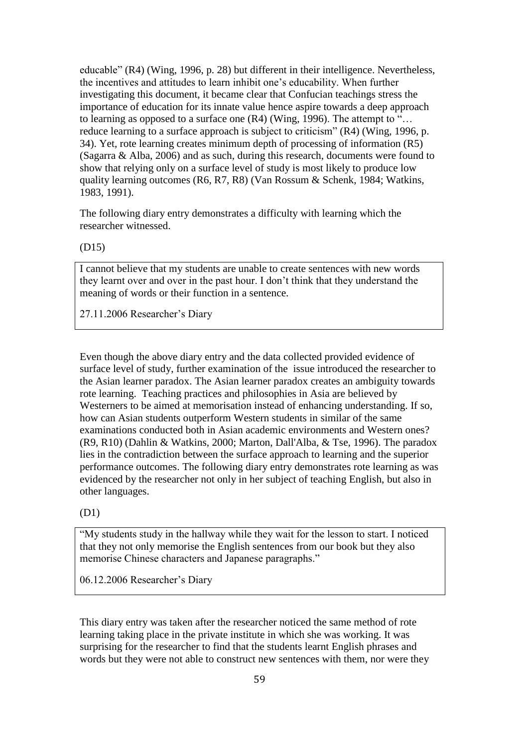educable" (R4) (Wing, 1996, p. 28) but different in their intelligence. Nevertheless, the incentives and attitudes to learn inhibit one's educability. When further investigating this document, it became clear that Confucian teachings stress the importance of education for its innate value hence aspire towards a deep approach to learning as opposed to a surface one (R4) (Wing, 1996). The attempt to "… reduce learning to a surface approach is subject to criticism" (R4) (Wing, 1996, p. 34). Yet, rote learning creates minimum depth of processing of information (R5) (Sagarra & Alba, 2006) and as such, during this research, documents were found to show that relying only on a surface level of study is most likely to produce low quality learning outcomes (R6, R7, R8) (Van Rossum & Schenk, 1984; Watkins, 1983, 1991).

The following diary entry demonstrates a difficulty with learning which the researcher witnessed.

(D15)

I cannot believe that my students are unable to create sentences with new words they learnt over and over in the past hour. I don't think that they understand the meaning of words or their function in a sentence.

27.11.2006 Researcher's Diary

Even though the above diary entry and the data collected provided evidence of surface level of study, further examination of the issue introduced the researcher to the Asian learner paradox. The Asian learner paradox creates an ambiguity towards rote learning. Teaching practices and philosophies in Asia are believed by Westerners to be aimed at memorisation instead of enhancing understanding. If so, how can Asian students outperform Western students in similar of the same examinations conducted both in Asian academic environments and Western ones? (R9, R10) (Dahlin & Watkins, 2000; Marton, Dall'Alba, & Tse, 1996). The paradox lies in the contradiction between the surface approach to learning and the superior performance outcomes. The following diary entry demonstrates rote learning as was evidenced by the researcher not only in her subject of teaching English, but also in other languages.

(D1)

"My students study in the hallway while they wait for the lesson to start. I noticed that they not only memorise the English sentences from our book but they also memorise Chinese characters and Japanese paragraphs."

06.12.2006 Researcher's Diary

This diary entry was taken after the researcher noticed the same method of rote learning taking place in the private institute in which she was working. It was surprising for the researcher to find that the students learnt English phrases and words but they were not able to construct new sentences with them, nor were they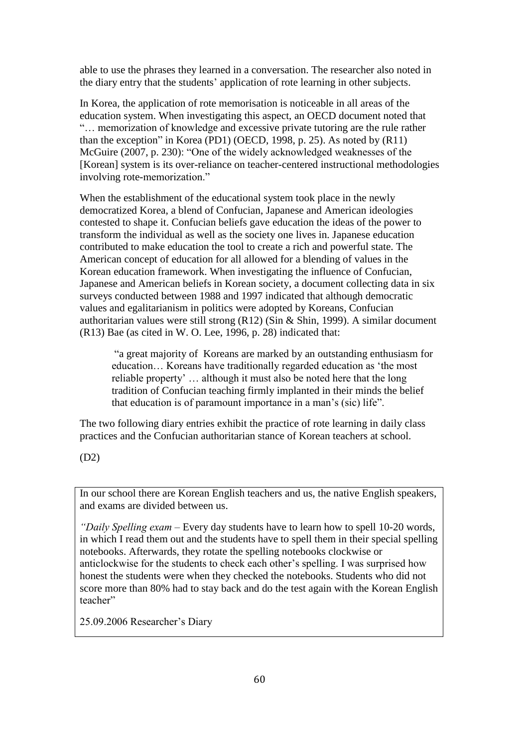able to use the phrases they learned in a conversation. The researcher also noted in the diary entry that the students' application of rote learning in other subjects.

In Korea, the application of rote memorisation is noticeable in all areas of the education system. When investigating this aspect, an OECD document noted that "… memorization of knowledge and excessive private tutoring are the rule rather than the exception" in Korea (PD1) (OECD, 1998, p. 25). As noted by (R11) McGuire (2007, p. 230): "One of the widely acknowledged weaknesses of the [Korean] system is its over-reliance on teacher-centered instructional methodologies involving rote-memorization."

When the establishment of the educational system took place in the newly democratized Korea, a blend of Confucian, Japanese and American ideologies contested to shape it. Confucian beliefs gave education the ideas of the power to transform the individual as well as the society one lives in. Japanese education contributed to make education the tool to create a rich and powerful state. The American concept of education for all allowed for a blending of values in the Korean education framework. When investigating the influence of Confucian, Japanese and American beliefs in Korean society, a document collecting data in six surveys conducted between 1988 and 1997 indicated that although democratic values and egalitarianism in politics were adopted by Koreans, Confucian authoritarian values were still strong (R12) (Sin & Shin, 1999). A similar document (R13) Bae (as cited in W. O. Lee, 1996, p. 28) indicated that:

"a great majority of Koreans are marked by an outstanding enthusiasm for education… Koreans have traditionally regarded education as 'the most reliable property' … although it must also be noted here that the long tradition of Confucian teaching firmly implanted in their minds the belief that education is of paramount importance in a man's (sic) life".

The two following diary entries exhibit the practice of rote learning in daily class practices and the Confucian authoritarian stance of Korean teachers at school.

(D2)

In our school there are Korean English teachers and us, the native English speakers, and exams are divided between us.

*"Daily Spelling exam –* Every day students have to learn how to spell 10-20 words, in which I read them out and the students have to spell them in their special spelling notebooks. Afterwards, they rotate the spelling notebooks clockwise or anticlockwise for the students to check each other's spelling. I was surprised how honest the students were when they checked the notebooks. Students who did not score more than 80% had to stay back and do the test again with the Korean English teacher"

25.09.2006 Researcher's Diary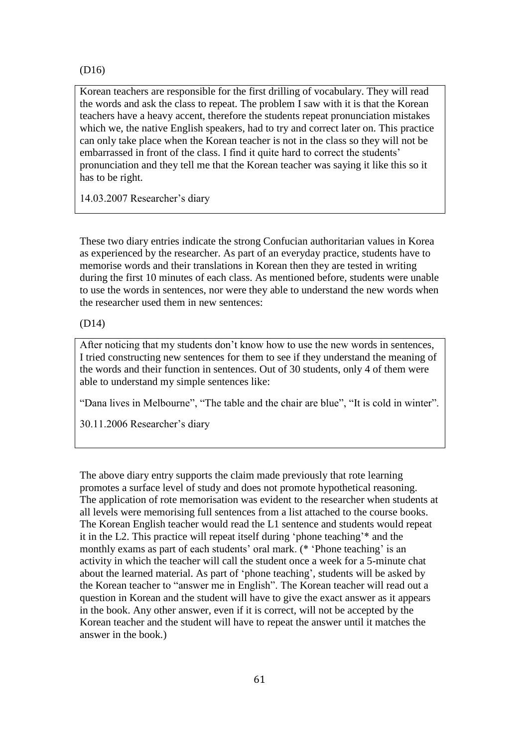(D16)

Korean teachers are responsible for the first drilling of vocabulary. They will read the words and ask the class to repeat. The problem I saw with it is that the Korean teachers have a heavy accent, therefore the students repeat pronunciation mistakes which we, the native English speakers, had to try and correct later on. This practice can only take place when the Korean teacher is not in the class so they will not be embarrassed in front of the class. I find it quite hard to correct the students' pronunciation and they tell me that the Korean teacher was saying it like this so it has to be right.

14.03.2007 Researcher's diary

These two diary entries indicate the strong Confucian authoritarian values in Korea as experienced by the researcher. As part of an everyday practice, students have to memorise words and their translations in Korean then they are tested in writing during the first 10 minutes of each class. As mentioned before, students were unable to use the words in sentences, nor were they able to understand the new words when the researcher used them in new sentences:

## (D14)

After noticing that my students don't know how to use the new words in sentences, I tried constructing new sentences for them to see if they understand the meaning of the words and their function in sentences. Out of 30 students, only 4 of them were able to understand my simple sentences like:

"Dana lives in Melbourne", "The table and the chair are blue", "It is cold in winter".

30.11.2006 Researcher's diary

The above diary entry supports the claim made previously that rote learning promotes a surface level of study and does not promote hypothetical reasoning. The application of rote memorisation was evident to the researcher when students at all levels were memorising full sentences from a list attached to the course books. The Korean English teacher would read the L1 sentence and students would repeat it in the L2. This practice will repeat itself during 'phone teaching'\* and the monthly exams as part of each students' oral mark. (\* 'Phone teaching' is an activity in which the teacher will call the student once a week for a 5-minute chat about the learned material. As part of 'phone teaching', students will be asked by the Korean teacher to "answer me in English". The Korean teacher will read out a question in Korean and the student will have to give the exact answer as it appears in the book. Any other answer, even if it is correct, will not be accepted by the Korean teacher and the student will have to repeat the answer until it matches the answer in the book.)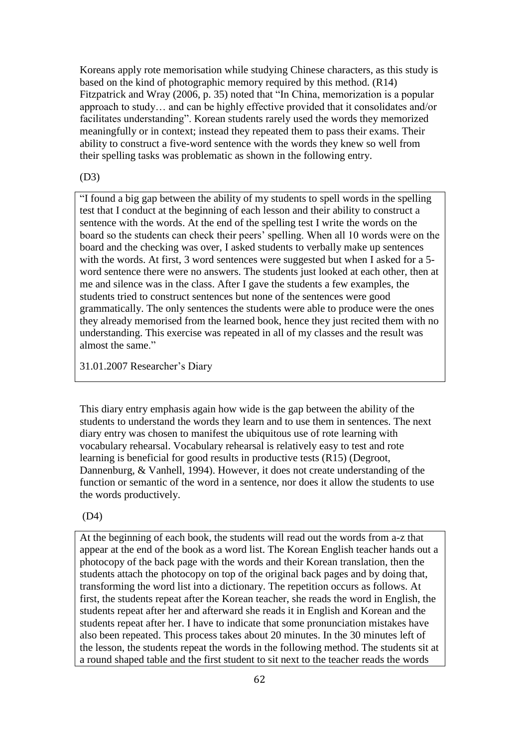Koreans apply rote memorisation while studying Chinese characters, as this study is based on the kind of photographic memory required by this method. (R14) Fitzpatrick and Wray (2006, p. 35) noted that "In China, memorization is a popular approach to study… and can be highly effective provided that it consolidates and/or facilitates understanding". Korean students rarely used the words they memorized meaningfully or in context; instead they repeated them to pass their exams. Their ability to construct a five-word sentence with the words they knew so well from their spelling tasks was problematic as shown in the following entry.

## (D3)

"I found a big gap between the ability of my students to spell words in the spelling test that I conduct at the beginning of each lesson and their ability to construct a sentence with the words. At the end of the spelling test I write the words on the board so the students can check their peers' spelling. When all 10 words were on the board and the checking was over, I asked students to verbally make up sentences with the words. At first, 3 word sentences were suggested but when I asked for a 5 word sentence there were no answers. The students just looked at each other, then at me and silence was in the class. After I gave the students a few examples, the students tried to construct sentences but none of the sentences were good grammatically. The only sentences the students were able to produce were the ones they already memorised from the learned book, hence they just recited them with no understanding. This exercise was repeated in all of my classes and the result was almost the same."

31.01.2007 Researcher's Diary

This diary entry emphasis again how wide is the gap between the ability of the students to understand the words they learn and to use them in sentences. The next diary entry was chosen to manifest the ubiquitous use of rote learning with vocabulary rehearsal. Vocabulary rehearsal is relatively easy to test and rote learning is beneficial for good results in productive tests (R15) (Degroot, Dannenburg, & Vanhell, 1994). However, it does not create understanding of the function or semantic of the word in a sentence, nor does it allow the students to use the words productively.

(D4)

At the beginning of each book, the students will read out the words from a-z that appear at the end of the book as a word list. The Korean English teacher hands out a photocopy of the back page with the words and their Korean translation, then the students attach the photocopy on top of the original back pages and by doing that, transforming the word list into a dictionary. The repetition occurs as follows. At first, the students repeat after the Korean teacher, she reads the word in English, the students repeat after her and afterward she reads it in English and Korean and the students repeat after her. I have to indicate that some pronunciation mistakes have also been repeated. This process takes about 20 minutes. In the 30 minutes left of the lesson, the students repeat the words in the following method. The students sit at a round shaped table and the first student to sit next to the teacher reads the words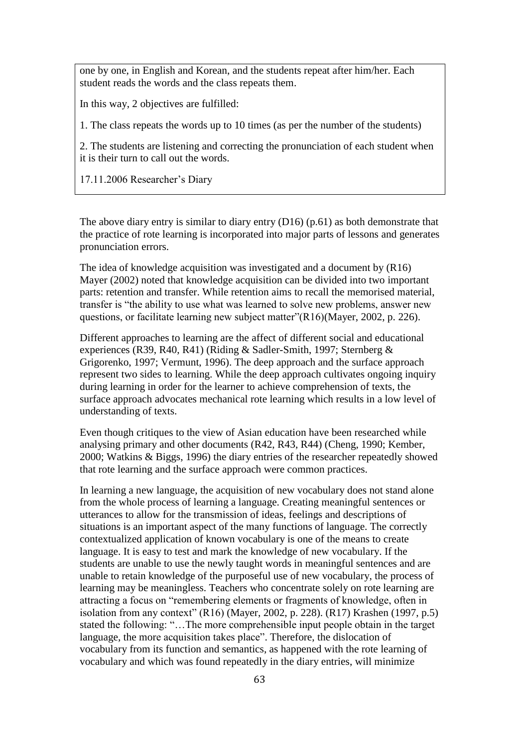one by one, in English and Korean, and the students repeat after him/her. Each student reads the words and the class repeats them.

In this way, 2 objectives are fulfilled:

1. The class repeats the words up to 10 times (as per the number of the students)

2. The students are listening and correcting the pronunciation of each student when it is their turn to call out the words.

17.11.2006 Researcher's Diary

The above diary entry is similar to diary entry (D16) (p.61) as both demonstrate that the practice of rote learning is incorporated into major parts of lessons and generates pronunciation errors.

The idea of knowledge acquisition was investigated and a document by (R16) Mayer (2002) noted that knowledge acquisition can be divided into two important parts: retention and transfer. While retention aims to recall the memorised material, transfer is "the ability to use what was learned to solve new problems, answer new questions, or facilitate learning new subject matter"(R16)(Mayer, 2002, p. 226).

Different approaches to learning are the affect of different social and educational experiences (R39, R40, R41) (Riding & Sadler-Smith, 1997; Sternberg & Grigorenko, 1997; Vermunt, 1996). The deep approach and the surface approach represent two sides to learning. While the deep approach cultivates ongoing inquiry during learning in order for the learner to achieve comprehension of texts, the surface approach advocates mechanical rote learning which results in a low level of understanding of texts.

Even though critiques to the view of Asian education have been researched while analysing primary and other documents (R42, R43, R44) (Cheng, 1990; Kember, 2000; Watkins & Biggs, 1996) the diary entries of the researcher repeatedly showed that rote learning and the surface approach were common practices.

In learning a new language, the acquisition of new vocabulary does not stand alone from the whole process of learning a language. Creating meaningful sentences or utterances to allow for the transmission of ideas, feelings and descriptions of situations is an important aspect of the many functions of language. The correctly contextualized application of known vocabulary is one of the means to create language. It is easy to test and mark the knowledge of new vocabulary. If the students are unable to use the newly taught words in meaningful sentences and are unable to retain knowledge of the purposeful use of new vocabulary, the process of learning may be meaningless. Teachers who concentrate solely on rote learning are attracting a focus on "remembering elements or fragments of knowledge, often in isolation from any context" (R16) (Mayer, 2002, p. 228). (R17) Krashen (1997, p.5) stated the following: "…The more comprehensible input people obtain in the target language, the more acquisition takes place". Therefore, the dislocation of vocabulary from its function and semantics, as happened with the rote learning of vocabulary and which was found repeatedly in the diary entries, will minimize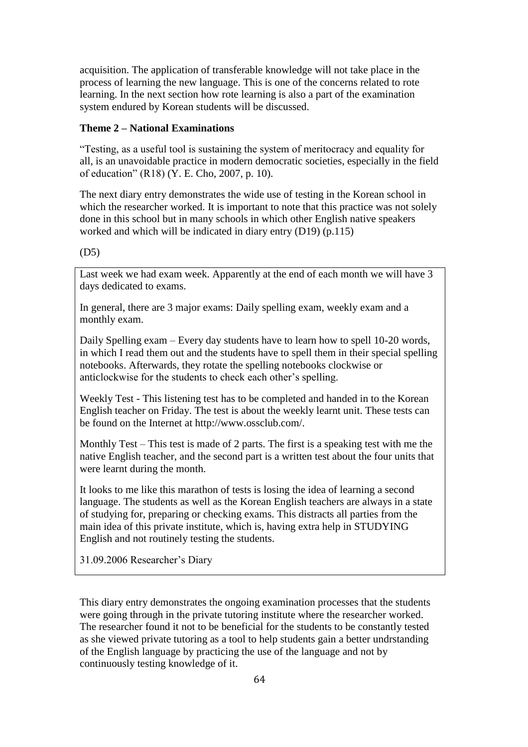acquisition. The application of transferable knowledge will not take place in the process of learning the new language. This is one of the concerns related to rote learning. In the next section how rote learning is also a part of the examination system endured by Korean students will be discussed.

## **Theme 2 – National Examinations**

"Testing, as a useful tool is sustaining the system of meritocracy and equality for all, is an unavoidable practice in modern democratic societies, especially in the field of education" (R18) (Y. E. Cho, 2007, p. 10).

The next diary entry demonstrates the wide use of testing in the Korean school in which the researcher worked. It is important to note that this practice was not solely done in this school but in many schools in which other English native speakers worked and which will be indicated in diary entry (D19) (p.115)

(D5)

Last week we had exam week. Apparently at the end of each month we will have 3 days dedicated to exams.

In general, there are 3 major exams: Daily spelling exam, weekly exam and a monthly exam.

Daily Spelling exam – Every day students have to learn how to spell 10-20 words, in which I read them out and the students have to spell them in their special spelling notebooks. Afterwards, they rotate the spelling notebooks clockwise or anticlockwise for the students to check each other's spelling.

Weekly Test - This listening test has to be completed and handed in to the Korean English teacher on Friday. The test is about the weekly learnt unit. These tests can be found on the Internet at http://www.ossclub.com/.

Monthly Test – This test is made of 2 parts. The first is a speaking test with me the native English teacher, and the second part is a written test about the four units that were learnt during the month.

It looks to me like this marathon of tests is losing the idea of learning a second language. The students as well as the Korean English teachers are always in a state of studying for, preparing or checking exams. This distracts all parties from the main idea of this private institute, which is, having extra help in STUDYING English and not routinely testing the students.

31.09.2006 Researcher's Diary

This diary entry demonstrates the ongoing examination processes that the students were going through in the private tutoring institute where the researcher worked. The researcher found it not to be beneficial for the students to be constantly tested as she viewed private tutoring as a tool to help students gain a better undrstanding of the English language by practicing the use of the language and not by continuously testing knowledge of it.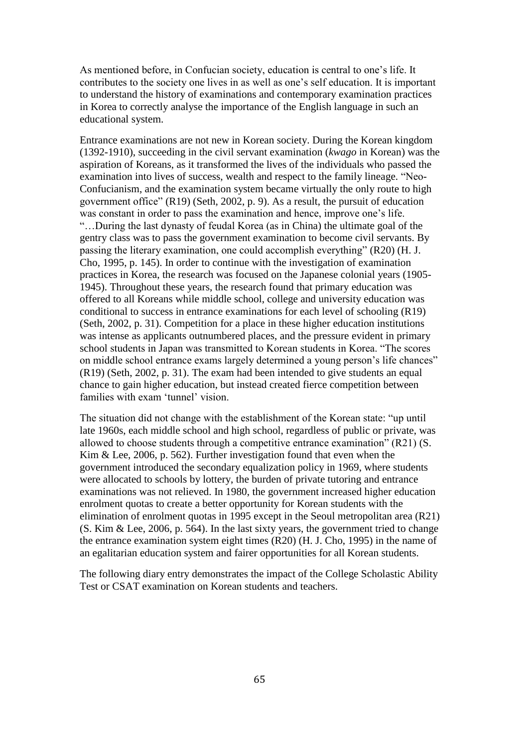As mentioned before, in Confucian society, education is central to one's life. It contributes to the society one lives in as well as one's self education. It is important to understand the history of examinations and contemporary examination practices in Korea to correctly analyse the importance of the English language in such an educational system.

Entrance examinations are not new in Korean society. During the Korean kingdom (1392-1910), succeeding in the civil servant examination (*kwago* in Korean) was the aspiration of Koreans, as it transformed the lives of the individuals who passed the examination into lives of success, wealth and respect to the family lineage. "Neo-Confucianism, and the examination system became virtually the only route to high government office" (R19) (Seth, 2002, p. 9). As a result, the pursuit of education was constant in order to pass the examination and hence, improve one's life. "…During the last dynasty of feudal Korea (as in China) the ultimate goal of the gentry class was to pass the government examination to become civil servants. By passing the literary examination, one could accomplish everything" (R20) (H. J. Cho, 1995, p. 145). In order to continue with the investigation of examination practices in Korea, the research was focused on the Japanese colonial years (1905- 1945). Throughout these years, the research found that primary education was offered to all Koreans while middle school, college and university education was conditional to success in entrance examinations for each level of schooling (R19) (Seth, 2002, p. 31). Competition for a place in these higher education institutions was intense as applicants outnumbered places, and the pressure evident in primary school students in Japan was transmitted to Korean students in Korea. "The scores on middle school entrance exams largely determined a young person's life chances" (R19) (Seth, 2002, p. 31). The exam had been intended to give students an equal chance to gain higher education, but instead created fierce competition between families with exam 'tunnel' vision.

The situation did not change with the establishment of the Korean state: "up until late 1960s, each middle school and high school, regardless of public or private, was allowed to choose students through a competitive entrance examination" (R21) (S. Kim & Lee, 2006, p. 562). Further investigation found that even when the government introduced the secondary equalization policy in 1969, where students were allocated to schools by lottery, the burden of private tutoring and entrance examinations was not relieved. In 1980, the government increased higher education enrolment quotas to create a better opportunity for Korean students with the elimination of enrolment quotas in 1995 except in the Seoul metropolitan area (R21) (S. Kim & Lee, 2006, p. 564). In the last sixty years, the government tried to change the entrance examination system eight times (R20) (H. J. Cho, 1995) in the name of an egalitarian education system and fairer opportunities for all Korean students.

The following diary entry demonstrates the impact of the College Scholastic Ability Test or CSAT examination on Korean students and teachers.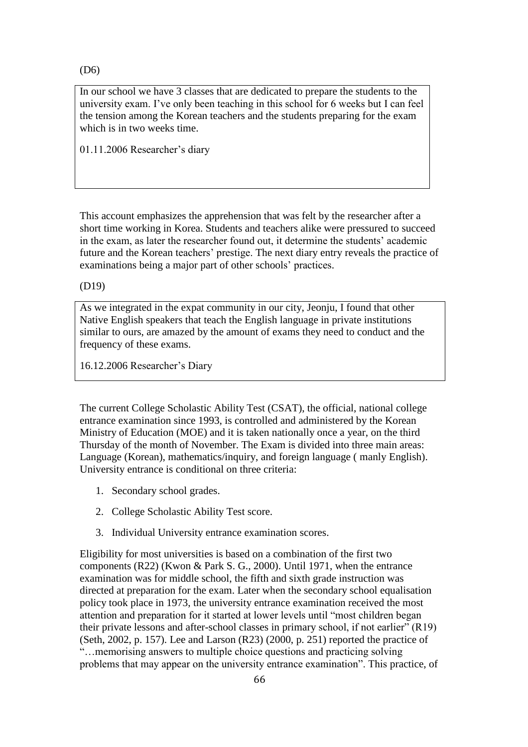(D6)

In our school we have 3 classes that are dedicated to prepare the students to the university exam. I've only been teaching in this school for 6 weeks but I can feel the tension among the Korean teachers and the students preparing for the exam which is in two weeks time.

01.11.2006 Researcher's diary

This account emphasizes the apprehension that was felt by the researcher after a short time working in Korea. Students and teachers alike were pressured to succeed in the exam, as later the researcher found out, it determine the students' academic future and the Korean teachers' prestige. The next diary entry reveals the practice of examinations being a major part of other schools' practices.

(D19)

As we integrated in the expat community in our city, Jeonju, I found that other Native English speakers that teach the English language in private institutions similar to ours, are amazed by the amount of exams they need to conduct and the frequency of these exams.

16.12.2006 Researcher's Diary

The current College Scholastic Ability Test (CSAT), the official, national college entrance examination since 1993, is controlled and administered by the Korean Ministry of Education (MOE) and it is taken nationally once a year, on the third Thursday of the month of November. The Exam is divided into three main areas: Language (Korean), mathematics/inquiry, and foreign language ( manly English). University entrance is conditional on three criteria:

- 1. Secondary school grades.
- 2. College Scholastic Ability Test score.
- 3. Individual University entrance examination scores.

Eligibility for most universities is based on a combination of the first two components (R22) (Kwon & Park S. G., 2000). Until 1971, when the entrance examination was for middle school, the fifth and sixth grade instruction was directed at preparation for the exam. Later when the secondary school equalisation policy took place in 1973, the university entrance examination received the most attention and preparation for it started at lower levels until "most children began their private lessons and after-school classes in primary school, if not earlier" (R19) (Seth, 2002, p. 157). Lee and Larson (R23) (2000, p. 251) reported the practice of "…memorising answers to multiple choice questions and practicing solving problems that may appear on the university entrance examination". This practice, of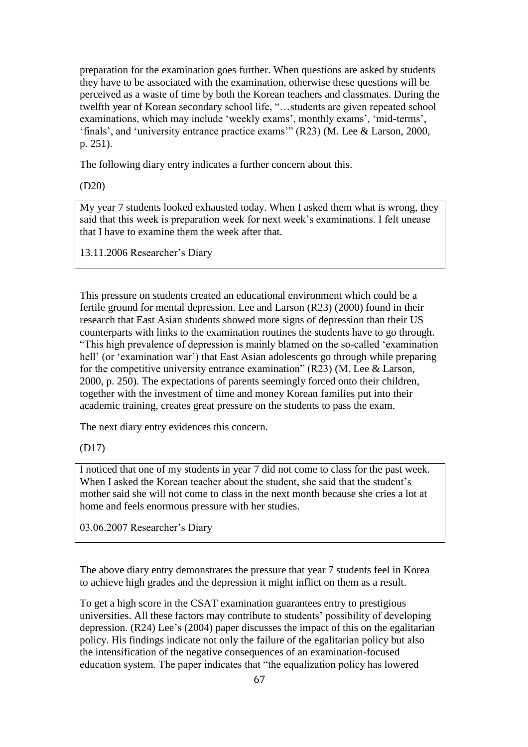preparation for the examination goes further. When questions are asked by students they have to be associated with the examination, otherwise these questions will be perceived as a waste of time by both the Korean teachers and classmates. During the twelfth year of Korean secondary school life, "…students are given repeated school examinations, which may include 'weekly exams', monthly exams', 'mid-terms', 'finals', and 'university entrance practice exams'" (R23) (M. Lee & Larson, 2000, p. 251).

The following diary entry indicates a further concern about this.

(D20)

My year 7 students looked exhausted today. When I asked them what is wrong, they said that this week is preparation week for next week's examinations. I felt unease that I have to examine them the week after that.

13.11.2006 Researcher's Diary

This pressure on students created an educational environment which could be a fertile ground for mental depression. Lee and Larson (R23) (2000) found in their research that East Asian students showed more signs of depression than their US counterparts with links to the examination routines the students have to go through. "This high prevalence of depression is mainly blamed on the so-called 'examination hell' (or 'examination war') that East Asian adolescents go through while preparing for the competitive university entrance examination" (R23) (M. Lee & Larson, 2000, p. 250). The expectations of parents seemingly forced onto their children, together with the investment of time and money Korean families put into their academic training, creates great pressure on the students to pass the exam.

The next diary entry evidences this concern.

(D17)

I noticed that one of my students in year 7 did not come to class for the past week. When I asked the Korean teacher about the student, she said that the student's mother said she will not come to class in the next month because she cries a lot at home and feels enormous pressure with her studies.

03.06.2007 Researcher's Diary

The above diary entry demonstrates the pressure that year 7 students feel in Korea to achieve high grades and the depression it might inflict on them as a result.

To get a high score in the CSAT examination guarantees entry to prestigious universities. All these factors may contribute to students' possibility of developing depression. (R24) Lee's (2004) paper discusses the impact of this on the egalitarian policy. His findings indicate not only the failure of the egalitarian policy but also the intensification of the negative consequences of an examination-focused education system. The paper indicates that "the equalization policy has lowered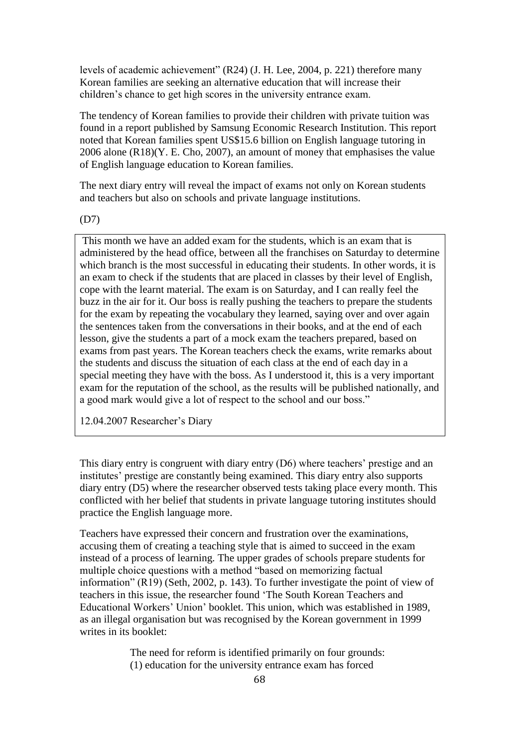levels of academic achievement" (R24) (J. H. Lee, 2004, p. 221) therefore many Korean families are seeking an alternative education that will increase their children's chance to get high scores in the university entrance exam.

The tendency of Korean families to provide their children with private tuition was found in a report published by Samsung Economic Research Institution. This report noted that Korean families spent US\$15.6 billion on English language tutoring in 2006 alone (R18)(Y. E. Cho, 2007), an amount of money that emphasises the value of English language education to Korean families.

The next diary entry will reveal the impact of exams not only on Korean students and teachers but also on schools and private language institutions.

(D7)

This month we have an added exam for the students, which is an exam that is administered by the head office, between all the franchises on Saturday to determine which branch is the most successful in educating their students. In other words, it is an exam to check if the students that are placed in classes by their level of English, cope with the learnt material. The exam is on Saturday, and I can really feel the buzz in the air for it. Our boss is really pushing the teachers to prepare the students for the exam by repeating the vocabulary they learned, saying over and over again the sentences taken from the conversations in their books, and at the end of each lesson, give the students a part of a mock exam the teachers prepared, based on exams from past years. The Korean teachers check the exams, write remarks about the students and discuss the situation of each class at the end of each day in a special meeting they have with the boss. As I understood it, this is a very important exam for the reputation of the school, as the results will be published nationally, and a good mark would give a lot of respect to the school and our boss."

12.04.2007 Researcher's Diary

This diary entry is congruent with diary entry (D6) where teachers' prestige and an institutes' prestige are constantly being examined. This diary entry also supports diary entry (D5) where the researcher observed tests taking place every month. This conflicted with her belief that students in private language tutoring institutes should practice the English language more.

Teachers have expressed their concern and frustration over the examinations, accusing them of creating a teaching style that is aimed to succeed in the exam instead of a process of learning. The upper grades of schools prepare students for multiple choice questions with a method "based on memorizing factual information" (R19) (Seth, 2002, p. 143). To further investigate the point of view of teachers in this issue, the researcher found 'The South Korean Teachers and Educational Workers' Union' booklet. This union, which was established in 1989, as an illegal organisation but was recognised by the Korean government in 1999 writes in its booklet:

> The need for reform is identified primarily on four grounds: (1) education for the university entrance exam has forced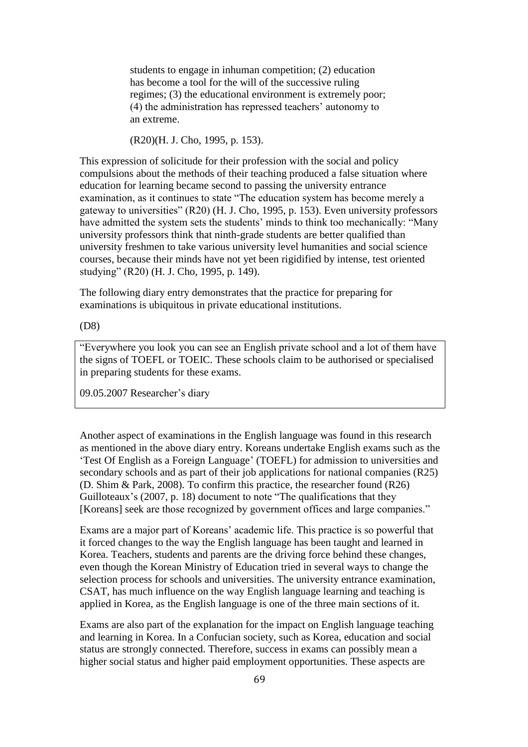students to engage in inhuman competition; (2) education has become a tool for the will of the successive ruling regimes; (3) the educational environment is extremely poor; (4) the administration has repressed teachers' autonomy to an extreme.

(R20)(H. J. Cho, 1995, p. 153).

This expression of solicitude for their profession with the social and policy compulsions about the methods of their teaching produced a false situation where education for learning became second to passing the university entrance examination, as it continues to state "The education system has become merely a gateway to universities" (R20) (H. J. Cho, 1995, p. 153). Even university professors have admitted the system sets the students' minds to think too mechanically: "Many university professors think that ninth-grade students are better qualified than university freshmen to take various university level humanities and social science courses, because their minds have not yet been rigidified by intense, test oriented studying" (R20) (H. J. Cho, 1995, p. 149).

The following diary entry demonstrates that the practice for preparing for examinations is ubiquitous in private educational institutions.

(D8)

"Everywhere you look you can see an English private school and a lot of them have the signs of TOEFL or TOEIC. These schools claim to be authorised or specialised in preparing students for these exams.

09.05.2007 Researcher's diary

Another aspect of examinations in the English language was found in this research as mentioned in the above diary entry. Koreans undertake English exams such as the 'Test Of English as a Foreign Language' (TOEFL) for admission to universities and secondary schools and as part of their job applications for national companies (R25) (D. Shim & Park, 2008). To confirm this practice, the researcher found (R26) Guilloteaux's (2007, p. 18) document to note "The qualifications that they [Koreans] seek are those recognized by government offices and large companies."

Exams are a major part of Koreans' academic life. This practice is so powerful that it forced changes to the way the English language has been taught and learned in Korea. Teachers, students and parents are the driving force behind these changes, even though the Korean Ministry of Education tried in several ways to change the selection process for schools and universities. The university entrance examination, CSAT, has much influence on the way English language learning and teaching is applied in Korea, as the English language is one of the three main sections of it.

Exams are also part of the explanation for the impact on English language teaching and learning in Korea. In a Confucian society, such as Korea, education and social status are strongly connected. Therefore, success in exams can possibly mean a higher social status and higher paid employment opportunities. These aspects are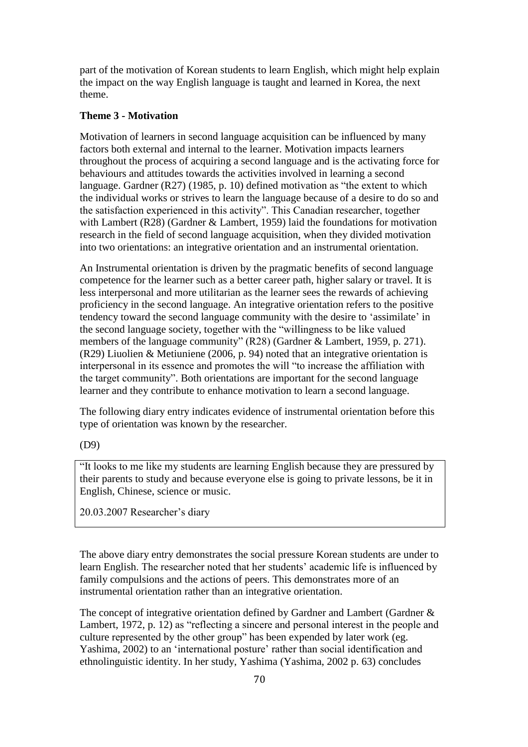part of the motivation of Korean students to learn English, which might help explain the impact on the way English language is taught and learned in Korea, the next theme.

## **Theme 3 - Motivation**

Motivation of learners in second language acquisition can be influenced by many factors both external and internal to the learner. Motivation impacts learners throughout the process of acquiring a second language and is the activating force for behaviours and attitudes towards the activities involved in learning a second language. Gardner (R27) (1985, p. 10) defined motivation as "the extent to which the individual works or strives to learn the language because of a desire to do so and the satisfaction experienced in this activity". This Canadian researcher, together with Lambert (R28) (Gardner & Lambert, 1959) laid the foundations for motivation research in the field of second language acquisition, when they divided motivation into two orientations: an integrative orientation and an instrumental orientation.

An Instrumental orientation is driven by the pragmatic benefits of second language competence for the learner such as a better career path, higher salary or travel. It is less interpersonal and more utilitarian as the learner sees the rewards of achieving proficiency in the second language. An integrative orientation refers to the positive tendency toward the second language community with the desire to 'assimilate' in the second language society, together with the "willingness to be like valued members of the language community" (R28) (Gardner & Lambert, 1959, p. 271). (R29) Liuolien & Metiuniene (2006, p. 94) noted that an integrative orientation is interpersonal in its essence and promotes the will "to increase the affiliation with the target community". Both orientations are important for the second language learner and they contribute to enhance motivation to learn a second language.

The following diary entry indicates evidence of instrumental orientation before this type of orientation was known by the researcher.

(D9)

"It looks to me like my students are learning English because they are pressured by their parents to study and because everyone else is going to private lessons, be it in English, Chinese, science or music.

20.03.2007 Researcher's diary

The above diary entry demonstrates the social pressure Korean students are under to learn English. The researcher noted that her students' academic life is influenced by family compulsions and the actions of peers. This demonstrates more of an instrumental orientation rather than an integrative orientation.

The concept of integrative orientation defined by Gardner and Lambert (Gardner & Lambert, 1972, p. 12) as "reflecting a sincere and personal interest in the people and culture represented by the other group" has been expended by later work (eg. Yashima, 2002) to an 'international posture' rather than social identification and ethnolinguistic identity. In her study, Yashima (Yashima, 2002 p. 63) concludes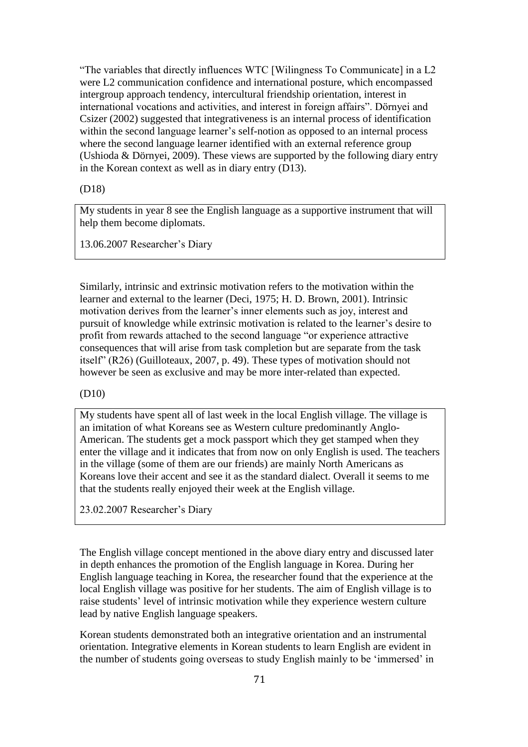"The variables that directly influences WTC [Wilingness To Communicate] in a L2 were L2 communication confidence and international posture, which encompassed intergroup approach tendency, intercultural friendship orientation, interest in international vocations and activities, and interest in foreign affairs". Dörnyei and Csizer (2002) suggested that integrativeness is an internal process of identification within the second language learner's self-notion as opposed to an internal process where the second language learner identified with an external reference group (Ushioda & Dörnyei, 2009). These views are supported by the following diary entry in the Korean context as well as in diary entry (D13).

(D18)

My students in year 8 see the English language as a supportive instrument that will help them become diplomats.

13.06.2007 Researcher's Diary

Similarly, intrinsic and extrinsic motivation refers to the motivation within the learner and external to the learner (Deci, 1975; H. D. Brown, 2001). Intrinsic motivation derives from the learner's inner elements such as joy, interest and pursuit of knowledge while extrinsic motivation is related to the learner's desire to profit from rewards attached to the second language "or experience attractive consequences that will arise from task completion but are separate from the task itself" (R26) (Guilloteaux, 2007, p. 49). These types of motivation should not however be seen as exclusive and may be more inter-related than expected.

(D10)

My students have spent all of last week in the local English village. The village is an imitation of what Koreans see as Western culture predominantly Anglo-American. The students get a mock passport which they get stamped when they enter the village and it indicates that from now on only English is used. The teachers in the village (some of them are our friends) are mainly North Americans as Koreans love their accent and see it as the standard dialect. Overall it seems to me that the students really enjoyed their week at the English village.

23.02.2007 Researcher's Diary

The English village concept mentioned in the above diary entry and discussed later in depth enhances the promotion of the English language in Korea. During her English language teaching in Korea, the researcher found that the experience at the local English village was positive for her students. The aim of English village is to raise students' level of intrinsic motivation while they experience western culture lead by native English language speakers.

Korean students demonstrated both an integrative orientation and an instrumental orientation. Integrative elements in Korean students to learn English are evident in the number of students going overseas to study English mainly to be 'immersed' in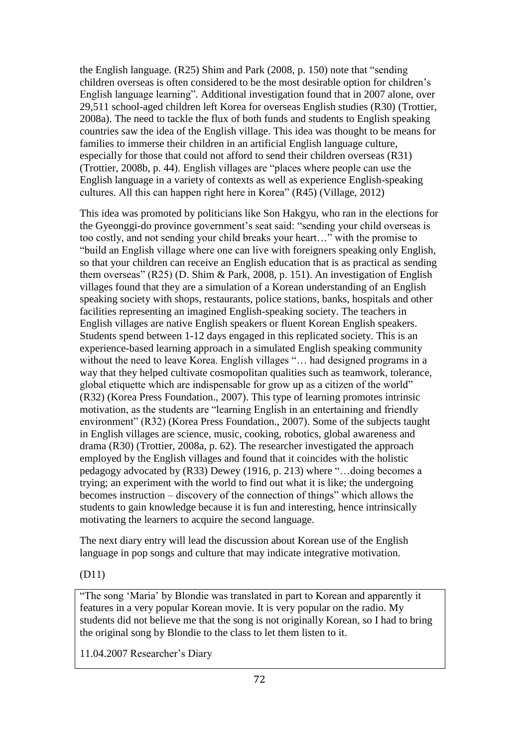the English language. (R25) Shim and Park (2008, p. 150) note that "sending children overseas is often considered to be the most desirable option for children's English language learning". Additional investigation found that in 2007 alone, over 29,511 school-aged children left Korea for overseas English studies (R30) (Trottier, 2008a). The need to tackle the flux of both funds and students to English speaking countries saw the idea of the English village. This idea was thought to be means for families to immerse their children in an artificial English language culture, especially for those that could not afford to send their children overseas (R31) (Trottier, 2008b, p. 44). English villages are "places where people can use the English language in a variety of contexts as well as experience English-speaking cultures. All this can happen right here in Korea" (R45) (Village, 2012)

This idea was promoted by politicians like Son Hakgyu, who ran in the elections for the Gyeonggi-do province government's seat said: "sending your child overseas is too costly, and not sending your child breaks your heart…" with the promise to "build an English village where one can live with foreigners speaking only English, so that your children can receive an English education that is as practical as sending them overseas" (R25) (D. Shim & Park, 2008, p. 151). An investigation of English villages found that they are a simulation of a Korean understanding of an English speaking society with shops, restaurants, police stations, banks, hospitals and other facilities representing an imagined English-speaking society. The teachers in English villages are native English speakers or fluent Korean English speakers. Students spend between 1-12 days engaged in this replicated society. This is an experience-based learning approach in a simulated English speaking community without the need to leave Korea. English villages "... had designed programs in a way that they helped cultivate cosmopolitan qualities such as teamwork, tolerance, global etiquette which are indispensable for grow up as a citizen of the world" (R32) (Korea Press Foundation., 2007). This type of learning promotes intrinsic motivation, as the students are "learning English in an entertaining and friendly environment" (R32) (Korea Press Foundation., 2007). Some of the subjects taught in English villages are science, music, cooking, robotics, global awareness and drama (R30) (Trottier, 2008a, p. 62). The researcher investigated the approach employed by the English villages and found that it coincides with the holistic pedagogy advocated by (R33) Dewey (1916, p. 213) where "…doing becomes a trying; an experiment with the world to find out what it is like; the undergoing becomes instruction – discovery of the connection of things" which allows the students to gain knowledge because it is fun and interesting, hence intrinsically motivating the learners to acquire the second language.

The next diary entry will lead the discussion about Korean use of the English language in pop songs and culture that may indicate integrative motivation.

## (D11)

"The song 'Maria' by Blondie was translated in part to Korean and apparently it features in a very popular Korean movie. It is very popular on the radio. My students did not believe me that the song is not originally Korean, so I had to bring the original song by Blondie to the class to let them listen to it.

11.04.2007 Researcher's Diary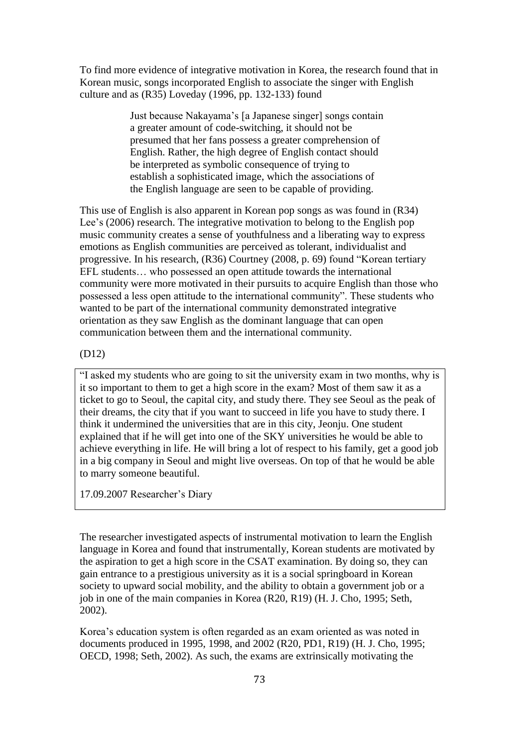To find more evidence of integrative motivation in Korea, the research found that in Korean music, songs incorporated English to associate the singer with English culture and as (R35) Loveday (1996, pp. 132-133) found

> Just because Nakayama's [a Japanese singer] songs contain a greater amount of code-switching, it should not be presumed that her fans possess a greater comprehension of English. Rather, the high degree of English contact should be interpreted as symbolic consequence of trying to establish a sophisticated image, which the associations of the English language are seen to be capable of providing.

This use of English is also apparent in Korean pop songs as was found in (R34) Lee's (2006) research. The integrative motivation to belong to the English pop music community creates a sense of youthfulness and a liberating way to express emotions as English communities are perceived as tolerant, individualist and progressive. In his research, (R36) Courtney (2008, p. 69) found "Korean tertiary EFL students… who possessed an open attitude towards the international community were more motivated in their pursuits to acquire English than those who possessed a less open attitude to the international community". These students who wanted to be part of the international community demonstrated integrative orientation as they saw English as the dominant language that can open communication between them and the international community.

#### (D12)

"I asked my students who are going to sit the university exam in two months, why is it so important to them to get a high score in the exam? Most of them saw it as a ticket to go to Seoul, the capital city, and study there. They see Seoul as the peak of their dreams, the city that if you want to succeed in life you have to study there. I think it undermined the universities that are in this city, Jeonju. One student explained that if he will get into one of the SKY universities he would be able to achieve everything in life. He will bring a lot of respect to his family, get a good job in a big company in Seoul and might live overseas. On top of that he would be able to marry someone beautiful.

17.09.2007 Researcher's Diary

The researcher investigated aspects of instrumental motivation to learn the English language in Korea and found that instrumentally, Korean students are motivated by the aspiration to get a high score in the CSAT examination. By doing so, they can gain entrance to a prestigious university as it is a social springboard in Korean society to upward social mobility, and the ability to obtain a government job or a job in one of the main companies in Korea (R20, R19) (H. J. Cho, 1995; Seth, 2002).

Korea's education system is often regarded as an exam oriented as was noted in documents produced in 1995, 1998, and 2002 (R20, PD1, R19) (H. J. Cho, 1995; OECD, 1998; Seth, 2002). As such, the exams are extrinsically motivating the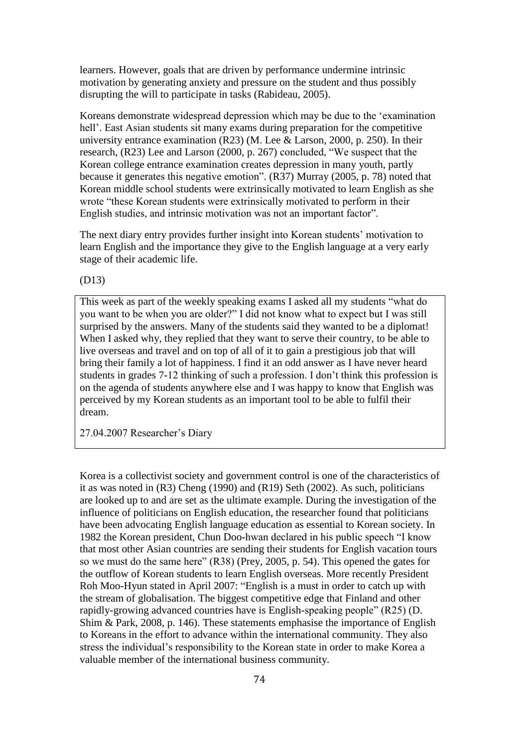learners. However, goals that are driven by performance undermine intrinsic motivation by generating anxiety and pressure on the student and thus possibly disrupting the will to participate in tasks (Rabideau, 2005).

Koreans demonstrate widespread depression which may be due to the 'examination hell'. East Asian students sit many exams during preparation for the competitive university entrance examination (R23) (M. Lee & Larson, 2000, p. 250). In their research, (R23) Lee and Larson (2000, p. 267) concluded, "We suspect that the Korean college entrance examination creates depression in many youth, partly because it generates this negative emotion". (R37) Murray (2005, p. 78) noted that Korean middle school students were extrinsically motivated to learn English as she wrote "these Korean students were extrinsically motivated to perform in their English studies, and intrinsic motivation was not an important factor".

The next diary entry provides further insight into Korean students' motivation to learn English and the importance they give to the English language at a very early stage of their academic life.

(D13)

This week as part of the weekly speaking exams I asked all my students "what do you want to be when you are older?" I did not know what to expect but I was still surprised by the answers. Many of the students said they wanted to be a diplomat! When I asked why, they replied that they want to serve their country, to be able to live overseas and travel and on top of all of it to gain a prestigious job that will bring their family a lot of happiness. I find it an odd answer as I have never heard students in grades 7-12 thinking of such a profession. I don't think this profession is on the agenda of students anywhere else and I was happy to know that English was perceived by my Korean students as an important tool to be able to fulfil their dream.

27.04.2007 Researcher's Diary

Korea is a collectivist society and government control is one of the characteristics of it as was noted in (R3) Cheng (1990) and (R19) Seth (2002). As such, politicians are looked up to and are set as the ultimate example. During the investigation of the influence of politicians on English education, the researcher found that politicians have been advocating English language education as essential to Korean society. In 1982 the Korean president, Chun Doo-hwan declared in his public speech "I know that most other Asian countries are sending their students for English vacation tours so we must do the same here" (R38) (Prey, 2005, p. 54). This opened the gates for the outflow of Korean students to learn English overseas. More recently President Roh Moo-Hyun stated in April 2007: "English is a must in order to catch up with the stream of globalisation. The biggest competitive edge that Finland and other rapidly-growing advanced countries have is English-speaking people" (R25) (D. Shim & Park, 2008, p. 146). These statements emphasise the importance of English to Koreans in the effort to advance within the international community. They also stress the individual's responsibility to the Korean state in order to make Korea a valuable member of the international business community.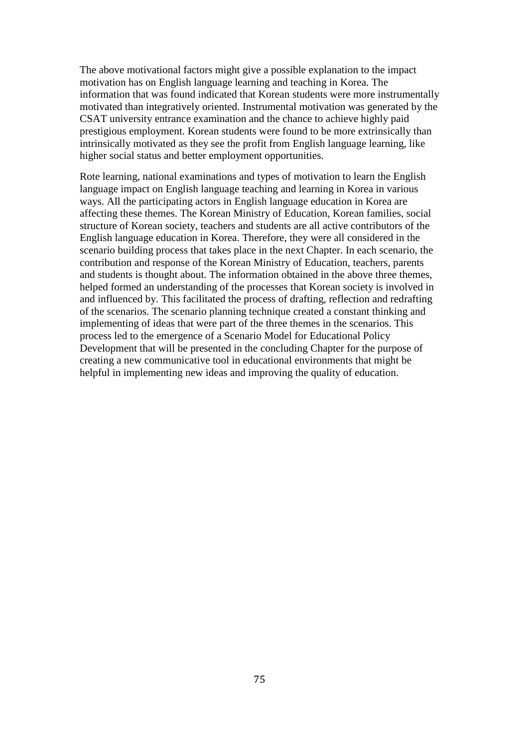The above motivational factors might give a possible explanation to the impact motivation has on English language learning and teaching in Korea. The information that was found indicated that Korean students were more instrumentally motivated than integratively oriented. Instrumental motivation was generated by the CSAT university entrance examination and the chance to achieve highly paid prestigious employment. Korean students were found to be more extrinsically than intrinsically motivated as they see the profit from English language learning, like higher social status and better employment opportunities.

Rote learning, national examinations and types of motivation to learn the English language impact on English language teaching and learning in Korea in various ways. All the participating actors in English language education in Korea are affecting these themes. The Korean Ministry of Education, Korean families, social structure of Korean society, teachers and students are all active contributors of the English language education in Korea. Therefore, they were all considered in the scenario building process that takes place in the next Chapter. In each scenario, the contribution and response of the Korean Ministry of Education, teachers, parents and students is thought about. The information obtained in the above three themes, helped formed an understanding of the processes that Korean society is involved in and influenced by. This facilitated the process of drafting, reflection and redrafting of the scenarios. The scenario planning technique created a constant thinking and implementing of ideas that were part of the three themes in the scenarios. This process led to the emergence of a Scenario Model for Educational Policy Development that will be presented in the concluding Chapter for the purpose of creating a new communicative tool in educational environments that might be helpful in implementing new ideas and improving the quality of education.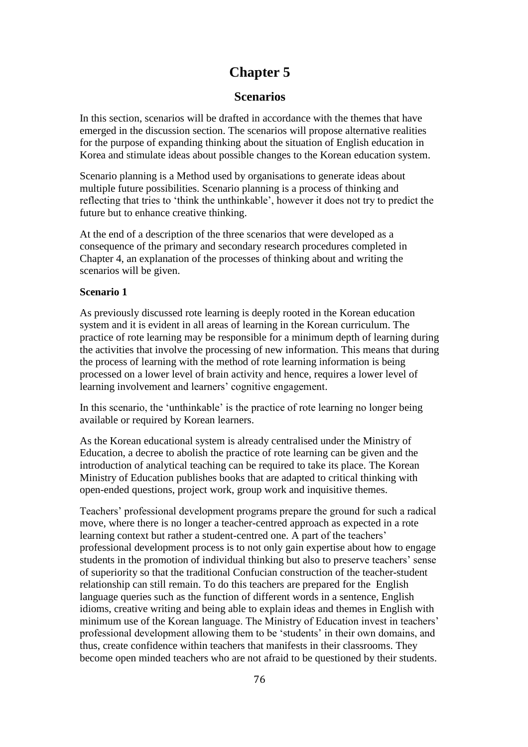# **Chapter 5**

### **Scenarios**

In this section, scenarios will be drafted in accordance with the themes that have emerged in the discussion section. The scenarios will propose alternative realities for the purpose of expanding thinking about the situation of English education in Korea and stimulate ideas about possible changes to the Korean education system.

Scenario planning is a Method used by organisations to generate ideas about multiple future possibilities. Scenario planning is a process of thinking and reflecting that tries to 'think the unthinkable', however it does not try to predict the future but to enhance creative thinking.

At the end of a description of the three scenarios that were developed as a consequence of the primary and secondary research procedures completed in Chapter 4, an explanation of the processes of thinking about and writing the scenarios will be given.

#### **Scenario 1**

As previously discussed rote learning is deeply rooted in the Korean education system and it is evident in all areas of learning in the Korean curriculum. The practice of rote learning may be responsible for a minimum depth of learning during the activities that involve the processing of new information. This means that during the process of learning with the method of rote learning information is being processed on a lower level of brain activity and hence, requires a lower level of learning involvement and learners' cognitive engagement.

In this scenario, the 'unthinkable' is the practice of rote learning no longer being available or required by Korean learners.

As the Korean educational system is already centralised under the Ministry of Education, a decree to abolish the practice of rote learning can be given and the introduction of analytical teaching can be required to take its place. The Korean Ministry of Education publishes books that are adapted to critical thinking with open-ended questions, project work, group work and inquisitive themes.

Teachers' professional development programs prepare the ground for such a radical move, where there is no longer a teacher-centred approach as expected in a rote learning context but rather a student-centred one. A part of the teachers' professional development process is to not only gain expertise about how to engage students in the promotion of individual thinking but also to preserve teachers' sense of superiority so that the traditional Confucian construction of the teacher-student relationship can still remain. To do this teachers are prepared for the English language queries such as the function of different words in a sentence, English idioms, creative writing and being able to explain ideas and themes in English with minimum use of the Korean language. The Ministry of Education invest in teachers' professional development allowing them to be 'students' in their own domains, and thus, create confidence within teachers that manifests in their classrooms. They become open minded teachers who are not afraid to be questioned by their students.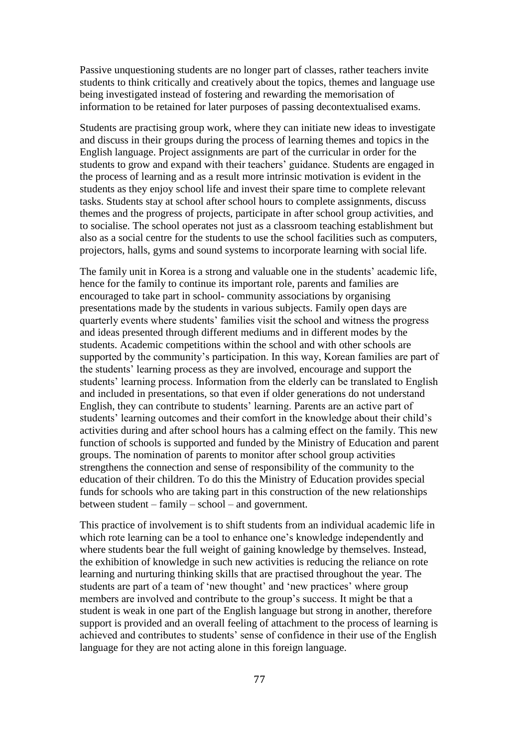Passive unquestioning students are no longer part of classes, rather teachers invite students to think critically and creatively about the topics, themes and language use being investigated instead of fostering and rewarding the memorisation of information to be retained for later purposes of passing decontextualised exams.

Students are practising group work, where they can initiate new ideas to investigate and discuss in their groups during the process of learning themes and topics in the English language. Project assignments are part of the curricular in order for the students to grow and expand with their teachers' guidance. Students are engaged in the process of learning and as a result more intrinsic motivation is evident in the students as they enjoy school life and invest their spare time to complete relevant tasks. Students stay at school after school hours to complete assignments, discuss themes and the progress of projects, participate in after school group activities, and to socialise. The school operates not just as a classroom teaching establishment but also as a social centre for the students to use the school facilities such as computers, projectors, halls, gyms and sound systems to incorporate learning with social life.

The family unit in Korea is a strong and valuable one in the students' academic life, hence for the family to continue its important role, parents and families are encouraged to take part in school- community associations by organising presentations made by the students in various subjects. Family open days are quarterly events where students' families visit the school and witness the progress and ideas presented through different mediums and in different modes by the students. Academic competitions within the school and with other schools are supported by the community's participation. In this way, Korean families are part of the students' learning process as they are involved, encourage and support the students' learning process. Information from the elderly can be translated to English and included in presentations, so that even if older generations do not understand English, they can contribute to students' learning. Parents are an active part of students' learning outcomes and their comfort in the knowledge about their child's activities during and after school hours has a calming effect on the family. This new function of schools is supported and funded by the Ministry of Education and parent groups. The nomination of parents to monitor after school group activities strengthens the connection and sense of responsibility of the community to the education of their children. To do this the Ministry of Education provides special funds for schools who are taking part in this construction of the new relationships between student – family – school – and government.

This practice of involvement is to shift students from an individual academic life in which rote learning can be a tool to enhance one's knowledge independently and where students bear the full weight of gaining knowledge by themselves. Instead, the exhibition of knowledge in such new activities is reducing the reliance on rote learning and nurturing thinking skills that are practised throughout the year. The students are part of a team of 'new thought' and 'new practices' where group members are involved and contribute to the group's success. It might be that a student is weak in one part of the English language but strong in another, therefore support is provided and an overall feeling of attachment to the process of learning is achieved and contributes to students' sense of confidence in their use of the English language for they are not acting alone in this foreign language.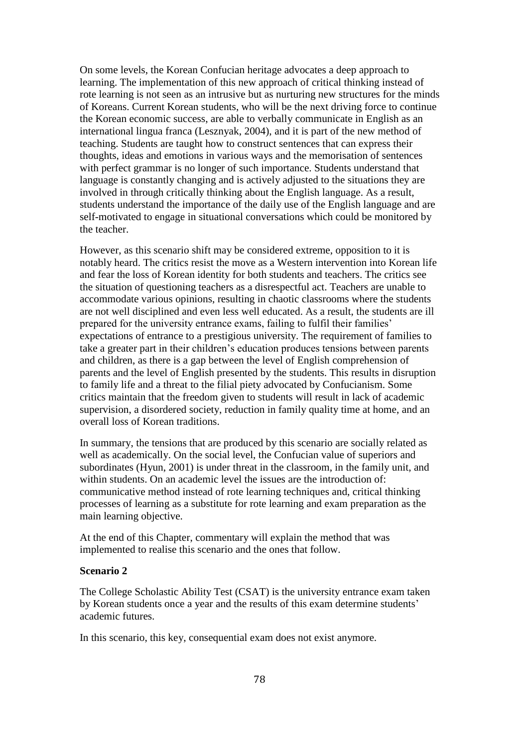On some levels, the Korean Confucian heritage advocates a deep approach to learning. The implementation of this new approach of critical thinking instead of rote learning is not seen as an intrusive but as nurturing new structures for the minds of Koreans. Current Korean students, who will be the next driving force to continue the Korean economic success, are able to verbally communicate in English as an international lingua franca (Lesznyak, 2004), and it is part of the new method of teaching. Students are taught how to construct sentences that can express their thoughts, ideas and emotions in various ways and the memorisation of sentences with perfect grammar is no longer of such importance. Students understand that language is constantly changing and is actively adjusted to the situations they are involved in through critically thinking about the English language. As a result, students understand the importance of the daily use of the English language and are self-motivated to engage in situational conversations which could be monitored by the teacher.

However, as this scenario shift may be considered extreme, opposition to it is notably heard. The critics resist the move as a Western intervention into Korean life and fear the loss of Korean identity for both students and teachers. The critics see the situation of questioning teachers as a disrespectful act. Teachers are unable to accommodate various opinions, resulting in chaotic classrooms where the students are not well disciplined and even less well educated. As a result, the students are ill prepared for the university entrance exams, failing to fulfil their families' expectations of entrance to a prestigious university. The requirement of families to take a greater part in their children's education produces tensions between parents and children, as there is a gap between the level of English comprehension of parents and the level of English presented by the students. This results in disruption to family life and a threat to the filial piety advocated by Confucianism. Some critics maintain that the freedom given to students will result in lack of academic supervision, a disordered society, reduction in family quality time at home, and an overall loss of Korean traditions.

In summary, the tensions that are produced by this scenario are socially related as well as academically. On the social level, the Confucian value of superiors and subordinates (Hyun, 2001) is under threat in the classroom, in the family unit, and within students. On an academic level the issues are the introduction of: communicative method instead of rote learning techniques and, critical thinking processes of learning as a substitute for rote learning and exam preparation as the main learning objective.

At the end of this Chapter, commentary will explain the method that was implemented to realise this scenario and the ones that follow.

#### **Scenario 2**

The College Scholastic Ability Test (CSAT) is the university entrance exam taken by Korean students once a year and the results of this exam determine students' academic futures.

In this scenario, this key, consequential exam does not exist anymore.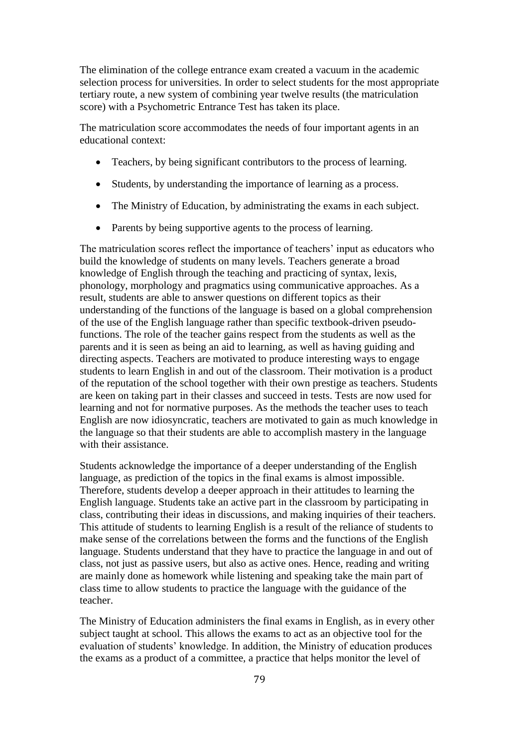The elimination of the college entrance exam created a vacuum in the academic selection process for universities. In order to select students for the most appropriate tertiary route, a new system of combining year twelve results (the matriculation score) with a Psychometric Entrance Test has taken its place.

The matriculation score accommodates the needs of four important agents in an educational context:

- Teachers, by being significant contributors to the process of learning.
- Students, by understanding the importance of learning as a process.
- The Ministry of Education, by administrating the exams in each subject.
- Parents by being supportive agents to the process of learning.

The matriculation scores reflect the importance of teachers' input as educators who build the knowledge of students on many levels. Teachers generate a broad knowledge of English through the teaching and practicing of syntax, lexis, phonology, morphology and pragmatics using communicative approaches. As a result, students are able to answer questions on different topics as their understanding of the functions of the language is based on a global comprehension of the use of the English language rather than specific textbook-driven pseudofunctions. The role of the teacher gains respect from the students as well as the parents and it is seen as being an aid to learning, as well as having guiding and directing aspects. Teachers are motivated to produce interesting ways to engage students to learn English in and out of the classroom. Their motivation is a product of the reputation of the school together with their own prestige as teachers. Students are keen on taking part in their classes and succeed in tests. Tests are now used for learning and not for normative purposes. As the methods the teacher uses to teach English are now idiosyncratic, teachers are motivated to gain as much knowledge in the language so that their students are able to accomplish mastery in the language with their assistance.

Students acknowledge the importance of a deeper understanding of the English language, as prediction of the topics in the final exams is almost impossible. Therefore, students develop a deeper approach in their attitudes to learning the English language. Students take an active part in the classroom by participating in class, contributing their ideas in discussions, and making inquiries of their teachers. This attitude of students to learning English is a result of the reliance of students to make sense of the correlations between the forms and the functions of the English language. Students understand that they have to practice the language in and out of class, not just as passive users, but also as active ones. Hence, reading and writing are mainly done as homework while listening and speaking take the main part of class time to allow students to practice the language with the guidance of the teacher.

The Ministry of Education administers the final exams in English, as in every other subject taught at school. This allows the exams to act as an objective tool for the evaluation of students' knowledge. In addition, the Ministry of education produces the exams as a product of a committee, a practice that helps monitor the level of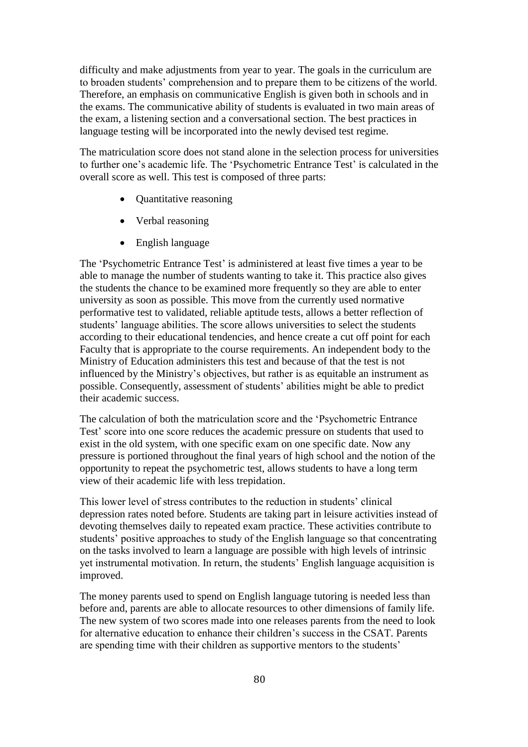difficulty and make adjustments from year to year. The goals in the curriculum are to broaden students' comprehension and to prepare them to be citizens of the world. Therefore, an emphasis on communicative English is given both in schools and in the exams. The communicative ability of students is evaluated in two main areas of the exam, a listening section and a conversational section. The best practices in language testing will be incorporated into the newly devised test regime.

The matriculation score does not stand alone in the selection process for universities to further one's academic life. The 'Psychometric Entrance Test' is calculated in the overall score as well. This test is composed of three parts:

- Quantitative reasoning
- Verbal reasoning
- English language

The 'Psychometric Entrance Test' is administered at least five times a year to be able to manage the number of students wanting to take it. This practice also gives the students the chance to be examined more frequently so they are able to enter university as soon as possible. This move from the currently used normative performative test to validated, reliable aptitude tests, allows a better reflection of students' language abilities. The score allows universities to select the students according to their educational tendencies, and hence create a cut off point for each Faculty that is appropriate to the course requirements. An independent body to the Ministry of Education administers this test and because of that the test is not influenced by the Ministry's objectives, but rather is as equitable an instrument as possible. Consequently, assessment of students' abilities might be able to predict their academic success.

The calculation of both the matriculation score and the 'Psychometric Entrance Test' score into one score reduces the academic pressure on students that used to exist in the old system, with one specific exam on one specific date. Now any pressure is portioned throughout the final years of high school and the notion of the opportunity to repeat the psychometric test, allows students to have a long term view of their academic life with less trepidation.

This lower level of stress contributes to the reduction in students' clinical depression rates noted before. Students are taking part in leisure activities instead of devoting themselves daily to repeated exam practice. These activities contribute to students' positive approaches to study of the English language so that concentrating on the tasks involved to learn a language are possible with high levels of intrinsic yet instrumental motivation. In return, the students' English language acquisition is improved.

The money parents used to spend on English language tutoring is needed less than before and, parents are able to allocate resources to other dimensions of family life. The new system of two scores made into one releases parents from the need to look for alternative education to enhance their children's success in the CSAT. Parents are spending time with their children as supportive mentors to the students'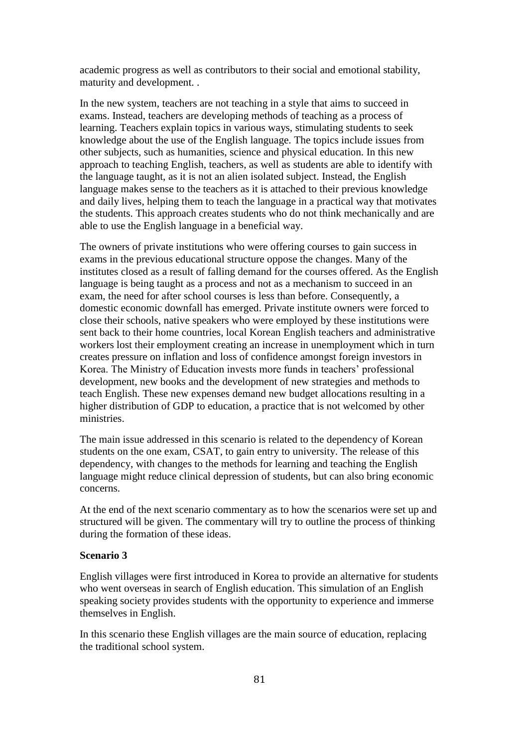academic progress as well as contributors to their social and emotional stability, maturity and development. .

In the new system, teachers are not teaching in a style that aims to succeed in exams. Instead, teachers are developing methods of teaching as a process of learning. Teachers explain topics in various ways, stimulating students to seek knowledge about the use of the English language. The topics include issues from other subjects, such as humanities, science and physical education. In this new approach to teaching English, teachers, as well as students are able to identify with the language taught, as it is not an alien isolated subject. Instead, the English language makes sense to the teachers as it is attached to their previous knowledge and daily lives, helping them to teach the language in a practical way that motivates the students. This approach creates students who do not think mechanically and are able to use the English language in a beneficial way.

The owners of private institutions who were offering courses to gain success in exams in the previous educational structure oppose the changes. Many of the institutes closed as a result of falling demand for the courses offered. As the English language is being taught as a process and not as a mechanism to succeed in an exam, the need for after school courses is less than before. Consequently, a domestic economic downfall has emerged. Private institute owners were forced to close their schools, native speakers who were employed by these institutions were sent back to their home countries, local Korean English teachers and administrative workers lost their employment creating an increase in unemployment which in turn creates pressure on inflation and loss of confidence amongst foreign investors in Korea. The Ministry of Education invests more funds in teachers' professional development, new books and the development of new strategies and methods to teach English. These new expenses demand new budget allocations resulting in a higher distribution of GDP to education, a practice that is not welcomed by other ministries.

The main issue addressed in this scenario is related to the dependency of Korean students on the one exam, CSAT, to gain entry to university. The release of this dependency, with changes to the methods for learning and teaching the English language might reduce clinical depression of students, but can also bring economic concerns.

At the end of the next scenario commentary as to how the scenarios were set up and structured will be given. The commentary will try to outline the process of thinking during the formation of these ideas.

#### **Scenario 3**

English villages were first introduced in Korea to provide an alternative for students who went overseas in search of English education. This simulation of an English speaking society provides students with the opportunity to experience and immerse themselves in English.

In this scenario these English villages are the main source of education, replacing the traditional school system.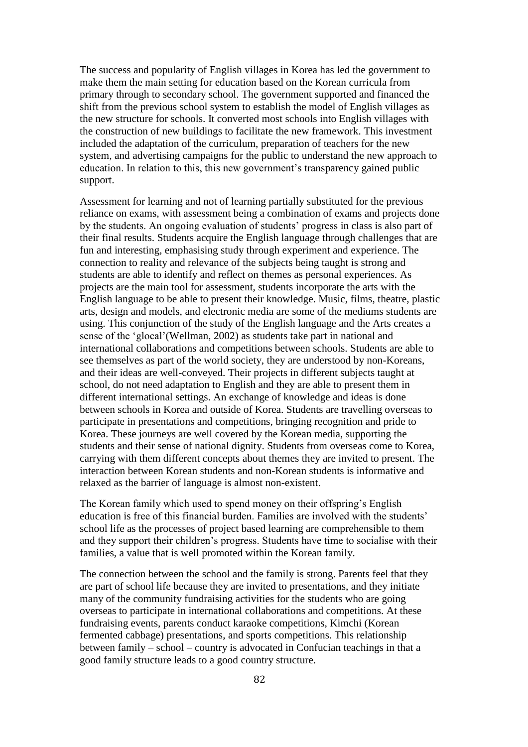The success and popularity of English villages in Korea has led the government to make them the main setting for education based on the Korean curricula from primary through to secondary school. The government supported and financed the shift from the previous school system to establish the model of English villages as the new structure for schools. It converted most schools into English villages with the construction of new buildings to facilitate the new framework. This investment included the adaptation of the curriculum, preparation of teachers for the new system, and advertising campaigns for the public to understand the new approach to education. In relation to this, this new government's transparency gained public support.

Assessment for learning and not of learning partially substituted for the previous reliance on exams, with assessment being a combination of exams and projects done by the students. An ongoing evaluation of students' progress in class is also part of their final results. Students acquire the English language through challenges that are fun and interesting, emphasising study through experiment and experience. The connection to reality and relevance of the subjects being taught is strong and students are able to identify and reflect on themes as personal experiences. As projects are the main tool for assessment, students incorporate the arts with the English language to be able to present their knowledge. Music, films, theatre, plastic arts, design and models, and electronic media are some of the mediums students are using. This conjunction of the study of the English language and the Arts creates a sense of the 'glocal'(Wellman, 2002) as students take part in national and international collaborations and competitions between schools. Students are able to see themselves as part of the world society, they are understood by non-Koreans, and their ideas are well-conveyed. Their projects in different subjects taught at school, do not need adaptation to English and they are able to present them in different international settings. An exchange of knowledge and ideas is done between schools in Korea and outside of Korea. Students are travelling overseas to participate in presentations and competitions, bringing recognition and pride to Korea. These journeys are well covered by the Korean media, supporting the students and their sense of national dignity. Students from overseas come to Korea, carrying with them different concepts about themes they are invited to present. The interaction between Korean students and non-Korean students is informative and relaxed as the barrier of language is almost non-existent.

The Korean family which used to spend money on their offspring's English education is free of this financial burden. Families are involved with the students' school life as the processes of project based learning are comprehensible to them and they support their children's progress. Students have time to socialise with their families, a value that is well promoted within the Korean family.

The connection between the school and the family is strong. Parents feel that they are part of school life because they are invited to presentations, and they initiate many of the community fundraising activities for the students who are going overseas to participate in international collaborations and competitions. At these fundraising events, parents conduct karaoke competitions, Kimchi (Korean fermented cabbage) presentations, and sports competitions. This relationship between family – school – country is advocated in Confucian teachings in that a good family structure leads to a good country structure.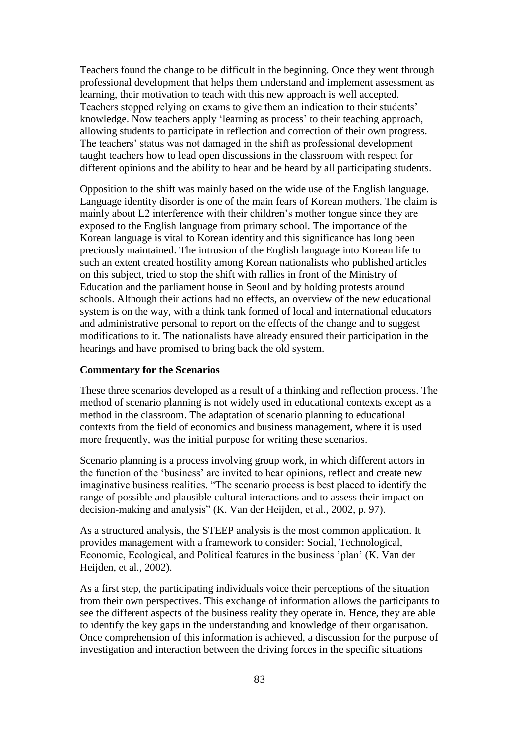Teachers found the change to be difficult in the beginning. Once they went through professional development that helps them understand and implement assessment as learning, their motivation to teach with this new approach is well accepted. Teachers stopped relying on exams to give them an indication to their students' knowledge. Now teachers apply 'learning as process' to their teaching approach, allowing students to participate in reflection and correction of their own progress. The teachers' status was not damaged in the shift as professional development taught teachers how to lead open discussions in the classroom with respect for different opinions and the ability to hear and be heard by all participating students.

Opposition to the shift was mainly based on the wide use of the English language. Language identity disorder is one of the main fears of Korean mothers. The claim is mainly about L2 interference with their children's mother tongue since they are exposed to the English language from primary school. The importance of the Korean language is vital to Korean identity and this significance has long been preciously maintained. The intrusion of the English language into Korean life to such an extent created hostility among Korean nationalists who published articles on this subject, tried to stop the shift with rallies in front of the Ministry of Education and the parliament house in Seoul and by holding protests around schools. Although their actions had no effects, an overview of the new educational system is on the way, with a think tank formed of local and international educators and administrative personal to report on the effects of the change and to suggest modifications to it. The nationalists have already ensured their participation in the hearings and have promised to bring back the old system.

#### **Commentary for the Scenarios**

These three scenarios developed as a result of a thinking and reflection process. The method of scenario planning is not widely used in educational contexts except as a method in the classroom. The adaptation of scenario planning to educational contexts from the field of economics and business management, where it is used more frequently, was the initial purpose for writing these scenarios.

Scenario planning is a process involving group work, in which different actors in the function of the 'business' are invited to hear opinions, reflect and create new imaginative business realities. "The scenario process is best placed to identify the range of possible and plausible cultural interactions and to assess their impact on decision-making and analysis" (K. Van der Heijden, et al., 2002, p. 97).

As a structured analysis, the STEEP analysis is the most common application. It provides management with a framework to consider: Social, Technological, Economic, Ecological, and Political features in the business 'plan' (K. Van der Heijden, et al., 2002).

As a first step, the participating individuals voice their perceptions of the situation from their own perspectives. This exchange of information allows the participants to see the different aspects of the business reality they operate in. Hence, they are able to identify the key gaps in the understanding and knowledge of their organisation. Once comprehension of this information is achieved, a discussion for the purpose of investigation and interaction between the driving forces in the specific situations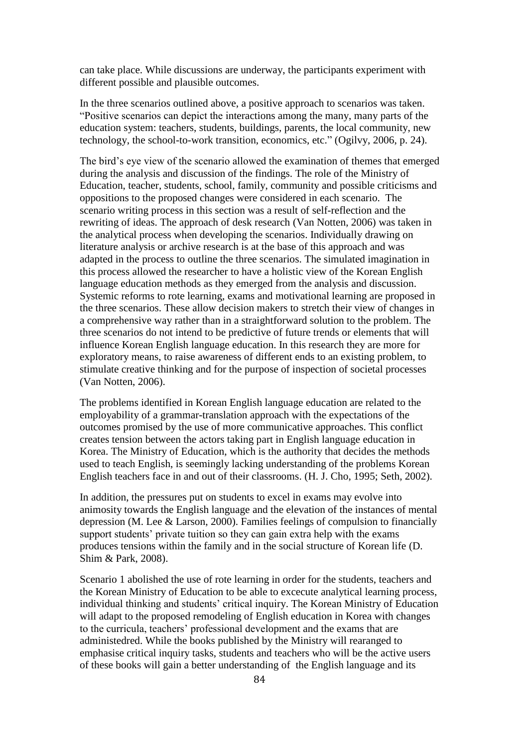can take place. While discussions are underway, the participants experiment with different possible and plausible outcomes.

In the three scenarios outlined above, a positive approach to scenarios was taken. "Positive scenarios can depict the interactions among the many, many parts of the education system: teachers, students, buildings, parents, the local community, new technology, the school-to-work transition, economics, etc." (Ogilvy, 2006, p. 24).

The bird's eye view of the scenario allowed the examination of themes that emerged during the analysis and discussion of the findings. The role of the Ministry of Education, teacher, students, school, family, community and possible criticisms and oppositions to the proposed changes were considered in each scenario. The scenario writing process in this section was a result of self-reflection and the rewriting of ideas. The approach of desk research (Van Notten, 2006) was taken in the analytical process when developing the scenarios. Individually drawing on literature analysis or archive research is at the base of this approach and was adapted in the process to outline the three scenarios. The simulated imagination in this process allowed the researcher to have a holistic view of the Korean English language education methods as they emerged from the analysis and discussion. Systemic reforms to rote learning, exams and motivational learning are proposed in the three scenarios. These allow decision makers to stretch their view of changes in a comprehensive way rather than in a straightforward solution to the problem. The three scenarios do not intend to be predictive of future trends or elements that will influence Korean English language education. In this research they are more for exploratory means, to raise awareness of different ends to an existing problem, to stimulate creative thinking and for the purpose of inspection of societal processes (Van Notten, 2006).

The problems identified in Korean English language education are related to the employability of a grammar-translation approach with the expectations of the outcomes promised by the use of more communicative approaches. This conflict creates tension between the actors taking part in English language education in Korea. The Ministry of Education, which is the authority that decides the methods used to teach English, is seemingly lacking understanding of the problems Korean English teachers face in and out of their classrooms. (H. J. Cho, 1995; Seth, 2002).

In addition, the pressures put on students to excel in exams may evolve into animosity towards the English language and the elevation of the instances of mental depression (M. Lee & Larson, 2000). Families feelings of compulsion to financially support students' private tuition so they can gain extra help with the exams produces tensions within the family and in the social structure of Korean life (D. Shim & Park, 2008).

Scenario 1 abolished the use of rote learning in order for the students, teachers and the Korean Ministry of Education to be able to excecute analytical learning process, individual thinking and students' critical inquiry. The Korean Ministry of Education will adapt to the proposed remodeling of English education in Korea with changes to the curricula, teachers' professional development and the exams that are administedred. While the books published by the Ministry will rearanged to emphasise critical inquiry tasks, students and teachers who will be the active users of these books will gain a better understanding of the English language and its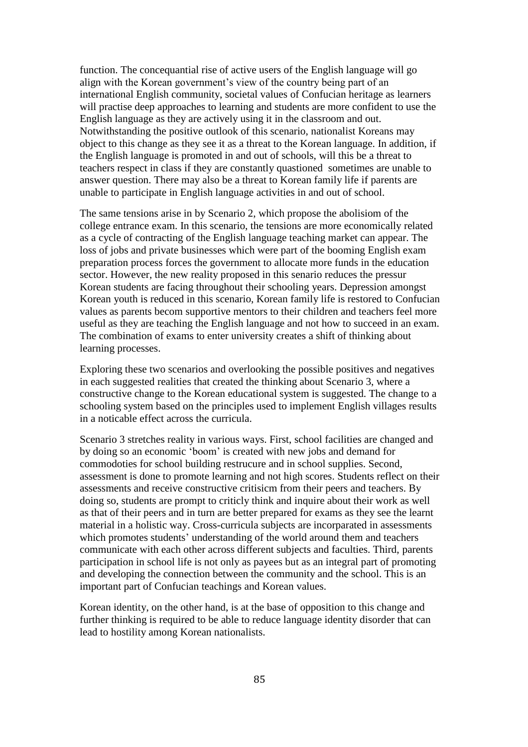function. The concequantial rise of active users of the English language will go align with the Korean government's view of the country being part of an international English community, societal values of Confucian heritage as learners will practise deep approaches to learning and students are more confident to use the English language as they are actively using it in the classroom and out. Notwithstanding the positive outlook of this scenario, nationalist Koreans may object to this change as they see it as a threat to the Korean language. In addition, if the English language is promoted in and out of schools, will this be a threat to teachers respect in class if they are constantly quastioned sometimes are unable to answer question. There may also be a threat to Korean family life if parents are unable to participate in English language activities in and out of school.

The same tensions arise in by Scenario 2, which propose the abolisiom of the college entrance exam. In this scenario, the tensions are more economically related as a cycle of contracting of the English language teaching market can appear. The loss of jobs and private businesses which were part of the booming English exam preparation process forces the government to allocate more funds in the education sector. However, the new reality proposed in this senario reduces the pressur Korean students are facing throughout their schooling years. Depression amongst Korean youth is reduced in this scenario, Korean family life is restored to Confucian values as parents becom supportive mentors to their children and teachers feel more useful as they are teaching the English language and not how to succeed in an exam. The combination of exams to enter university creates a shift of thinking about learning processes.

Exploring these two scenarios and overlooking the possible positives and negatives in each suggested realities that created the thinking about Scenario 3, where a constructive change to the Korean educational system is suggested. The change to a schooling system based on the principles used to implement English villages results in a noticable effect across the curricula.

Scenario 3 stretches reality in various ways. First, school facilities are changed and by doing so an economic 'boom' is created with new jobs and demand for commodoties for school building restrucure and in school supplies. Second, assessment is done to promote learning and not high scores. Students reflect on their assessments and receive constructive critisicm from their peers and teachers. By doing so, students are prompt to criticly think and inquire about their work as well as that of their peers and in turn are better prepared for exams as they see the learnt material in a holistic way. Cross-curricula subjects are incorparated in assessments which promotes students' understanding of the world around them and teachers communicate with each other across different subjects and faculties. Third, parents participation in school life is not only as payees but as an integral part of promoting and developing the connection between the community and the school. This is an important part of Confucian teachings and Korean values.

Korean identity, on the other hand, is at the base of opposition to this change and further thinking is required to be able to reduce language identity disorder that can lead to hostility among Korean nationalists.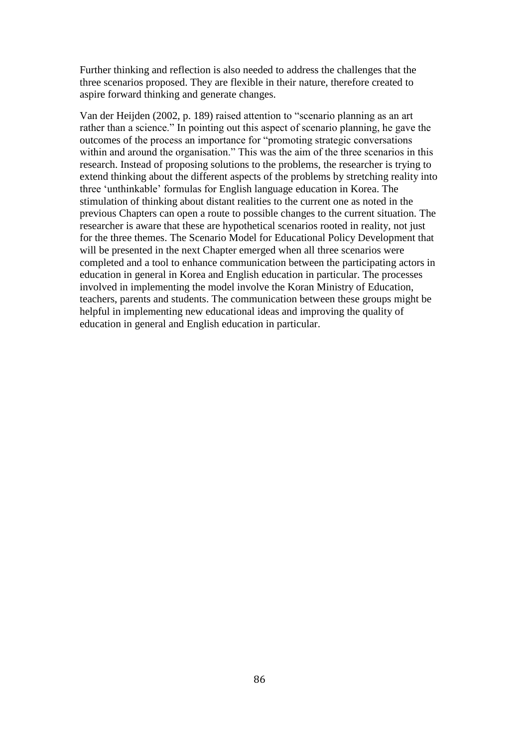Further thinking and reflection is also needed to address the challenges that the three scenarios proposed. They are flexible in their nature, therefore created to aspire forward thinking and generate changes.

Van der Heijden (2002, p. 189) raised attention to "scenario planning as an art rather than a science." In pointing out this aspect of scenario planning, he gave the outcomes of the process an importance for "promoting strategic conversations within and around the organisation." This was the aim of the three scenarios in this research. Instead of proposing solutions to the problems, the researcher is trying to extend thinking about the different aspects of the problems by stretching reality into three 'unthinkable' formulas for English language education in Korea. The stimulation of thinking about distant realities to the current one as noted in the previous Chapters can open a route to possible changes to the current situation. The researcher is aware that these are hypothetical scenarios rooted in reality, not just for the three themes. The Scenario Model for Educational Policy Development that will be presented in the next Chapter emerged when all three scenarios were completed and a tool to enhance communication between the participating actors in education in general in Korea and English education in particular. The processes involved in implementing the model involve the Koran Ministry of Education, teachers, parents and students. The communication between these groups might be helpful in implementing new educational ideas and improving the quality of education in general and English education in particular.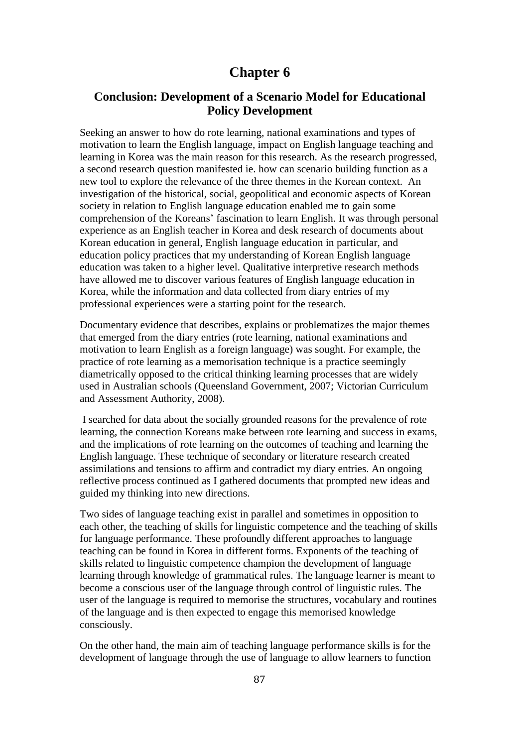## **Chapter 6**

## **Conclusion: Development of a Scenario Model for Educational Policy Development**

Seeking an answer to how do rote learning, national examinations and types of motivation to learn the English language, impact on English language teaching and learning in Korea was the main reason for this research. As the research progressed, a second research question manifested ie. how can scenario building function as a new tool to explore the relevance of the three themes in the Korean context. An investigation of the historical, social, geopolitical and economic aspects of Korean society in relation to English language education enabled me to gain some comprehension of the Koreans' fascination to learn English. It was through personal experience as an English teacher in Korea and desk research of documents about Korean education in general, English language education in particular, and education policy practices that my understanding of Korean English language education was taken to a higher level. Qualitative interpretive research methods have allowed me to discover various features of English language education in Korea, while the information and data collected from diary entries of my professional experiences were a starting point for the research.

Documentary evidence that describes, explains or problematizes the major themes that emerged from the diary entries (rote learning, national examinations and motivation to learn English as a foreign language) was sought. For example, the practice of rote learning as a memorisation technique is a practice seemingly diametrically opposed to the critical thinking learning processes that are widely used in Australian schools (Queensland Government, 2007; Victorian Curriculum and Assessment Authority, 2008).

I searched for data about the socially grounded reasons for the prevalence of rote learning, the connection Koreans make between rote learning and success in exams, and the implications of rote learning on the outcomes of teaching and learning the English language. These technique of secondary or literature research created assimilations and tensions to affirm and contradict my diary entries. An ongoing reflective process continued as I gathered documents that prompted new ideas and guided my thinking into new directions.

Two sides of language teaching exist in parallel and sometimes in opposition to each other, the teaching of skills for linguistic competence and the teaching of skills for language performance. These profoundly different approaches to language teaching can be found in Korea in different forms. Exponents of the teaching of skills related to linguistic competence champion the development of language learning through knowledge of grammatical rules. The language learner is meant to become a conscious user of the language through control of linguistic rules. The user of the language is required to memorise the structures, vocabulary and routines of the language and is then expected to engage this memorised knowledge consciously.

On the other hand, the main aim of teaching language performance skills is for the development of language through the use of language to allow learners to function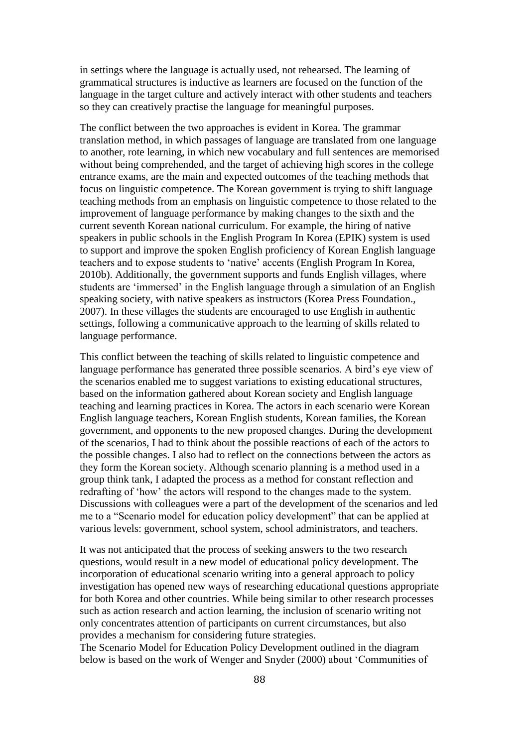in settings where the language is actually used, not rehearsed. The learning of grammatical structures is inductive as learners are focused on the function of the language in the target culture and actively interact with other students and teachers so they can creatively practise the language for meaningful purposes.

The conflict between the two approaches is evident in Korea. The grammar translation method, in which passages of language are translated from one language to another, rote learning, in which new vocabulary and full sentences are memorised without being comprehended, and the target of achieving high scores in the college entrance exams, are the main and expected outcomes of the teaching methods that focus on linguistic competence. The Korean government is trying to shift language teaching methods from an emphasis on linguistic competence to those related to the improvement of language performance by making changes to the sixth and the current seventh Korean national curriculum. For example, the hiring of native speakers in public schools in the English Program In Korea (EPIK) system is used to support and improve the spoken English proficiency of Korean English language teachers and to expose students to 'native' accents (English Program In Korea, 2010b). Additionally, the government supports and funds English villages, where students are 'immersed' in the English language through a simulation of an English speaking society, with native speakers as instructors (Korea Press Foundation., 2007). In these villages the students are encouraged to use English in authentic settings, following a communicative approach to the learning of skills related to language performance.

This conflict between the teaching of skills related to linguistic competence and language performance has generated three possible scenarios. A bird's eye view of the scenarios enabled me to suggest variations to existing educational structures, based on the information gathered about Korean society and English language teaching and learning practices in Korea. The actors in each scenario were Korean English language teachers, Korean English students, Korean families, the Korean government, and opponents to the new proposed changes. During the development of the scenarios, I had to think about the possible reactions of each of the actors to the possible changes. I also had to reflect on the connections between the actors as they form the Korean society. Although scenario planning is a method used in a group think tank, I adapted the process as a method for constant reflection and redrafting of 'how' the actors will respond to the changes made to the system. Discussions with colleagues were a part of the development of the scenarios and led me to a "Scenario model for education policy development" that can be applied at various levels: government, school system, school administrators, and teachers.

It was not anticipated that the process of seeking answers to the two research questions, would result in a new model of educational policy development. The incorporation of educational scenario writing into a general approach to policy investigation has opened new ways of researching educational questions appropriate for both Korea and other countries. While being similar to other research processes such as action research and action learning, the inclusion of scenario writing not only concentrates attention of participants on current circumstances, but also provides a mechanism for considering future strategies.

The Scenario Model for Education Policy Development outlined in the diagram below is based on the work of Wenger and Snyder (2000) about 'Communities of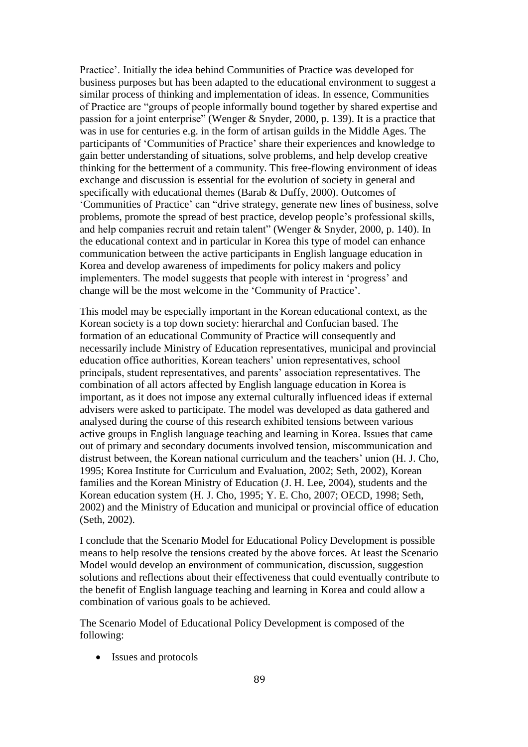Practice'. Initially the idea behind Communities of Practice was developed for business purposes but has been adapted to the educational environment to suggest a similar process of thinking and implementation of ideas. In essence, Communities of Practice are "groups of people informally bound together by shared expertise and passion for a joint enterprise" (Wenger & Snyder, 2000, p. 139). It is a practice that was in use for centuries e.g. in the form of artisan guilds in the Middle Ages. The participants of 'Communities of Practice' share their experiences and knowledge to gain better understanding of situations, solve problems, and help develop creative thinking for the betterment of a community. This free-flowing environment of ideas exchange and discussion is essential for the evolution of society in general and specifically with educational themes (Barab & Duffy, 2000). Outcomes of 'Communities of Practice' can "drive strategy, generate new lines of business, solve problems, promote the spread of best practice, develop people's professional skills, and help companies recruit and retain talent" (Wenger & Snyder, 2000, p. 140). In the educational context and in particular in Korea this type of model can enhance communication between the active participants in English language education in Korea and develop awareness of impediments for policy makers and policy implementers. The model suggests that people with interest in 'progress' and change will be the most welcome in the 'Community of Practice'.

This model may be especially important in the Korean educational context, as the Korean society is a top down society: hierarchal and Confucian based. The formation of an educational Community of Practice will consequently and necessarily include Ministry of Education representatives, municipal and provincial education office authorities, Korean teachers' union representatives, school principals, student representatives, and parents' association representatives. The combination of all actors affected by English language education in Korea is important, as it does not impose any external culturally influenced ideas if external advisers were asked to participate. The model was developed as data gathered and analysed during the course of this research exhibited tensions between various active groups in English language teaching and learning in Korea. Issues that came out of primary and secondary documents involved tension, miscommunication and distrust between, the Korean national curriculum and the teachers' union (H. J. Cho, 1995; Korea Institute for Curriculum and Evaluation, 2002; Seth, 2002), Korean families and the Korean Ministry of Education (J. H. Lee, 2004), students and the Korean education system (H. J. Cho, 1995; Y. E. Cho, 2007; OECD, 1998; Seth, 2002) and the Ministry of Education and municipal or provincial office of education (Seth, 2002).

I conclude that the Scenario Model for Educational Policy Development is possible means to help resolve the tensions created by the above forces. At least the Scenario Model would develop an environment of communication, discussion, suggestion solutions and reflections about their effectiveness that could eventually contribute to the benefit of English language teaching and learning in Korea and could allow a combination of various goals to be achieved.

The Scenario Model of Educational Policy Development is composed of the following:

• Issues and protocols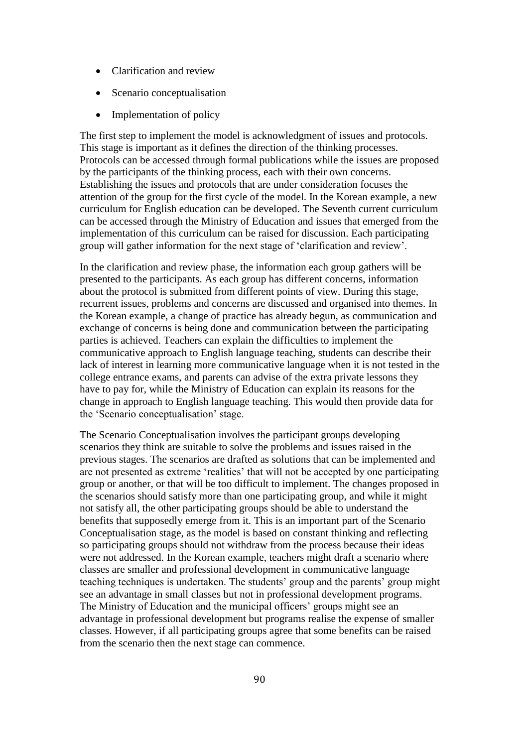- Clarification and review
- Scenario conceptualisation
- Implementation of policy

The first step to implement the model is acknowledgment of issues and protocols. This stage is important as it defines the direction of the thinking processes. Protocols can be accessed through formal publications while the issues are proposed by the participants of the thinking process, each with their own concerns. Establishing the issues and protocols that are under consideration focuses the attention of the group for the first cycle of the model. In the Korean example, a new curriculum for English education can be developed. The Seventh current curriculum can be accessed through the Ministry of Education and issues that emerged from the implementation of this curriculum can be raised for discussion. Each participating group will gather information for the next stage of 'clarification and review'.

In the clarification and review phase, the information each group gathers will be presented to the participants. As each group has different concerns, information about the protocol is submitted from different points of view. During this stage, recurrent issues, problems and concerns are discussed and organised into themes. In the Korean example, a change of practice has already begun, as communication and exchange of concerns is being done and communication between the participating parties is achieved. Teachers can explain the difficulties to implement the communicative approach to English language teaching, students can describe their lack of interest in learning more communicative language when it is not tested in the college entrance exams, and parents can advise of the extra private lessons they have to pay for, while the Ministry of Education can explain its reasons for the change in approach to English language teaching. This would then provide data for the 'Scenario conceptualisation' stage.

The Scenario Conceptualisation involves the participant groups developing scenarios they think are suitable to solve the problems and issues raised in the previous stages. The scenarios are drafted as solutions that can be implemented and are not presented as extreme 'realities' that will not be accepted by one participating group or another, or that will be too difficult to implement. The changes proposed in the scenarios should satisfy more than one participating group, and while it might not satisfy all, the other participating groups should be able to understand the benefits that supposedly emerge from it. This is an important part of the Scenario Conceptualisation stage, as the model is based on constant thinking and reflecting so participating groups should not withdraw from the process because their ideas were not addressed. In the Korean example, teachers might draft a scenario where classes are smaller and professional development in communicative language teaching techniques is undertaken. The students' group and the parents' group might see an advantage in small classes but not in professional development programs. The Ministry of Education and the municipal officers' groups might see an advantage in professional development but programs realise the expense of smaller classes. However, if all participating groups agree that some benefits can be raised from the scenario then the next stage can commence.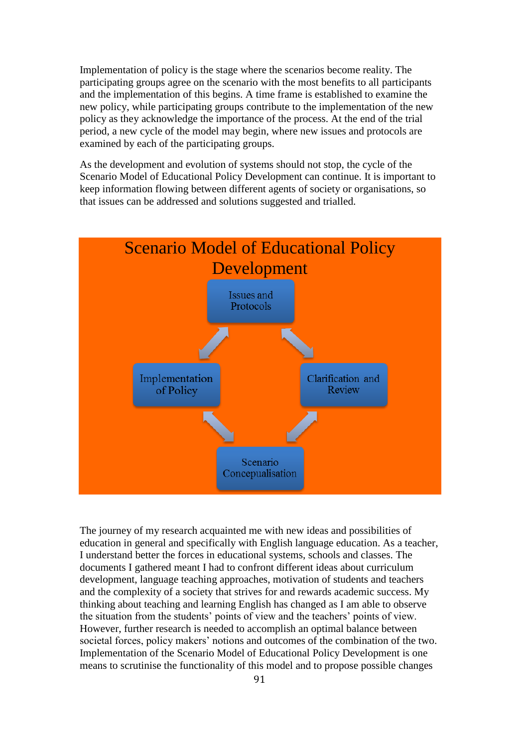Implementation of policy is the stage where the scenarios become reality. The participating groups agree on the scenario with the most benefits to all participants and the implementation of this begins. A time frame is established to examine the new policy, while participating groups contribute to the implementation of the new policy as they acknowledge the importance of the process. At the end of the trial period, a new cycle of the model may begin, where new issues and protocols are examined by each of the participating groups.

As the development and evolution of systems should not stop, the cycle of the Scenario Model of Educational Policy Development can continue. It is important to keep information flowing between different agents of society or organisations, so that issues can be addressed and solutions suggested and trialled.



The journey of my research acquainted me with new ideas and possibilities of education in general and specifically with English language education. As a teacher, I understand better the forces in educational systems, schools and classes. The documents I gathered meant I had to confront different ideas about curriculum development, language teaching approaches, motivation of students and teachers and the complexity of a society that strives for and rewards academic success. My thinking about teaching and learning English has changed as I am able to observe the situation from the students' points of view and the teachers' points of view. However, further research is needed to accomplish an optimal balance between societal forces, policy makers' notions and outcomes of the combination of the two. Implementation of the Scenario Model of Educational Policy Development is one means to scrutinise the functionality of this model and to propose possible changes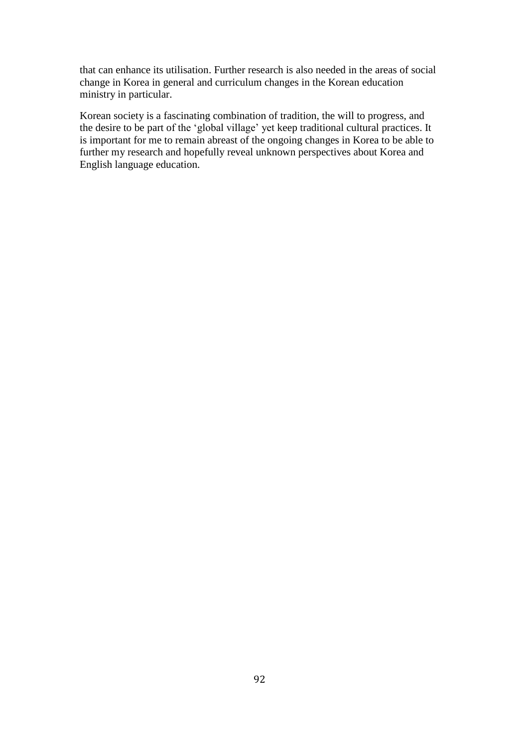that can enhance its utilisation. Further research is also needed in the areas of social change in Korea in general and curriculum changes in the Korean education ministry in particular.

Korean society is a fascinating combination of tradition, the will to progress, and the desire to be part of the 'global village' yet keep traditional cultural practices. It is important for me to remain abreast of the ongoing changes in Korea to be able to further my research and hopefully reveal unknown perspectives about Korea and English language education.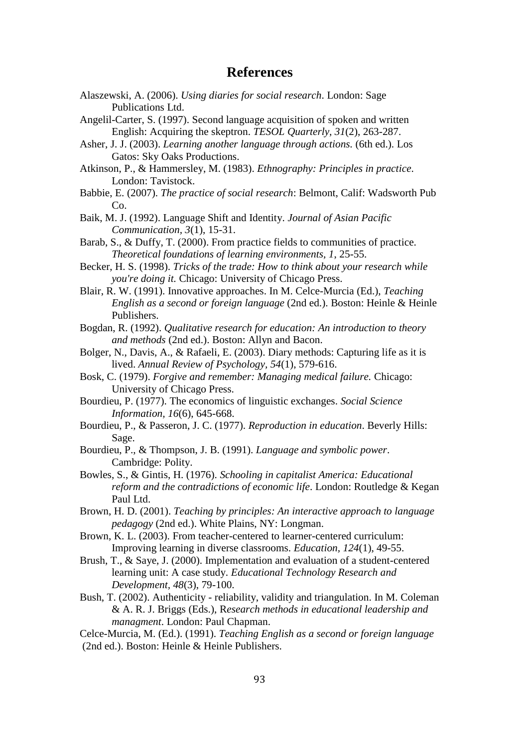### **References**

- Alaszewski, A. (2006). *Using diaries for social research*. London: Sage Publications Ltd.
- Angelil-Carter, S. (1997). Second language acquisition of spoken and written English: Acquiring the skeptron. *TESOL Quarterly, 31*(2), 263-287.
- Asher, J. J. (2003). *Learning another language through actions.* (6th ed.). Los Gatos: Sky Oaks Productions.
- Atkinson, P., & Hammersley, M. (1983). *Ethnography: Principles in practice*. London: Tavistock.
- Babbie, E. (2007). *The practice of social research*: Belmont, Calif: Wadsworth Pub Co.
- Baik, M. J. (1992). Language Shift and Identity. *Journal of Asian Pacific Communication, 3*(1), 15-31.
- Barab, S., & Duffy, T. (2000). From practice fields to communities of practice. *Theoretical foundations of learning environments, 1*, 25-55.
- Becker, H. S. (1998). *Tricks of the trade: How to think about your research while you're doing it.* Chicago: University of Chicago Press.
- Blair, R. W. (1991). Innovative approaches. In M. Celce-Murcia (Ed.), *Teaching English as a second or foreign language* (2nd ed.). Boston: Heinle & Heinle Publishers.
- Bogdan, R. (1992). *Qualitative research for education: An introduction to theory and methods* (2nd ed.). Boston: Allyn and Bacon.
- Bolger, N., Davis, A., & Rafaeli, E. (2003). Diary methods: Capturing life as it is lived. *Annual Review of Psychology, 54*(1), 579-616.
- Bosk, C. (1979). *Forgive and remember: Managing medical failure.* Chicago: University of Chicago Press.
- Bourdieu, P. (1977). The economics of linguistic exchanges. *Social Science Information, 16*(6), 645-668.
- Bourdieu, P., & Passeron, J. C. (1977). *Reproduction in education*. Beverly Hills: Sage.
- Bourdieu, P., & Thompson, J. B. (1991). *Language and symbolic power*. Cambridge: Polity.
- Bowles, S., & Gintis, H. (1976). *Schooling in capitalist America: Educational reform and the contradictions of economic life*. London: Routledge & Kegan Paul Ltd.
- Brown, H. D. (2001). *Teaching by principles: An interactive approach to language pedagogy* (2nd ed.). White Plains, NY: Longman.
- Brown, K. L. (2003). From teacher-centered to learner-centered curriculum: Improving learning in diverse classrooms. *Education, 124*(1), 49-55.
- Brush, T., & Saye, J. (2000). Implementation and evaluation of a student-centered learning unit: A case study. *Educational Technology Research and Development, 48*(3), 79-100.
- Bush, T. (2002). Authenticity reliability, validity and triangulation. In M. Coleman & A. R. J. Briggs (Eds.), R*esearch methods in educational leadership and managment*. London: Paul Chapman.
- Celce-Murcia, M. (Ed.). (1991). *Teaching English as a second or foreign language*  (2nd ed.). Boston: Heinle & Heinle Publishers.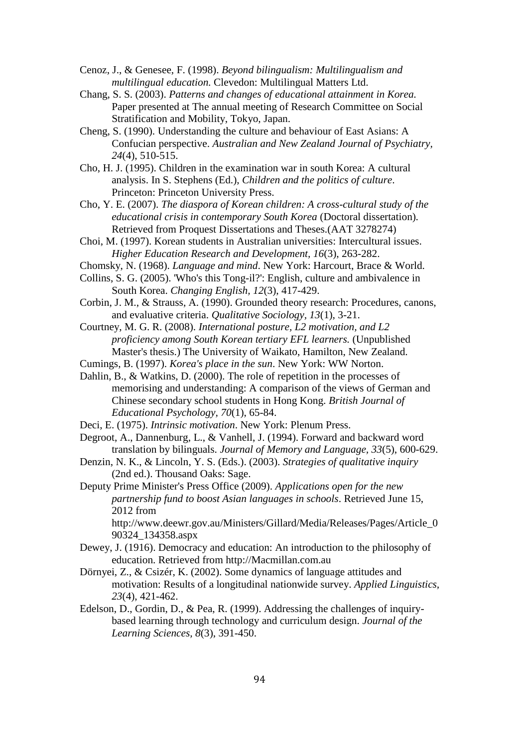- Cenoz, J., & Genesee, F. (1998). *Beyond bilingualism: Multilingualism and multilingual education.* Clevedon: Multilingual Matters Ltd.
- Chang, S. S. (2003). *Patterns and changes of educational attainment in Korea.* Paper presented at The annual meeting of Research Committee on Social Stratification and Mobility, Tokyo, Japan.
- Cheng, S. (1990). Understanding the culture and behaviour of East Asians: A Confucian perspective. *Australian and New Zealand Journal of Psychiatry, 24*(4), 510-515.
- Cho, H. J. (1995). Children in the examination war in south Korea: A cultural analysis. In S. Stephens (Ed.), *Children and the politics of culture*. Princeton: Princeton University Press.
- Cho, Y. E. (2007). *The diaspora of Korean children: A cross-cultural study of the educational crisis in contemporary South Korea* (Doctoral dissertation)*.* Retrieved from Proquest Dissertations and Theses.(AAT 3278274)
- Choi, M. (1997). Korean students in Australian universities: Intercultural issues. *Higher Education Research and Development, 16*(3), 263-282.
- Chomsky, N. (1968). *Language and mind*. New York: Harcourt, Brace & World.
- Collins, S. G. (2005). 'Who's this Tong-il?': English, culture and ambivalence in South Korea. *Changing English, 12*(3), 417-429.
- Corbin, J. M., & Strauss, A. (1990). Grounded theory research: Procedures, canons, and evaluative criteria. *Qualitative Sociology, 13*(1), 3-21.
- Courtney, M. G. R. (2008). *International posture, L2 motivation, and L2 proficiency among South Korean tertiary EFL learners.* (Unpublished Master's thesis.) The University of Waikato, Hamilton, New Zealand.
- Cumings, B. (1997). *Korea's place in the sun*. New York: WW Norton.
- Dahlin, B., & Watkins, D. (2000). The role of repetition in the processes of memorising and understanding: A comparison of the views of German and Chinese secondary school students in Hong Kong. *British Journal of Educational Psychology, 70*(1), 65-84.
- Deci, E. (1975). *Intrinsic motivation*. New York: Plenum Press.
- Degroot, A., Dannenburg, L., & Vanhell, J. (1994). Forward and backward word translation by bilinguals. *Journal of Memory and Language, 33*(5), 600-629.
- Denzin, N. K., & Lincoln, Y. S. (Eds.). (2003). *Strategies of qualitative inquiry*  (2nd ed.). Thousand Oaks: Sage.
- Deputy Prime Minister's Press Office (2009). *Applications open for the new partnership fund to boost Asian languages in schools*. Retrieved June 15, 2012 from

http://www.deewr.gov.au/Ministers/Gillard/Media/Releases/Pages/Article\_0 90324\_134358.aspx

- Dewey, J. (1916). Democracy and education: An introduction to the philosophy of education. Retrieved from http://Macmillan.com.au
- Dörnyei, Z., & Csizér, K. (2002). Some dynamics of language attitudes and motivation: Results of a longitudinal nationwide survey. *Applied Linguistics, 23*(4), 421-462.
- Edelson, D., Gordin, D., & Pea, R. (1999). Addressing the challenges of inquirybased learning through technology and curriculum design. *Journal of the Learning Sciences, 8*(3), 391-450.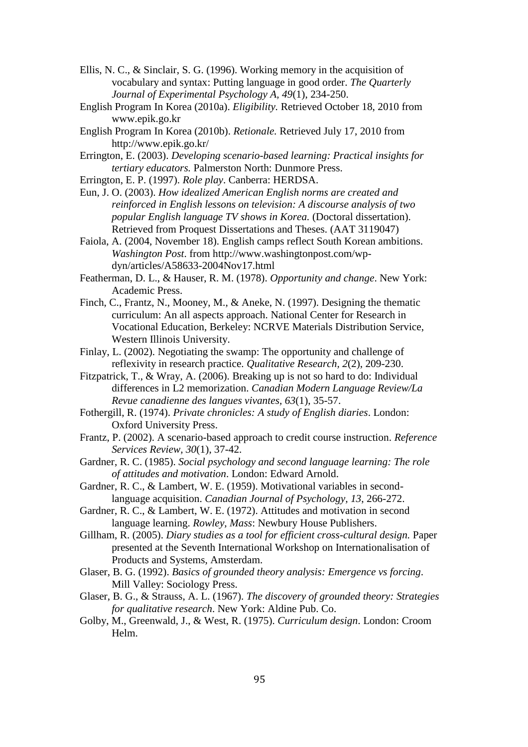- Ellis, N. C., & Sinclair, S. G. (1996). Working memory in the acquisition of vocabulary and syntax: Putting language in good order. *The Quarterly Journal of Experimental Psychology A, 49*(1), 234-250.
- English Program In Korea (2010a). *Eligibility.* Retrieved October 18, 2010 from www.epik.go.kr
- English Program In Korea (2010b). *Retionale.* Retrieved July 17, 2010 from http://www.epik.go.kr/
- Errington, E. (2003). *Developing scenario-based learning: Practical insights for tertiary educators.* Palmerston North: Dunmore Press.
- Errington, E. P. (1997). *Role play*. Canberra: HERDSA.
- Eun, J. O. (2003). *How idealized American English norms are created and reinforced in English lessons on television: A discourse analysis of two popular English language TV shows in Korea.* (Doctoral dissertation). Retrieved from Proquest Dissertations and Theses. (AAT 3119047)
- Faiola, A. (2004, November 18). English camps reflect South Korean ambitions. *Washington Post*. from http://www.washingtonpost.com/wpdyn/articles/A58633-2004Nov17.html
- Featherman, D. L., & Hauser, R. M. (1978). *Opportunity and change*. New York: Academic Press.
- Finch, C., Frantz, N., Mooney, M., & Aneke, N. (1997). Designing the thematic curriculum: An all aspects approach. National Center for Research in Vocational Education, Berkeley: NCRVE Materials Distribution Service, Western Illinois University.
- Finlay, L. (2002). Negotiating the swamp: The opportunity and challenge of reflexivity in research practice. *Qualitative Research, 2*(2), 209-230.
- Fitzpatrick, T., & Wray, A. (2006). Breaking up is not so hard to do: Individual differences in L2 memorization. *Canadian Modern Language Review/La Revue canadienne des langues vivantes, 63*(1), 35-57.
- Fothergill, R. (1974). *Private chronicles: A study of English diaries*. London: Oxford University Press.
- Frantz, P. (2002). A scenario-based approach to credit course instruction. *Reference Services Review, 30*(1), 37-42.
- Gardner, R. C. (1985). *Social psychology and second language learning: The role of attitudes and motivation*. London: Edward Arnold.
- Gardner, R. C., & Lambert, W. E. (1959). Motivational variables in secondlanguage acquisition. *Canadian Journal of Psychology, 13*, 266-272.
- Gardner, R. C., & Lambert, W. E. (1972). Attitudes and motivation in second language learning. *Rowley, Mass*: Newbury House Publishers.
- Gillham, R. (2005). *Diary studies as a tool for efficient cross-cultural design.* Paper presented at the Seventh International Workshop on Internationalisation of Products and Systems, Amsterdam.
- Glaser, B. G. (1992). *Basics of grounded theory analysis: Emergence vs forcing*. Mill Valley: Sociology Press.
- Glaser, B. G., & Strauss, A. L. (1967). *The discovery of grounded theory: Strategies for qualitative research*. New York: Aldine Pub. Co.
- Golby, M., Greenwald, J., & West, R. (1975). *Curriculum design*. London: Croom Helm.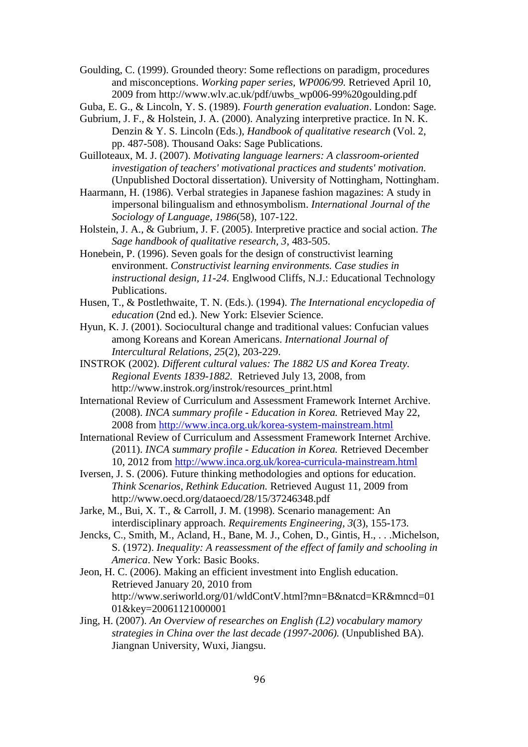Goulding, C. (1999). Grounded theory: Some reflections on paradigm, procedures and misconceptions. *Working paper series, WP006/99.* Retrieved April 10, 2009 from http://www.wlv.ac.uk/pdf/uwbs\_wp006-99%20goulding.pdf

Guba, E. G., & Lincoln, Y. S. (1989). *Fourth generation evaluation*. London: Sage.

Gubrium, J. F., & Holstein, J. A. (2000). Analyzing interpretive practice. In N. K. Denzin & Y. S. Lincoln (Eds.), *Handbook of qualitative research* (Vol. 2, pp. 487-508). Thousand Oaks: Sage Publications.

Guilloteaux, M. J. (2007). *Motivating language learners: A classroom-oriented investigation of teachers' motivational practices and students' motivation.* (Unpublished Doctoral dissertation). University of Nottingham, Nottingham.

Haarmann, H. (1986). Verbal strategies in Japanese fashion magazines: A study in impersonal bilingualism and ethnosymbolism. *International Journal of the Sociology of Language, 1986*(58), 107-122.

Holstein, J. A., & Gubrium, J. F. (2005). Interpretive practice and social action. *The Sage handbook of qualitative research, 3*, 483-505.

Honebein, P. (1996). Seven goals for the design of constructivist learning environment. *Constructivist learning environments. Case studies in instructional design, 11-24.* Englwood Cliffs, N.J.: Educational Technology Publications.

Husen, T., & Postlethwaite, T. N. (Eds.). (1994). *The International encyclopedia of education* (2nd ed.). New York: Elsevier Science.

Hyun, K. J. (2001). Sociocultural change and traditional values: Confucian values among Koreans and Korean Americans. *International Journal of Intercultural Relations, 25*(2), 203-229.

INSTROK (2002). *Different cultural values: The 1882 US and Korea Treaty. Regional Events 1839-1882.* Retrieved July 13, 2008, from http://www.instrok.org/instrok/resources\_print.html

International Review of Curriculum and Assessment Framework Internet Archive. (2008). *INCA summary profile - Education in Korea.* Retrieved May 22, 2008 from<http://www.inca.org.uk/korea-system-mainstream.html>

International Review of Curriculum and Assessment Framework Internet Archive. (2011). *INCA summary profile - Education in Korea.* Retrieved December 10, 2012 from<http://www.inca.org.uk/korea-curricula-mainstream.html>

Iversen, J. S. (2006). Future thinking methodologies and options for education. *Think Scenarios, Rethink Education.* Retrieved August 11, 2009 from http://www.oecd.org/dataoecd/28/15/37246348.pdf

Jarke, M., Bui, X. T., & Carroll, J. M. (1998). Scenario management: An interdisciplinary approach. *Requirements Engineering, 3*(3), 155-173.

Jencks, C., Smith, M., Acland, H., Bane, M. J., Cohen, D., Gintis, H., . . .Michelson, S. (1972). *Inequality: A reassessment of the effect of family and schooling in America*. New York: Basic Books.

Jeon, H. C. (2006). Making an efficient investment into English education. Retrieved January 20, 2010 from http://www.seriworld.org/01/wldContV.html?mn=B&natcd=KR&mncd=01 01&key=20061121000001

Jing, H. (2007). *An Overview of researches on English (L2) vocabulary mamory strategies in China over the last decade (1997-2006).* (Unpublished BA). Jiangnan University, Wuxi, Jiangsu.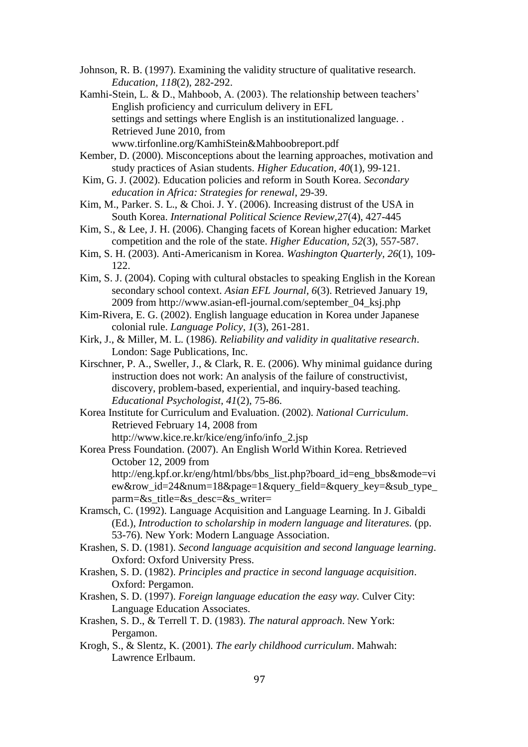Johnson, R. B. (1997). Examining the validity structure of qualitative research. *Education, 118*(2), 282-292.

Kamhi-Stein, L. & D., Mahboob, A. (2003). The relationship between teachers' English proficiency and curriculum delivery in EFL settings and settings where English is an institutionalized language. . Retrieved June 2010, from www.tirfonline.org/KamhiStein&Mahboobreport.pdf

- Kember, D. (2000). Misconceptions about the learning approaches, motivation and study practices of Asian students. *Higher Education, 40*(1), 99-121.
- Kim, G. J. (2002). Education policies and reform in South Korea. *Secondary education in Africa: Strategies for renewal*, 29-39.
- Kim, M., Parker. S. L., & Choi. J. Y. (2006). Increasing distrust of the USA in South Korea. *International Political Science Review,*27(4), 427-445
- Kim, S., & Lee, J. H. (2006). Changing facets of Korean higher education: Market competition and the role of the state. *Higher Education, 52*(3), 557-587.
- Kim, S. H. (2003). Anti-Americanism in Korea. *Washington Quarterly, 26*(1), 109- 122.
- Kim, S. J. (2004). Coping with cultural obstacles to speaking English in the Korean secondary school context. *Asian EFL Journal, 6*(3). Retrieved January 19, 2009 from http://www.asian-efl-journal.com/september\_04\_ksj.php
- Kim-Rivera, E. G. (2002). English language education in Korea under Japanese colonial rule. *Language Policy, 1*(3), 261-281.
- Kirk, J., & Miller, M. L. (1986). *Reliability and validity in qualitative research*. London: Sage Publications, Inc.
- Kirschner, P. A., Sweller, J., & Clark, R. E. (2006). Why minimal guidance during instruction does not work: An analysis of the failure of constructivist, discovery, problem-based, experiential, and inquiry-based teaching. *Educational Psychologist, 41*(2), 75-86.
- Korea Institute for Curriculum and Evaluation. (2002). *National Curriculum*. Retrieved February 14, 2008 from http://www.kice.re.kr/kice/eng/info/info\_2.jsp
- Korea Press Foundation. (2007). An English World Within Korea. Retrieved October 12, 2009 from http://eng.kpf.or.kr/eng/html/bbs/bbs\_list.php?board\_id=eng\_bbs&mode=vi ew&row\_id=24&num=18&page=1&query\_field=&query\_key=&sub\_type\_ parm=&s\_title=&s\_desc=&s\_writer=
- Kramsch, C. (1992). Language Acquisition and Language Learning. In J. Gibaldi (Ed.), *Introduction to scholarship in modern language and literatures.* (pp. 53-76). New York: Modern Language Association.
- Krashen, S. D. (1981). *Second language acquisition and second language learning*. Oxford: Oxford University Press.
- Krashen, S. D. (1982). *Principles and practice in second language acquisition*. Oxford: Pergamon.
- Krashen, S. D. (1997). *Foreign language education the easy way.* Culver City: Language Education Associates.
- Krashen, S. D., & Terrell T. D. (1983). *The natural approach*. New York: Pergamon.
- Krogh, S., & Slentz, K. (2001). *The early childhood curriculum*. Mahwah: Lawrence Erlbaum.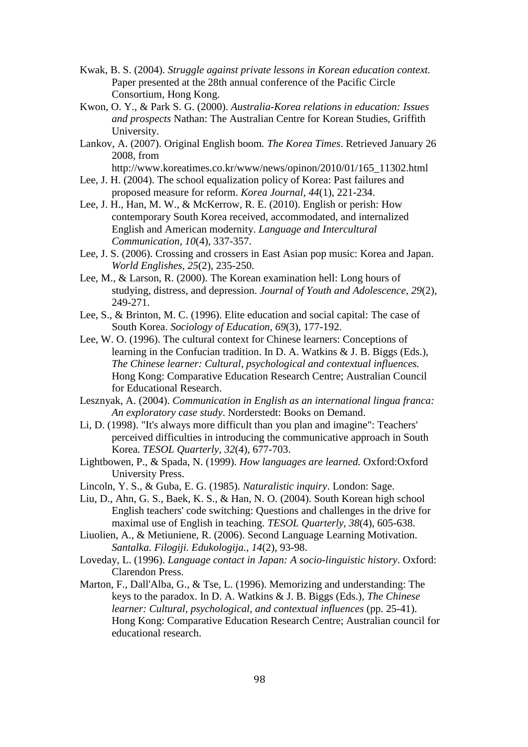- Kwak, B. S. (2004). *Struggle against private lessons in Korean education context.* Paper presented at the 28th annual conference of the Pacific Circle Consortium, Hong Kong.
- Kwon, O. Y., & Park S. G. (2000). *Australia-Korea relations in education: Issues and prospects* Nathan: The Australian Centre for Korean Studies, Griffith University.
- Lankov, A. (2007). Original English boom*. The Korea Times*. Retrieved January 26 2008, from

http://www.koreatimes.co.kr/www/news/opinon/2010/01/165\_11302.html

- Lee, J. H. (2004). The school equalization policy of Korea: Past failures and proposed measure for reform. *Korea Journal, 44*(1), 221-234.
- Lee, J. H., Han, M. W., & McKerrow, R. E. (2010). English or perish: How contemporary South Korea received, accommodated, and internalized English and American modernity. *Language and Intercultural Communication, 10*(4), 337-357.
- Lee, J. S. (2006). Crossing and crossers in East Asian pop music: Korea and Japan. *World Englishes, 25*(2), 235-250.
- Lee, M., & Larson, R. (2000). The Korean examination hell: Long hours of studying, distress, and depression. *Journal of Youth and Adolescence, 29*(2), 249-271.
- Lee, S., & Brinton, M. C. (1996). Elite education and social capital: The case of South Korea. *Sociology of Education, 69*(3), 177-192.
- Lee, W. O. (1996). The cultural context for Chinese learners: Conceptions of learning in the Confucian tradition. In D. A. Watkins & J. B. Biggs (Eds.), *The Chinese learner: Cultural, psychological and contextual influences.* Hong Kong: Comparative Education Research Centre; Australian Council for Educational Research.
- Lesznyak, A. (2004). *Communication in English as an international lingua franca: An exploratory case study*. Norderstedt: Books on Demand.
- Li, D. (1998). "It's always more difficult than you plan and imagine": Teachers' perceived difficulties in introducing the communicative approach in South Korea. *TESOL Quarterly, 32*(4), 677-703.
- Lightbowen, P., & Spada, N. (1999). *How languages are learned.* Oxford:Oxford University Press.
- Lincoln, Y. S., & Guba, E. G. (1985). *Naturalistic inquiry*. London: Sage.
- Liu, D., Ahn, G. S., Baek, K. S., & Han, N. O. (2004). South Korean high school English teachers' code switching: Questions and challenges in the drive for maximal use of English in teaching. *TESOL Quarterly, 38*(4), 605-638.
- Liuolien, A., & Metiuniene, R. (2006). Second Language Learning Motivation. *Santalka. Filogiji. Edukologija., 14*(2), 93-98.
- Loveday, L. (1996). *Language contact in Japan: A socio-linguistic history*. Oxford: Clarendon Press.
- Marton, F., Dall'Alba, G., & Tse, L. (1996). Memorizing and understanding: The keys to the paradox. In D. A. Watkins & J. B. Biggs (Eds.), *The Chinese learner: Cultural, psychological, and contextual influences* (pp. 25-41). Hong Kong: Comparative Education Research Centre; Australian council for educational research.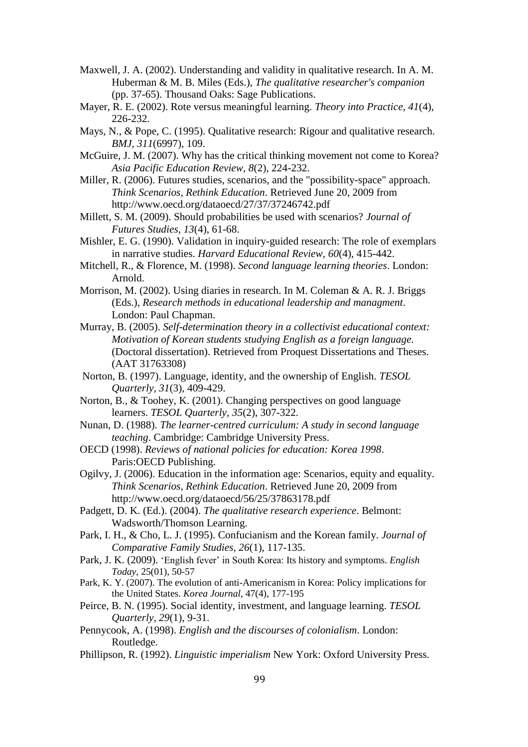- Maxwell, J. A. (2002). Understanding and validity in qualitative research. In A. M. Huberman & M. B. Miles (Eds.), *The qualitative researcher's companion* (pp. 37-65). Thousand Oaks: Sage Publications.
- Mayer, R. E. (2002). Rote versus meaningful learning. *Theory into Practice, 41*(4), 226-232.
- Mays, N., & Pope, C. (1995). Qualitative research: Rigour and qualitative research. *BMJ, 311*(6997), 109.
- McGuire, J. M. (2007). Why has the critical thinking movement not come to Korea? *Asia Pacific Education Review, 8*(2), 224-232.
- Miller, R. (2006). Futures studies, scenarios, and the "possibility-space" approach. *Think Scenarios, Rethink Education*. Retrieved June 20, 2009 from http://www.oecd.org/dataoecd/27/37/37246742.pdf
- Millett, S. M. (2009). Should probabilities be used with scenarios? *Journal of Futures Studies, 13*(4), 61-68.
- Mishler, E. G. (1990). Validation in inquiry-guided research: The role of exemplars in narrative studies. *Harvard Educational Review, 60*(4), 415-442.
- Mitchell, R., & Florence, M. (1998). *Second language learning theories*. London: Arnold.
- Morrison, M. (2002). Using diaries in research. In M. Coleman & A. R. J. Briggs (Eds.), *Research methods in educational leadership and managment*. London: Paul Chapman.
- Murray, B. (2005). *Self-determination theory in a collectivist educational context: Motivation of Korean students studying English as a foreign language.* (Doctoral dissertation). Retrieved from Proquest Dissertations and Theses. (AAT 31763308)
- Norton, B. (1997). Language, identity, and the ownership of English. *TESOL Quarterly, 31*(3), 409-429.
- Norton, B., & Toohey, K. (2001). Changing perspectives on good language learners. *TESOL Quarterly, 35*(2), 307-322.
- Nunan, D. (1988). *The learner-centred curriculum: A study in second language teaching*. Cambridge: Cambridge University Press.
- OECD (1998). *Reviews of national policies for education: Korea 1998*. Paris:OECD Publishing.
- Ogilvy, J. (2006). Education in the information age: Scenarios, equity and equality. *Think Scenarios, Rethink Education*. Retrieved June 20, 2009 from http://www.oecd.org/dataoecd/56/25/37863178.pdf
- Padgett, D. K. (Ed.). (2004). *The qualitative research experience*. Belmont: Wadsworth/Thomson Learning.
- Park, I. H., & Cho, L. J. (1995). Confucianism and the Korean family. *Journal of Comparative Family Studies, 26*(1), 117-135.
- Park, J. K. (2009). 'English fever' in South Korea: Its history and symptoms. *English Today*, 25(01), 50-57
- Park, K. Y. (2007). The evolution of anti-Americanism in Korea: Policy implications for the United States. *Korea Journal*, 47(4), 177-195
- Peirce, B. N. (1995). Social identity, investment, and language learning. *TESOL Quarterly, 29*(1), 9-31.
- Pennycook, A. (1998). *English and the discourses of colonialism*. London: Routledge.
- Phillipson, R. (1992). *Linguistic imperialism* New York: Oxford University Press.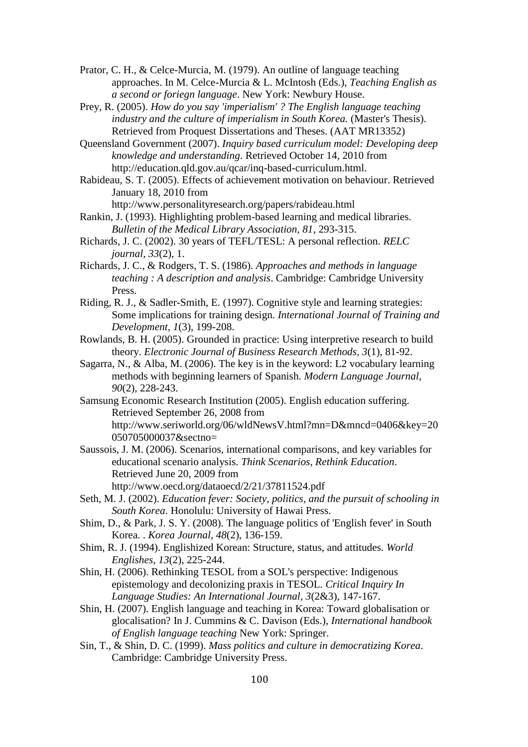Prator, C. H., & Celce-Murcia, M. (1979). An outline of language teaching approaches. In M. Celce-Murcia & L. McIntosh (Eds.), *Teaching English as a second or foriegn language*. New York: Newbury House.

Prey, R. (2005). *How do you say 'imperialism' ? The English language teaching industry and the culture of imperialism in South Korea.* (Master's Thesis). Retrieved from Proquest Dissertations and Theses. (AAT MR13352)

Queensland Government (2007). *Inquiry based curriculum model: Developing deep knowledge and understanding*. Retrieved October 14, 2010 from http://education.qld.gov.au/qcar/inq-based-curriculum.html.

Rabideau, S. T. (2005). Effects of achievement motivation on behaviour. Retrieved January 18, 2010 from

http://www.personalityresearch.org/papers/rabideau.html

Rankin, J. (1993). Highlighting problem-based learning and medical libraries. *Bulletin of the Medical Library Association, 81*, 293-315.

Richards, J. C. (2002). 30 years of TEFL/TESL: A personal reflection. *RELC journal, 33*(2), 1.

Richards, J. C., & Rodgers, T. S. (1986). *Approaches and methods in language teaching : A description and analysis*. Cambridge: Cambridge University Press.

Riding, R. J., & Sadler-Smith, E. (1997). Cognitive style and learning strategies: Some implications for training design. *International Journal of Training and Development, 1*(3), 199-208.

Rowlands, B. H. (2005). Grounded in practice: Using interpretive research to build theory. *Electronic Journal of Business Research Methods, 3*(1), 81-92.

Sagarra, N., & Alba, M. (2006). The key is in the keyword: L2 vocabulary learning methods with beginning learners of Spanish. *Modern Language Journal, 90*(2), 228-243.

Samsung Economic Research Institution (2005). English education suffering. Retrieved September 26, 2008 from http://www.seriworld.org/06/wldNewsV.html?mn=D&mncd=0406&key=20 050705000037&sectno=

- Saussois, J. M. (2006). Scenarios, international comparisons, and key variables for educational scenario analysis. *Think Scenarios, Rethink Education*. Retrieved June 20, 2009 from http://www.oecd.org/dataoecd/2/21/37811524.pdf
- Seth, M. J. (2002). *Education fever: Society, politics, and the pursuit of schooling in South Korea*. Honolulu: University of Hawai Press.
- Shim, D., & Park, J. S. Y. (2008). The language politics of 'English fever' in South Korea. . *Korea Journal, 48*(2), 136-159.
- Shim, R. J. (1994). Englishized Korean: Structure, status, and attitudes. *World Englishes, 13*(2), 225-244.

Shin, H. (2006). Rethinking TESOL from a SOL's perspective: Indigenous epistemology and decolonizing praxis in TESOL. *Critical Inquiry In Language Studies: An International Journal, 3*(2&3), 147-167.

Shin, H. (2007). English language and teaching in Korea: Toward globalisation or glocalisation? In J. Cummins & C. Davison (Eds.), *International handbook of English language teaching* New York: Springer.

Sin, T., & Shin, D. C. (1999). *Mass politics and culture in democratizing Korea*. Cambridge: Cambridge University Press.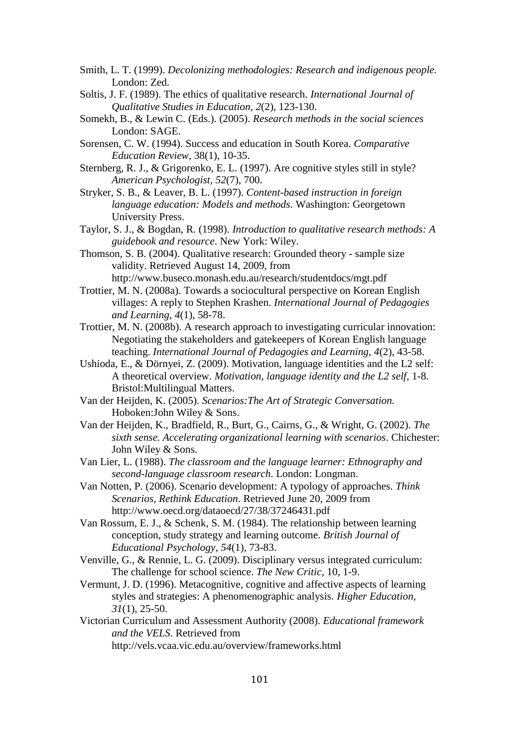- Smith, L. T. (1999). *Decolonizing methodologies: Research and indigenous people.* London: Zed.
- Soltis, J. F. (1989). The ethics of qualitative research. *International Journal of Qualitative Studies in Education, 2*(2), 123-130.
- Somekh, B., & Lewin C. (Eds.). (2005). *Research methods in the social sciences*  London: SAGE.
- Sorensen, C. W. (1994). Success and education in South Korea. *Comparative Education Review*, 38(1), 10-35.
- Sternberg, R. J., & Grigorenko, E. L. (1997). Are cognitive styles still in style? *American Psychologist, 52*(7), 700.
- Stryker, S. B., & Leaver, B. L. (1997). *Content-based instruction in foreign language education: Models and methods*. Washington: Georgetown University Press.
- Taylor, S. J., & Bogdan, R. (1998). *Introduction to qualitative research methods: A guidebook and resource*. New York: Wiley.
- Thomson, S. B. (2004). Qualitative research: Grounded theory sample size validity. Retrieved August 14, 2009, from http://www.buseco.monash.edu.au/research/studentdocs/mgt.pdf
- Trottier, M. N. (2008a). Towards a sociocultural perspective on Korean English villages: A reply to Stephen Krashen. *International Journal of Pedagogies and Learning, 4*(1), 58-78.
- Trottier, M. N. (2008b). A research approach to investigating curricular innovation: Negotiating the stakeholders and gatekeepers of Korean English language teaching. *International Journal of Pedagogies and Learning, 4*(2), 43-58.
- Ushioda, E., & Dörnyei, Z. (2009). Motivation, language identities and the L2 self: A theoretical overview. *Motivation, language identity and the L2 self*, 1-8. Bristol:Multilingual Matters.
- Van der Heijden, K. (2005). *Scenarios:The Art of Strategic Conversation.* Hoboken:John Wiley & Sons.
- Van der Heijden, K., Bradfield, R., Burt, G., Cairns, G., & Wright, G. (2002). *The sixth sense. Accelerating organizational learning with scenarios*. Chichester: John Wiley & Sons.
- Van Lier, L. (1988). *The classroom and the language learner: Ethnography and second-language classroom research*. London: Longman.
- Van Notten, P. (2006). Scenario development: A typology of approaches. *Think Scenarios, Rethink Education*. Retrieved June 20, 2009 from http://www.oecd.org/dataoecd/27/38/37246431.pdf
- Van Rossum, E. J., & Schenk, S. M. (1984). The relationship between learning conception, study strategy and learning outcome. *British Journal of Educational Psychology, 54*(1), 73-83.
- Venville, G., & Rennie, L. G. (2009). Disciplinary versus integrated curriculum: The challenge for school science. *The New Critic,* 10, 1-9.
- Vermunt, J. D. (1996). Metacognitive, cognitive and affective aspects of learning styles and strategies: A phenomenographic analysis. *Higher Education, 31*(1), 25-50.
- Victorian Curriculum and Assessment Authority (2008). *Educational framework and the VELS*. Retrieved from http://vels.vcaa.vic.edu.au/overview/frameworks.html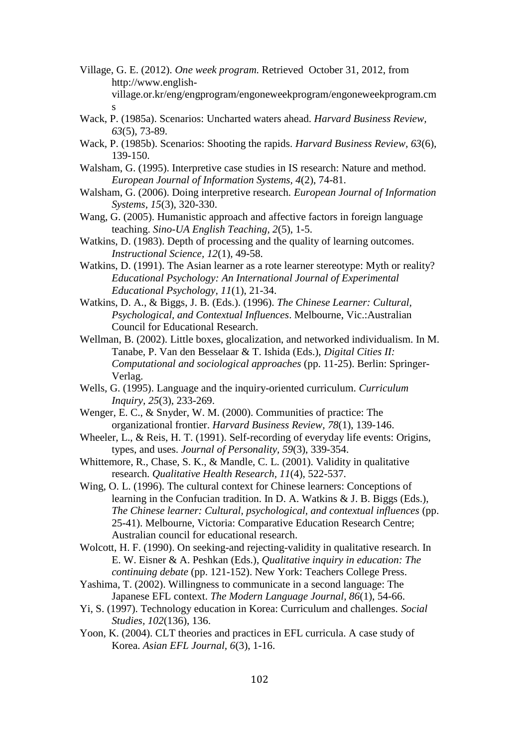- Village, G. E. (2012). *One week program.* Retrieved October 31, 2012, from http://www.englishvillage.or.kr/eng/engprogram/engoneweekprogram/engoneweekprogram.cm s
- Wack, P. (1985a). Scenarios: Uncharted waters ahead. *Harvard Business Review, 63*(5), 73-89.
- Wack, P. (1985b). Scenarios: Shooting the rapids. *Harvard Business Review, 63*(6), 139-150.
- Walsham, G. (1995). Interpretive case studies in IS research: Nature and method. *European Journal of Information Systems, 4*(2), 74-81.
- Walsham, G. (2006). Doing interpretive research. *European Journal of Information Systems, 15*(3), 320-330.
- Wang, G. (2005). Humanistic approach and affective factors in foreign language teaching. *Sino-UA English Teaching, 2*(5), 1-5.
- Watkins, D. (1983). Depth of processing and the quality of learning outcomes. *Instructional Science, 12*(1), 49-58.
- Watkins, D. (1991). The Asian learner as a rote learner stereotype: Myth or reality? *Educational Psychology: An International Journal of Experimental Educational Psychology, 11*(1), 21-34.
- Watkins, D. A., & Biggs, J. B. (Eds.). (1996). *The Chinese Learner: Cultural, Psychological, and Contextual Influences*. Melbourne, Vic.:Australian Council for Educational Research.
- Wellman, B. (2002). Little boxes, glocalization, and networked individualism. In M. Tanabe, P. Van den Besselaar & T. Ishida (Eds.), *Digital Cities II: Computational and sociological approaches* (pp. 11-25). Berlin: Springer-Verlag.
- Wells, G. (1995). Language and the inquiry-oriented curriculum. *Curriculum Inquiry, 25*(3), 233-269.
- Wenger, E. C., & Snyder, W. M. (2000). Communities of practice: The organizational frontier. *Harvard Business Review, 78*(1), 139-146.
- Wheeler, L., & Reis, H. T. (1991). Self-recording of everyday life events: Origins, types, and uses. *Journal of Personality, 59*(3), 339-354.
- Whittemore, R., Chase, S. K., & Mandle, C. L. (2001). Validity in qualitative research. *Qualitative Health Research, 11*(4), 522-537.
- Wing, O. L. (1996). The cultural context for Chinese learners: Conceptions of learning in the Confucian tradition. In D. A. Watkins & J. B. Biggs (Eds.), *The Chinese learner: Cultural, psychological, and contextual influences* (pp. 25-41). Melbourne, Victoria: Comparative Education Research Centre; Australian council for educational research.
- Wolcott, H. F. (1990). On seeking-and rejecting-validity in qualitative research. In E. W. Eisner & A. Peshkan (Eds.), *Qualitative inquiry in education: The continuing debate* (pp. 121-152). New York: Teachers College Press.
- Yashima, T. (2002). Willingness to communicate in a second language: The Japanese EFL context. *The Modern Language Journal, 86*(1), 54-66.
- Yi, S. (1997). Technology education in Korea: Curriculum and challenges. *Social Studies, 102*(136), 136.
- Yoon, K. (2004). CLT theories and practices in EFL curricula. A case study of Korea. *Asian EFL Journal, 6*(3), 1-16.